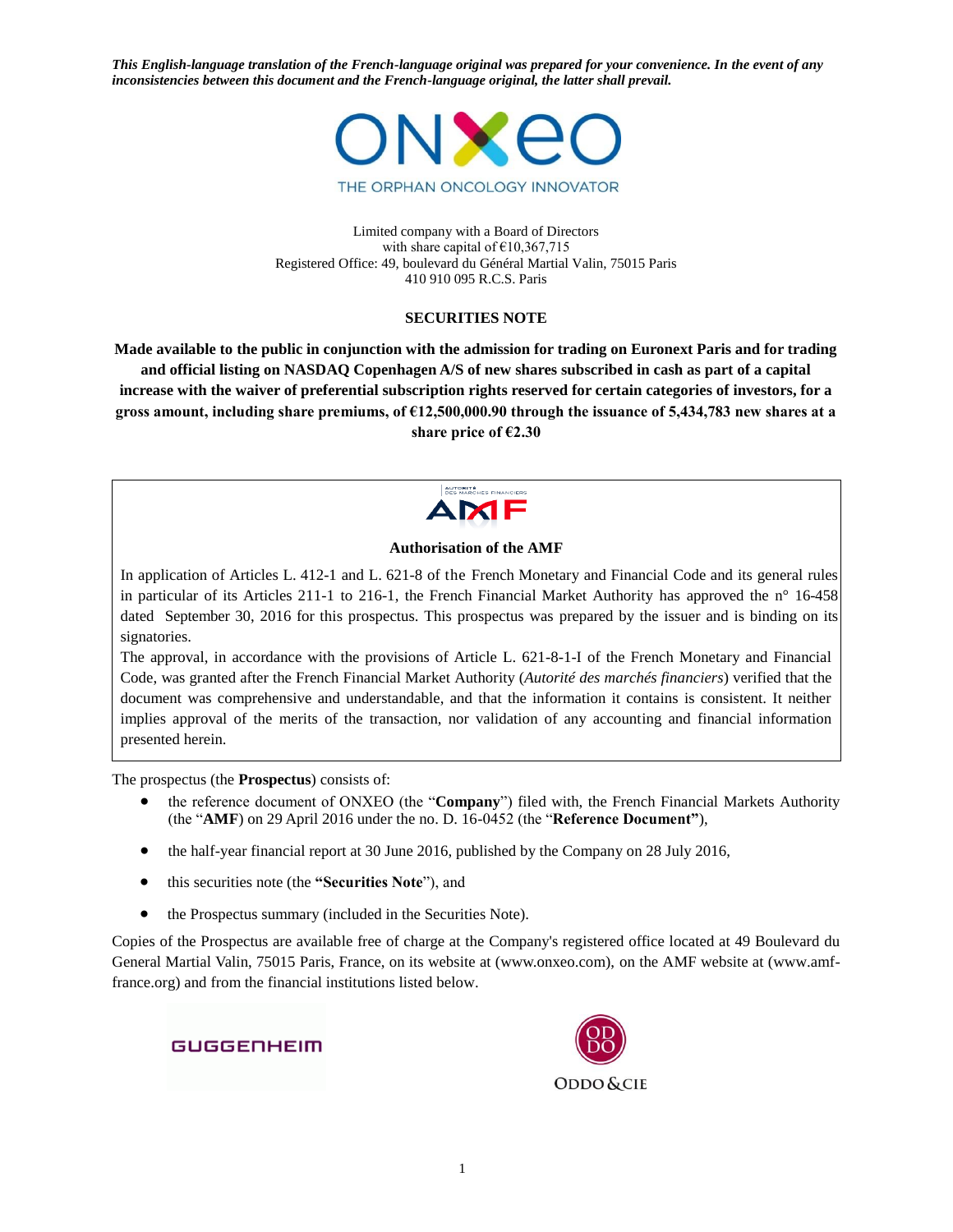

Limited company with a Board of Directors with share capital of €10,367,715 Registered Office: 49, boulevard du Général Martial Valin, 75015 Paris 410 910 095 R.C.S. Paris

#### **SECURITIES NOTE**

**Made available to the public in conjunction with the admission for trading on Euronext Paris and for trading and official listing on NASDAQ Copenhagen A/S of new shares subscribed in cash as part of a capital increase with the waiver of preferential subscription rights reserved for certain categories of investors, for a gross amount, including share premiums, of €12,500,000.90 through the issuance of 5,434,783 new shares at a share price of €2.30**



### **Authorisation of the AMF**

In application of Articles L. 412-1 and L. 621-8 of the French Monetary and Financial Code and its general rules in particular of its Articles 211-1 to 216-1, the French Financial Market Authority has approved the n° 16-458 dated September 30, 2016 for this prospectus. This prospectus was prepared by the issuer and is binding on its signatories.

The approval, in accordance with the provisions of Article L. 621-8-1-I of the French Monetary and Financial Code, was granted after the French Financial Market Authority (*Autorité des marchés financiers*) verified that the document was comprehensive and understandable, and that the information it contains is consistent. It neither implies approval of the merits of the transaction, nor validation of any accounting and financial information presented herein.

The prospectus (the **Prospectus**) consists of:

- the reference document of ONXEO (the "**Company**") filed with, the French Financial Markets Authority (the "**AMF**) on 29 April 2016 under the no. D. 16-0452 (the "**Reference Document"**),
- the half-year financial report at 30 June 2016, published by the Company on 28 July 2016,
- this securities note (the **"Securities Note**"), and
- the Prospectus summary (included in the Securities Note).

Copies of the Prospectus are available free of charge at the Company's registered office located at 49 Boulevard du General Martial Valin, 75015 Paris, France, on its website at (www.onxeo.com), on the AMF website at (www.amffrance.org) and from the financial institutions listed below.

GUGGENHEIM

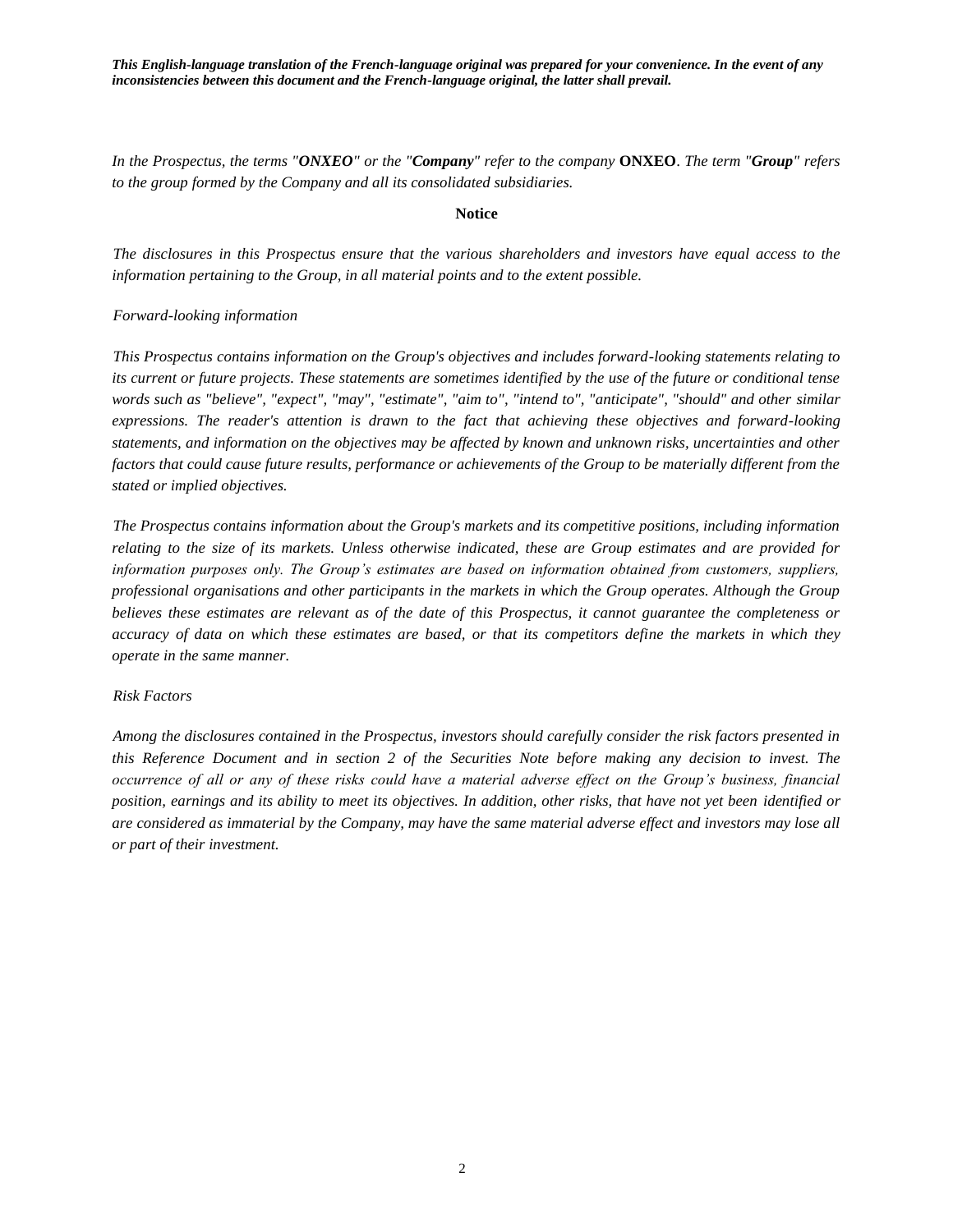*In the Prospectus, the terms "ONXEO" or the "Company" refer to the company* **ONXEO**. *The term "Group" refers to the group formed by the Company and all its consolidated subsidiaries.*

#### **Notice**

*The disclosures in this Prospectus ensure that the various shareholders and investors have equal access to the information pertaining to the Group, in all material points and to the extent possible.*

#### *Forward-looking information*

*This Prospectus contains information on the Group's objectives and includes forward-looking statements relating to its current or future projects. These statements are sometimes identified by the use of the future or conditional tense words such as "believe", "expect", "may", "estimate", "aim to", "intend to", "anticipate", "should" and other similar expressions. The reader's attention is drawn to the fact that achieving these objectives and forward-looking statements, and information on the objectives may be affected by known and unknown risks, uncertainties and other factors that could cause future results, performance or achievements of the Group to be materially different from the stated or implied objectives.*

*The Prospectus contains information about the Group's markets and its competitive positions, including information relating to the size of its markets. Unless otherwise indicated, these are Group estimates and are provided for information purposes only. The Group's estimates are based on information obtained from customers, suppliers, professional organisations and other participants in the markets in which the Group operates. Although the Group believes these estimates are relevant as of the date of this Prospectus, it cannot guarantee the completeness or accuracy of data on which these estimates are based, or that its competitors define the markets in which they operate in the same manner.*

#### *Risk Factors*

*Among the disclosures contained in the Prospectus, investors should carefully consider the risk factors presented in this Reference Document and in section 2 of the Securities Note before making any decision to invest. The occurrence of all or any of these risks could have a material adverse effect on the Group's business, financial position, earnings and its ability to meet its objectives. In addition, other risks, that have not yet been identified or are considered as immaterial by the Company, may have the same material adverse effect and investors may lose all or part of their investment.*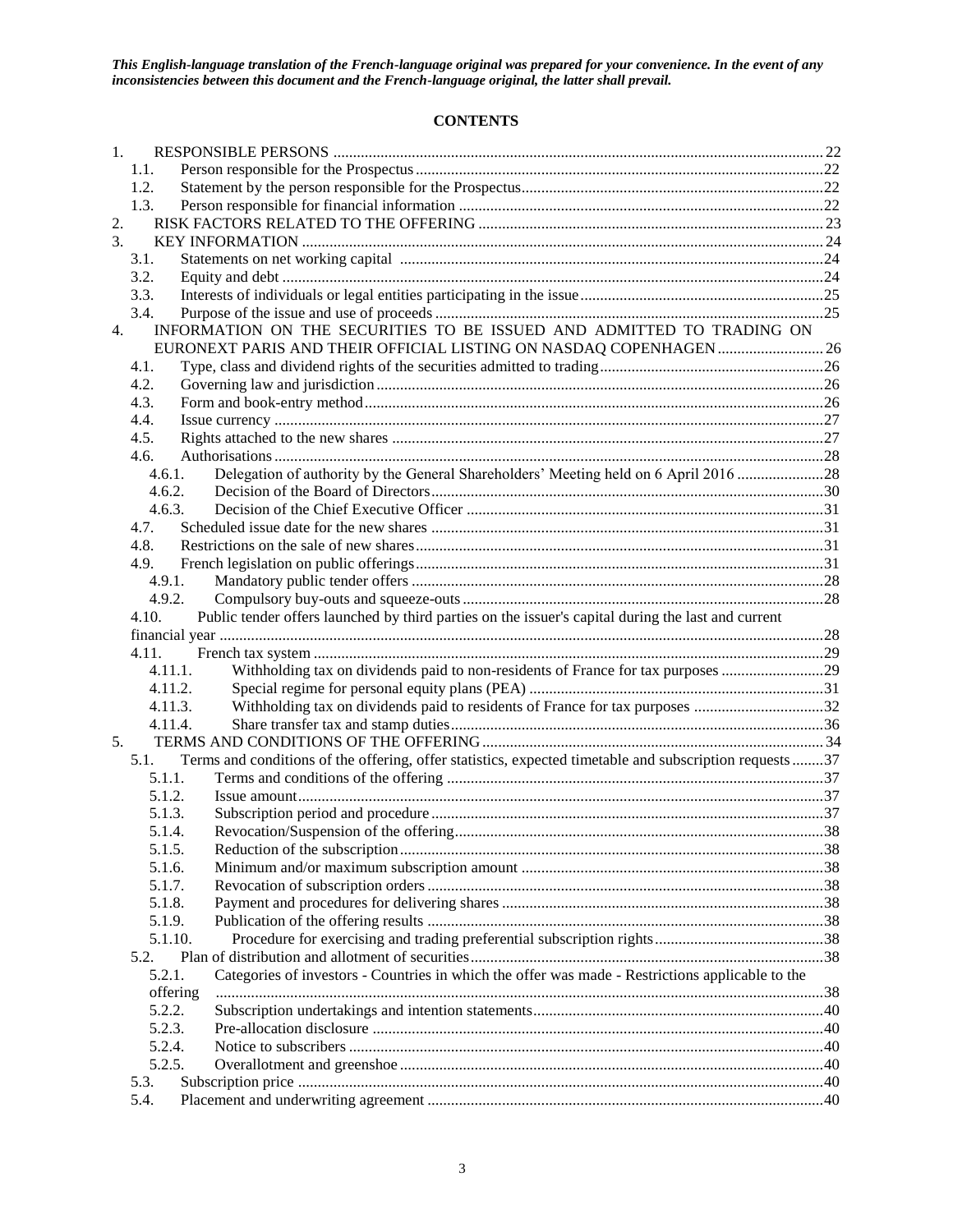## **CONTENTS**

| 1. |                                                                                                             |                                                                                                                                             |  |  |  |  |
|----|-------------------------------------------------------------------------------------------------------------|---------------------------------------------------------------------------------------------------------------------------------------------|--|--|--|--|
|    | 1.1.                                                                                                        |                                                                                                                                             |  |  |  |  |
|    | 1.2.                                                                                                        |                                                                                                                                             |  |  |  |  |
|    | 1.3.                                                                                                        |                                                                                                                                             |  |  |  |  |
| 2. |                                                                                                             |                                                                                                                                             |  |  |  |  |
| 3. |                                                                                                             |                                                                                                                                             |  |  |  |  |
|    | 3.1.                                                                                                        |                                                                                                                                             |  |  |  |  |
|    | 3.2.                                                                                                        |                                                                                                                                             |  |  |  |  |
|    | 3.3.                                                                                                        |                                                                                                                                             |  |  |  |  |
|    | 3.4.                                                                                                        |                                                                                                                                             |  |  |  |  |
| 4. |                                                                                                             | INFORMATION ON THE SECURITIES TO BE ISSUED AND ADMITTED TO TRADING ON<br>EURONEXT PARIS AND THEIR OFFICIAL LISTING ON NASDAQ COPENHAGEN  26 |  |  |  |  |
|    | 4.1.                                                                                                        |                                                                                                                                             |  |  |  |  |
|    | 4.2.                                                                                                        |                                                                                                                                             |  |  |  |  |
|    | 4.3.                                                                                                        |                                                                                                                                             |  |  |  |  |
|    | 4.4.                                                                                                        |                                                                                                                                             |  |  |  |  |
|    | 4.5.                                                                                                        |                                                                                                                                             |  |  |  |  |
|    | 4.6.                                                                                                        |                                                                                                                                             |  |  |  |  |
|    | 4.6.1.                                                                                                      | Delegation of authority by the General Shareholders' Meeting held on 6 April 2016 28                                                        |  |  |  |  |
|    | 4.6.2.                                                                                                      |                                                                                                                                             |  |  |  |  |
|    | 4.6.3.                                                                                                      |                                                                                                                                             |  |  |  |  |
|    | 4.7.                                                                                                        |                                                                                                                                             |  |  |  |  |
|    | 4.8.                                                                                                        |                                                                                                                                             |  |  |  |  |
|    | 4.9.                                                                                                        |                                                                                                                                             |  |  |  |  |
|    | 4.9.1.                                                                                                      |                                                                                                                                             |  |  |  |  |
|    | 4.9.2.                                                                                                      |                                                                                                                                             |  |  |  |  |
|    | Public tender offers launched by third parties on the issuer's capital during the last and current<br>4.10. |                                                                                                                                             |  |  |  |  |
|    |                                                                                                             |                                                                                                                                             |  |  |  |  |
|    | 4.11.                                                                                                       |                                                                                                                                             |  |  |  |  |
|    | 4.11.1.                                                                                                     |                                                                                                                                             |  |  |  |  |
|    | 4.11.2.                                                                                                     |                                                                                                                                             |  |  |  |  |
|    | 4.11.3.                                                                                                     |                                                                                                                                             |  |  |  |  |
|    | 4.11.4.                                                                                                     |                                                                                                                                             |  |  |  |  |
| 5. |                                                                                                             |                                                                                                                                             |  |  |  |  |
|    | 5.1.                                                                                                        | Terms and conditions of the offering, offer statistics, expected timetable and subscription requests37                                      |  |  |  |  |
|    | 5.1.1.                                                                                                      |                                                                                                                                             |  |  |  |  |
|    | 5.1.2.                                                                                                      |                                                                                                                                             |  |  |  |  |
|    | 5.1.3.<br>5.1.4.                                                                                            |                                                                                                                                             |  |  |  |  |
|    | 5.1.5.                                                                                                      |                                                                                                                                             |  |  |  |  |
|    | 5.1.6.                                                                                                      |                                                                                                                                             |  |  |  |  |
|    | 5.1.7.                                                                                                      |                                                                                                                                             |  |  |  |  |
|    | 5.1.8.                                                                                                      |                                                                                                                                             |  |  |  |  |
|    | 5.1.9.                                                                                                      |                                                                                                                                             |  |  |  |  |
|    | 5.1.10.                                                                                                     |                                                                                                                                             |  |  |  |  |
|    | 5.2.                                                                                                        |                                                                                                                                             |  |  |  |  |
|    | 5.2.1.                                                                                                      | Categories of investors - Countries in which the offer was made - Restrictions applicable to the                                            |  |  |  |  |
|    | offering                                                                                                    |                                                                                                                                             |  |  |  |  |
|    | 5.2.2.                                                                                                      |                                                                                                                                             |  |  |  |  |
|    | 5.2.3.                                                                                                      |                                                                                                                                             |  |  |  |  |
|    | 5.2.4.                                                                                                      |                                                                                                                                             |  |  |  |  |
|    | 5.2.5.                                                                                                      |                                                                                                                                             |  |  |  |  |
|    | 5.3.                                                                                                        |                                                                                                                                             |  |  |  |  |
|    | 5.4.                                                                                                        |                                                                                                                                             |  |  |  |  |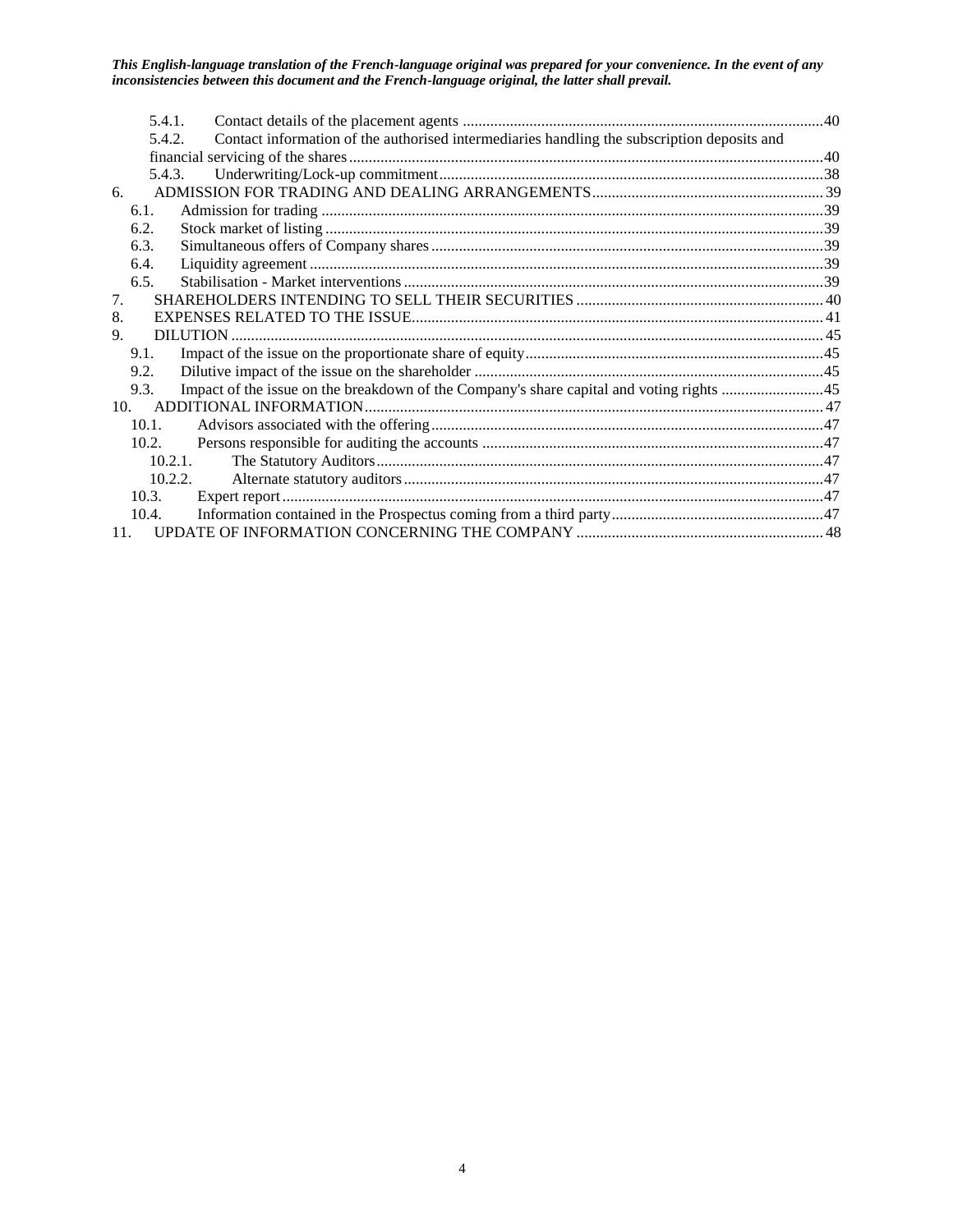|                                           | 5.4.1.   |                                                                                             |  |
|-------------------------------------------|----------|---------------------------------------------------------------------------------------------|--|
|                                           | 5.4.2.   | Contact information of the authorised intermediaries handling the subscription deposits and |  |
|                                           |          |                                                                                             |  |
|                                           | 5.4.3.   |                                                                                             |  |
| 6.                                        |          |                                                                                             |  |
|                                           | 6.1.     |                                                                                             |  |
|                                           | 6.2.     |                                                                                             |  |
|                                           | 6.3.     |                                                                                             |  |
|                                           | 6.4.     |                                                                                             |  |
|                                           | 6.5.     |                                                                                             |  |
| $7_{\scriptscriptstyle{\ddot{\text{c}}}}$ |          |                                                                                             |  |
| 8.                                        |          |                                                                                             |  |
| 9.                                        |          |                                                                                             |  |
|                                           | 9.1.     |                                                                                             |  |
|                                           | 9.2.     |                                                                                             |  |
|                                           | 9.3.     |                                                                                             |  |
|                                           |          |                                                                                             |  |
|                                           | $10.1$ . |                                                                                             |  |
|                                           | 10.2.    |                                                                                             |  |
|                                           | 10.2.1.  |                                                                                             |  |
|                                           | 10.2.2.  |                                                                                             |  |
|                                           | 10.3.    |                                                                                             |  |
|                                           | 10.4.    |                                                                                             |  |
| 11.                                       |          |                                                                                             |  |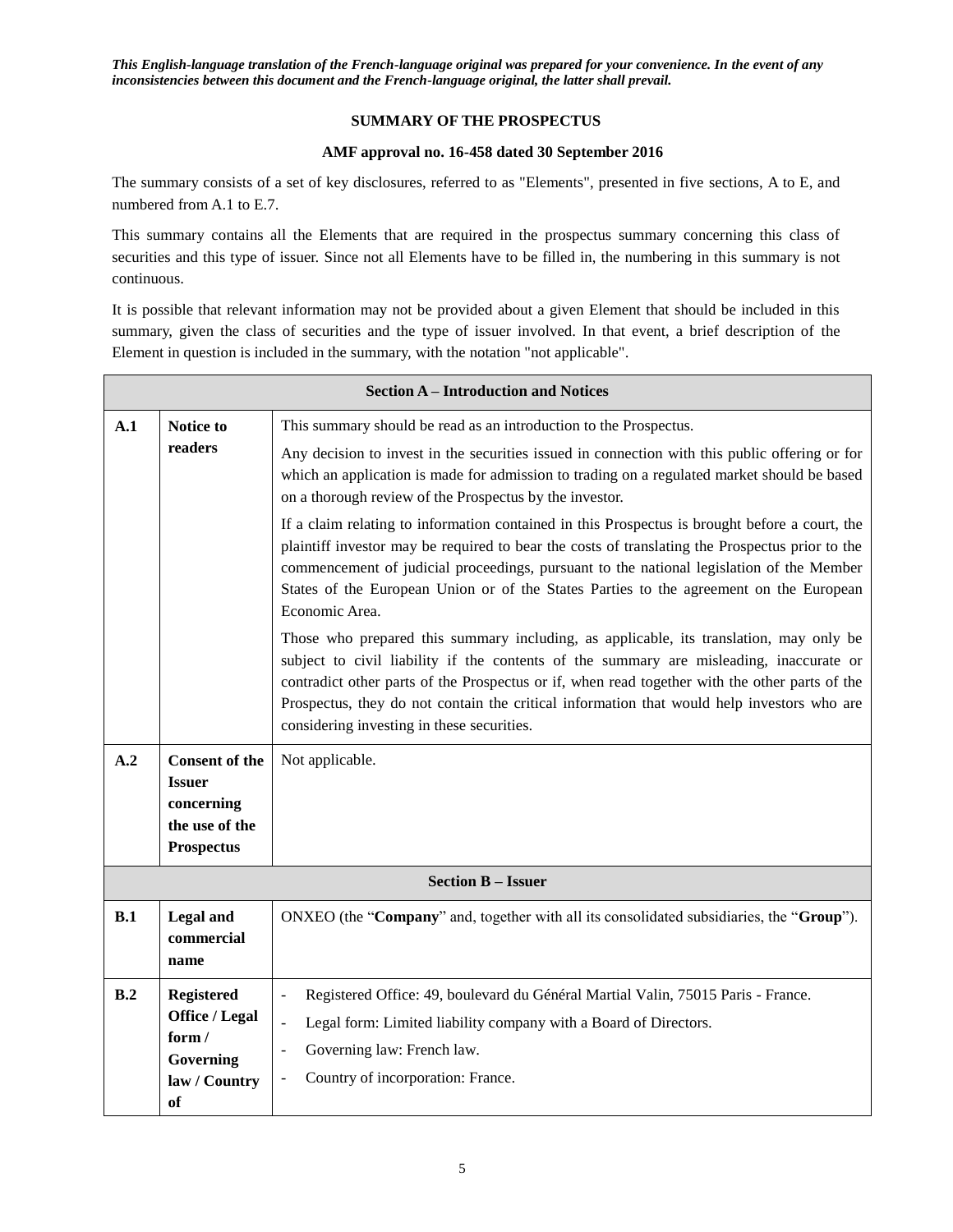## **SUMMARY OF THE PROSPECTUS**

#### **AMF approval no. 16-458 dated 30 September 2016**

The summary consists of a set of key disclosures, referred to as "Elements", presented in five sections, A to E, and numbered from A.1 to E.7.

This summary contains all the Elements that are required in the prospectus summary concerning this class of securities and this type of issuer. Since not all Elements have to be filled in, the numbering in this summary is not continuous.

It is possible that relevant information may not be provided about a given Element that should be included in this summary, given the class of securities and the type of issuer involved. In that event, a brief description of the Element in question is included in the summary, with the notation "not applicable".

|     | <b>Section A - Introduction and Notices</b>                                                 |                                                                                                                                                                                                                                                                                                                                                                                                                                                                                                                                                                                                                                                                                                                                                                                                                                                                                                                                                                                                                                                                                                                                                                               |  |  |  |  |
|-----|---------------------------------------------------------------------------------------------|-------------------------------------------------------------------------------------------------------------------------------------------------------------------------------------------------------------------------------------------------------------------------------------------------------------------------------------------------------------------------------------------------------------------------------------------------------------------------------------------------------------------------------------------------------------------------------------------------------------------------------------------------------------------------------------------------------------------------------------------------------------------------------------------------------------------------------------------------------------------------------------------------------------------------------------------------------------------------------------------------------------------------------------------------------------------------------------------------------------------------------------------------------------------------------|--|--|--|--|
| A.1 | Notice to<br>readers                                                                        | This summary should be read as an introduction to the Prospectus.<br>Any decision to invest in the securities issued in connection with this public offering or for<br>which an application is made for admission to trading on a regulated market should be based<br>on a thorough review of the Prospectus by the investor.<br>If a claim relating to information contained in this Prospectus is brought before a court, the<br>plaintiff investor may be required to bear the costs of translating the Prospectus prior to the<br>commencement of judicial proceedings, pursuant to the national legislation of the Member<br>States of the European Union or of the States Parties to the agreement on the European<br>Economic Area.<br>Those who prepared this summary including, as applicable, its translation, may only be<br>subject to civil liability if the contents of the summary are misleading, inaccurate or<br>contradict other parts of the Prospectus or if, when read together with the other parts of the<br>Prospectus, they do not contain the critical information that would help investors who are<br>considering investing in these securities. |  |  |  |  |
| A.2 | <b>Consent of the</b><br><b>Issuer</b><br>concerning<br>the use of the<br><b>Prospectus</b> | Not applicable.                                                                                                                                                                                                                                                                                                                                                                                                                                                                                                                                                                                                                                                                                                                                                                                                                                                                                                                                                                                                                                                                                                                                                               |  |  |  |  |
|     |                                                                                             | <b>Section B - Issuer</b>                                                                                                                                                                                                                                                                                                                                                                                                                                                                                                                                                                                                                                                                                                                                                                                                                                                                                                                                                                                                                                                                                                                                                     |  |  |  |  |
| B.1 | Legal and<br>commercial<br>name                                                             | ONXEO (the "Company" and, together with all its consolidated subsidiaries, the "Group").                                                                                                                                                                                                                                                                                                                                                                                                                                                                                                                                                                                                                                                                                                                                                                                                                                                                                                                                                                                                                                                                                      |  |  |  |  |
| B.2 | <b>Registered</b><br>Office / Legal<br>form/<br>Governing<br>law / Country<br><sub>of</sub> | Registered Office: 49, boulevard du Général Martial Valin, 75015 Paris - France.<br>$\blacksquare$<br>Legal form: Limited liability company with a Board of Directors.<br>$\overline{\phantom{a}}$<br>Governing law: French law.<br>$\overline{a}$<br>Country of incorporation: France.<br>$\overline{a}$                                                                                                                                                                                                                                                                                                                                                                                                                                                                                                                                                                                                                                                                                                                                                                                                                                                                     |  |  |  |  |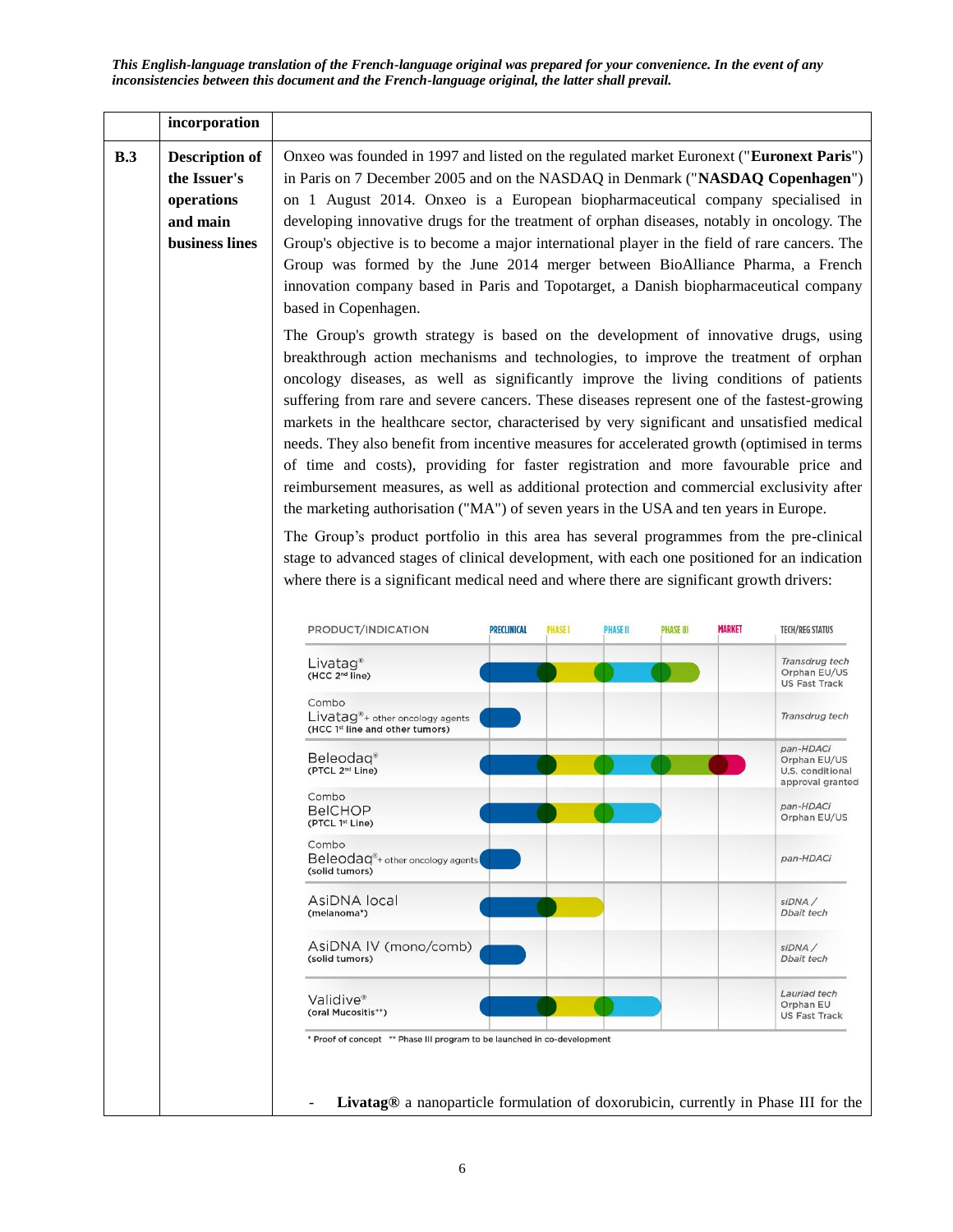|     | incorporation                                                                     |                                                                                                                                                                                                                                                                                                                                                                                                                                                                                                                                                                                                                                                                                                                                                                                                                                                                                                                                                                                                                                                                                                                                      |                    |                |                 |                  |               |                                                                                  |
|-----|-----------------------------------------------------------------------------------|--------------------------------------------------------------------------------------------------------------------------------------------------------------------------------------------------------------------------------------------------------------------------------------------------------------------------------------------------------------------------------------------------------------------------------------------------------------------------------------------------------------------------------------------------------------------------------------------------------------------------------------------------------------------------------------------------------------------------------------------------------------------------------------------------------------------------------------------------------------------------------------------------------------------------------------------------------------------------------------------------------------------------------------------------------------------------------------------------------------------------------------|--------------------|----------------|-----------------|------------------|---------------|----------------------------------------------------------------------------------|
| B.3 | <b>Description of</b><br>the Issuer's<br>operations<br>and main<br>business lines | Onxeo was founded in 1997 and listed on the regulated market Euronext ("Euronext Paris")<br>in Paris on 7 December 2005 and on the NASDAQ in Denmark ("NASDAQ Copenhagen")<br>on 1 August 2014. Onxeo is a European biopharmaceutical company specialised in<br>developing innovative drugs for the treatment of orphan diseases, notably in oncology. The<br>Group's objective is to become a major international player in the field of rare cancers. The<br>Group was formed by the June 2014 merger between BioAlliance Pharma, a French<br>innovation company based in Paris and Topotarget, a Danish biopharmaceutical company<br>based in Copenhagen.                                                                                                                                                                                                                                                                                                                                                                                                                                                                         |                    |                |                 |                  |               |                                                                                  |
|     |                                                                                   | The Group's growth strategy is based on the development of innovative drugs, using<br>breakthrough action mechanisms and technologies, to improve the treatment of orphan<br>oncology diseases, as well as significantly improve the living conditions of patients<br>suffering from rare and severe cancers. These diseases represent one of the fastest-growing<br>markets in the healthcare sector, characterised by very significant and unsatisfied medical<br>needs. They also benefit from incentive measures for accelerated growth (optimised in terms<br>of time and costs), providing for faster registration and more favourable price and<br>reimbursement measures, as well as additional protection and commercial exclusivity after<br>the marketing authorisation ("MA") of seven years in the USA and ten years in Europe.<br>The Group's product portfolio in this area has several programmes from the pre-clinical<br>stage to advanced stages of clinical development, with each one positioned for an indication<br>where there is a significant medical need and where there are significant growth drivers: |                    |                |                 |                  |               |                                                                                  |
|     |                                                                                   |                                                                                                                                                                                                                                                                                                                                                                                                                                                                                                                                                                                                                                                                                                                                                                                                                                                                                                                                                                                                                                                                                                                                      |                    |                |                 |                  |               |                                                                                  |
|     |                                                                                   | PRODUCT/INDICATION<br>Livatag <sup>®</sup><br>(HCC 2 <sup>nd</sup> line)                                                                                                                                                                                                                                                                                                                                                                                                                                                                                                                                                                                                                                                                                                                                                                                                                                                                                                                                                                                                                                                             | <b>PRECLINICAL</b> | <b>PHASE I</b> | <b>PHASE II</b> | <b>PHASE III</b> | <b>MARKET</b> | <b>TECH/REG STATUS</b><br>Transdrug tech<br>Orphan EU/US<br><b>US Fast Track</b> |
|     |                                                                                   | Combo<br>Livatag <sup>®</sup> + other oncology agents<br>(HCC 1st line and other tumors)                                                                                                                                                                                                                                                                                                                                                                                                                                                                                                                                                                                                                                                                                                                                                                                                                                                                                                                                                                                                                                             |                    |                |                 |                  |               | Transdrug tech                                                                   |
|     |                                                                                   | Beleodag®<br>(PTCL 2 <sup>nd</sup> Line)                                                                                                                                                                                                                                                                                                                                                                                                                                                                                                                                                                                                                                                                                                                                                                                                                                                                                                                                                                                                                                                                                             |                    |                |                 |                  |               | pan-HDACi<br>Orphan EU/US<br>U.S. conditional<br>approval granted                |
|     |                                                                                   | Combo<br><b>BeICHOP</b><br>(PTCL 1st Line)                                                                                                                                                                                                                                                                                                                                                                                                                                                                                                                                                                                                                                                                                                                                                                                                                                                                                                                                                                                                                                                                                           |                    |                |                 |                  |               | pan-HDACi<br>Orphan EU/US                                                        |
|     |                                                                                   | Combo<br>Beleodag <sup>®</sup> + other oncology agents<br>(solid tumors)                                                                                                                                                                                                                                                                                                                                                                                                                                                                                                                                                                                                                                                                                                                                                                                                                                                                                                                                                                                                                                                             |                    |                |                 |                  |               | pan-HDACi                                                                        |
|     |                                                                                   | AsiDNA local<br>(melanoma*)                                                                                                                                                                                                                                                                                                                                                                                                                                                                                                                                                                                                                                                                                                                                                                                                                                                                                                                                                                                                                                                                                                          |                    |                |                 |                  |               | siDNA/<br>Dbait tech                                                             |
|     |                                                                                   | AsiDNA IV (mono/comb)<br>(solid tumors)                                                                                                                                                                                                                                                                                                                                                                                                                                                                                                                                                                                                                                                                                                                                                                                                                                                                                                                                                                                                                                                                                              |                    |                |                 |                  |               | siDNA/<br>Dbait tech                                                             |
|     |                                                                                   | Validive <sup>®</sup><br>(oral Mucositis**)                                                                                                                                                                                                                                                                                                                                                                                                                                                                                                                                                                                                                                                                                                                                                                                                                                                                                                                                                                                                                                                                                          |                    |                |                 |                  |               | Lauriad tech<br>Orphan EU<br><b>US Fast Track</b>                                |
|     |                                                                                   | * Proof of concept ** Phase III program to be launched in co-development<br>Livatag® a nanoparticle formulation of doxorubicin, currently in Phase III for the                                                                                                                                                                                                                                                                                                                                                                                                                                                                                                                                                                                                                                                                                                                                                                                                                                                                                                                                                                       |                    |                |                 |                  |               |                                                                                  |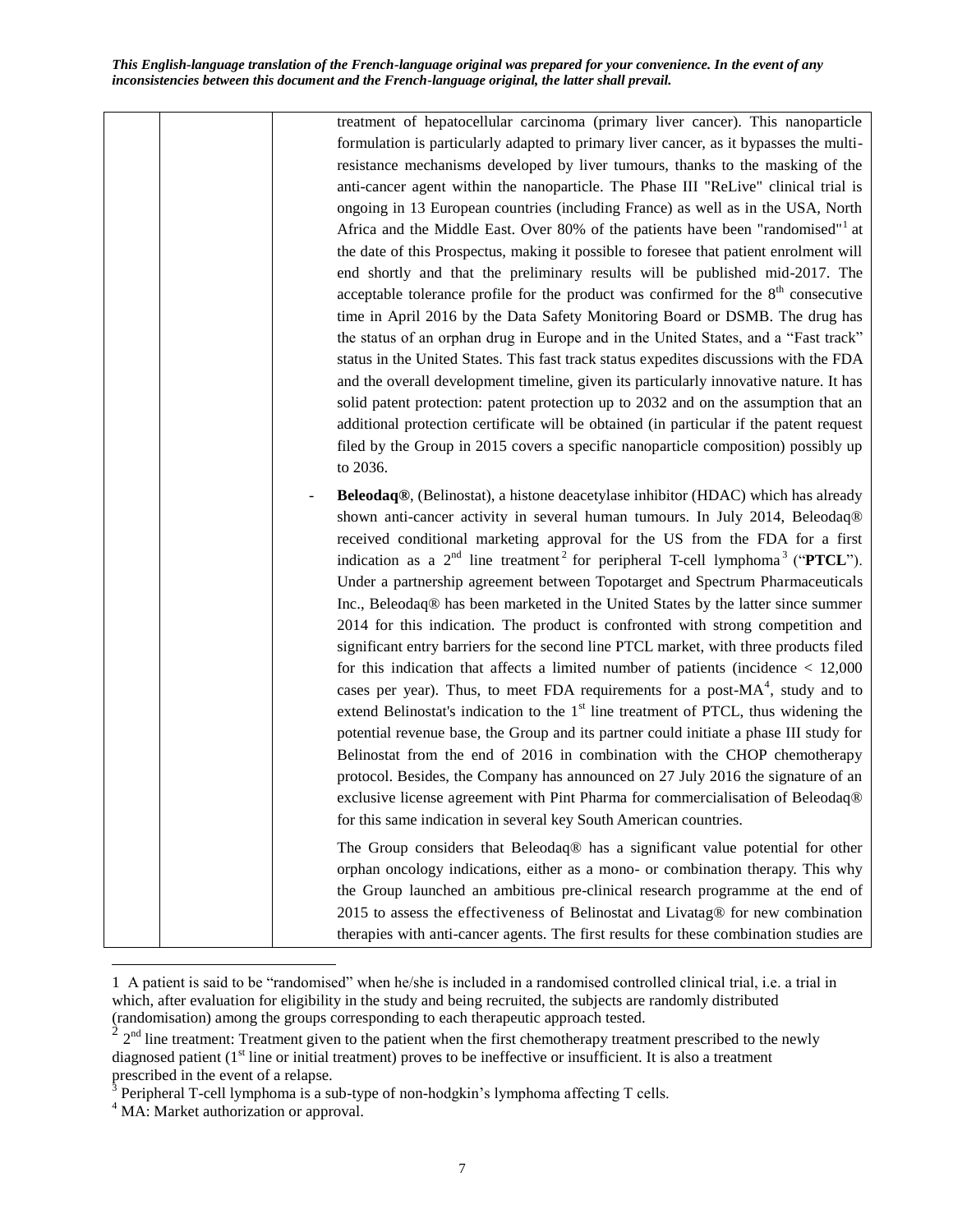> treatment of hepatocellular carcinoma (primary liver cancer). This nanoparticle formulation is particularly adapted to primary liver cancer, as it bypasses the multiresistance mechanisms developed by liver tumours, thanks to the masking of the anti-cancer agent within the nanoparticle. The Phase III "ReLive" clinical trial is ongoing in 13 European countries (including France) as well as in the USA, North Africa and the Middle East. Over 80% of the patients have been "randomised"<sup>1</sup> at the date of this Prospectus, making it possible to foresee that patient enrolment will end shortly and that the preliminary results will be published mid-2017. The acceptable tolerance profile for the product was confirmed for the  $8<sup>th</sup>$  consecutive time in April 2016 by the Data Safety Monitoring Board or DSMB. The drug has the status of an orphan drug in Europe and in the United States, and a "Fast track" status in the United States. This fast track status expedites discussions with the FDA and the overall development timeline, given its particularly innovative nature. It has solid patent protection: patent protection up to 2032 and on the assumption that an additional protection certificate will be obtained (in particular if the patent request filed by the Group in 2015 covers a specific nanoparticle composition) possibly up to 2036.

- **Beleodaq®**, (Belinostat), a histone deacetylase inhibitor (HDAC) which has already shown anti-cancer activity in several human tumours. In July 2014, Beleodaq® received conditional marketing approval for the US from the FDA for a first indication as a  $2<sup>nd</sup>$  line treatment<sup>2</sup> for peripheral T-cell lymphoma<sup>3</sup> ("**PTCL**"). Under a partnership agreement between Topotarget and Spectrum Pharmaceuticals Inc., Beleodaq® has been marketed in the United States by the latter since summer 2014 for this indication. The product is confronted with strong competition and significant entry barriers for the second line PTCL market, with three products filed for this indication that affects a limited number of patients (incidence < 12,000 cases per year). Thus, to meet FDA requirements for a post- $MA^4$ , study and to extend Belinostat's indication to the  $1<sup>st</sup>$  line treatment of PTCL, thus widening the potential revenue base, the Group and its partner could initiate a phase III study for Belinostat from the end of 2016 in combination with the CHOP chemotherapy protocol. Besides, the Company has announced on 27 July 2016 the signature of an exclusive license agreement with Pint Pharma for commercialisation of Beleodaq® for this same indication in several key South American countries.

The Group considers that Beleodaq® has a significant value potential for other orphan oncology indications, either as a mono- or combination therapy. This why the Group launched an ambitious pre-clinical research programme at the end of 2015 to assess the effectiveness of Belinostat and Livatag® for new combination therapies with anti-cancer agents. The first results for these combination studies are

 $\overline{a}$ 

<sup>1</sup> A patient is said to be "randomised" when he/she is included in a randomised controlled clinical trial, i.e. a trial in which, after evaluation for eligibility in the study and being recruited, the subjects are randomly distributed (randomisation) among the groups corresponding to each therapeutic approach tested.

 $2<sup>nd</sup>$  line treatment: Treatment given to the patient when the first chemotherapy treatment prescribed to the newly diagnosed patient  $(1<sup>st</sup>$  line or initial treatment) proves to be ineffective or insufficient. It is also a treatment prescribed in the event of a relapse.<br><sup>3</sup> Peripheral T-cell lymphoma is a sub-type of non-hodgkin's lymphoma affecting T cells.

<sup>&</sup>lt;sup>4</sup> MA: Market authorization or approval.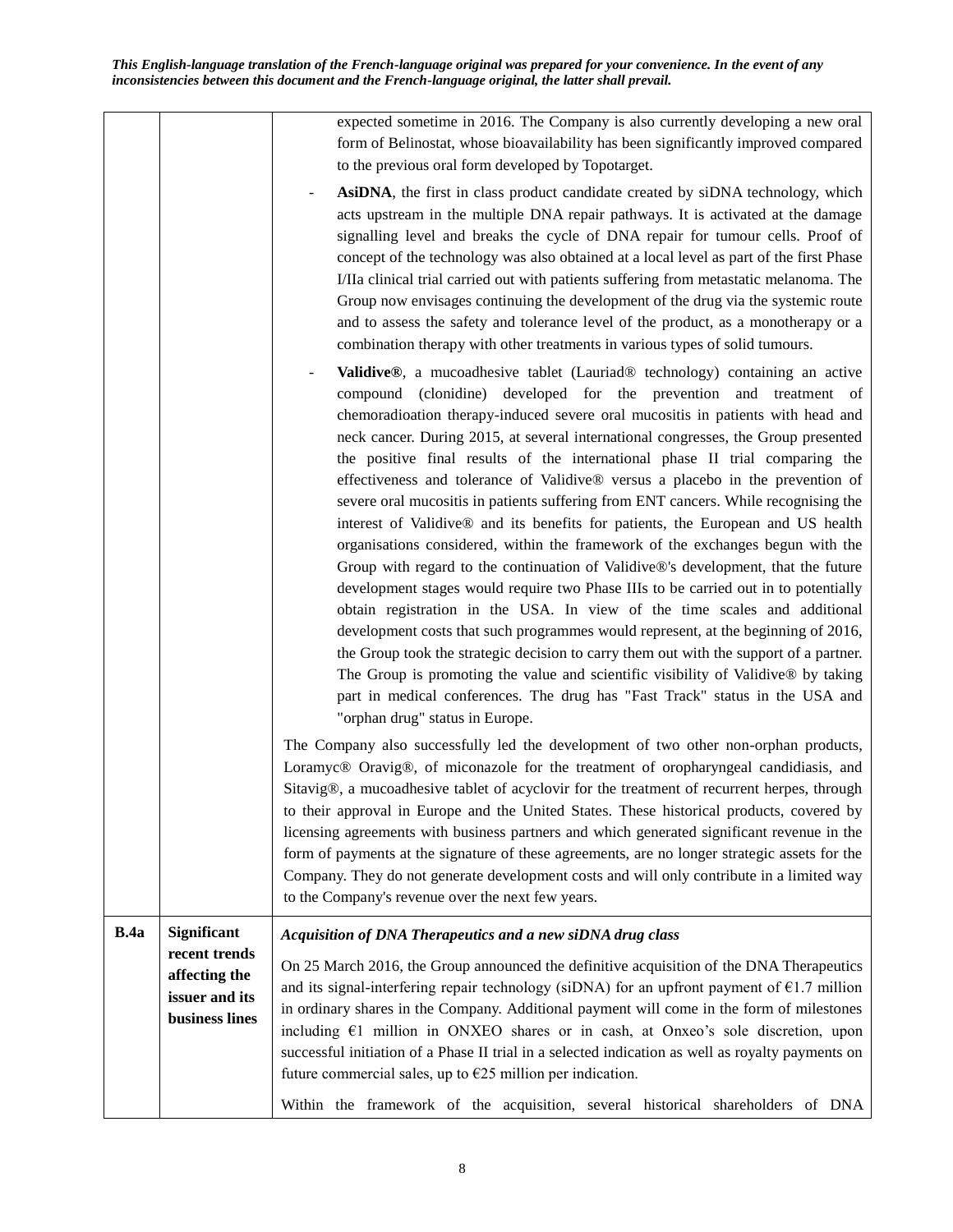expected sometime in 2016. The Company is also currently developing a new oral form of Belinostat, whose bioavailability has been significantly improved compared to the previous oral form developed by Topotarget.

- AsiDNA, the first in class product candidate created by siDNA technology, which acts upstream in the multiple DNA repair pathways. It is activated at the damage signalling level and breaks the cycle of DNA repair for tumour cells. Proof of concept of the technology was also obtained at a local level as part of the first Phase I/IIa clinical trial carried out with patients suffering from metastatic melanoma. The Group now envisages continuing the development of the drug via the systemic route and to assess the safety and tolerance level of the product, as a monotherapy or a combination therapy with other treatments in various types of solid tumours.
- **Validive®**, a mucoadhesive tablet (Lauriad® technology) containing an active compound (clonidine) developed for the prevention and treatment of chemoradioation therapy-induced severe oral mucositis in patients with head and neck cancer. During 2015, at several international congresses, the Group presented the positive final results of the international phase II trial comparing the effectiveness and tolerance of Validive® versus a placebo in the prevention of severe oral mucositis in patients suffering from ENT cancers. While recognising the interest of Validive® and its benefits for patients, the European and US health organisations considered, within the framework of the exchanges begun with the Group with regard to the continuation of Validive®'s development, that the future development stages would require two Phase IIIs to be carried out in to potentially obtain registration in the USA. In view of the time scales and additional development costs that such programmes would represent, at the beginning of 2016, the Group took the strategic decision to carry them out with the support of a partner. The Group is promoting the value and scientific visibility of Validive® by taking part in medical conferences. The drug has "Fast Track" status in the USA and "orphan drug" status in Europe.

The Company also successfully led the development of two other non-orphan products, Loramyc® Oravig®, of miconazole for the treatment of oropharyngeal candidiasis, and Sitavig®, a mucoadhesive tablet of acyclovir for the treatment of recurrent herpes, through to their approval in Europe and the United States. These historical products, covered by licensing agreements with business partners and which generated significant revenue in the form of payments at the signature of these agreements, are no longer strategic assets for the Company. They do not generate development costs and will only contribute in a limited way to the Company's revenue over the next few years.

| B.4a | <b>Significant</b><br>Acquisition of DNA Therapeutics and a new siDNA drug class                            |                                                                                          |  |  |  |  |  |
|------|-------------------------------------------------------------------------------------------------------------|------------------------------------------------------------------------------------------|--|--|--|--|--|
|      | recent trends                                                                                               |                                                                                          |  |  |  |  |  |
|      | affecting the                                                                                               | On 25 March 2016, the Group announced the definitive acquisition of the DNA Therapeutics |  |  |  |  |  |
|      | and its signal-interfering repair technology (siDNA) for an upfront payment of $\epsilon$ 1.7 million       |                                                                                          |  |  |  |  |  |
|      | issuer and its<br>in ordinary shares in the Company. Additional payment will come in the form of milestones |                                                                                          |  |  |  |  |  |
|      | business lines<br>including $E1$ million in ONXEO shares or in cash, at Onxeo's sole discretion, upon       |                                                                                          |  |  |  |  |  |
|      |                                                                                                             |                                                                                          |  |  |  |  |  |
|      | successful initiation of a Phase II trial in a selected indication as well as royalty payments on           |                                                                                          |  |  |  |  |  |
|      |                                                                                                             | future commercial sales, up to $\epsilon$ 25 million per indication.                     |  |  |  |  |  |
|      |                                                                                                             | Within the framework of the acquisition, several historical shareholders of DNA          |  |  |  |  |  |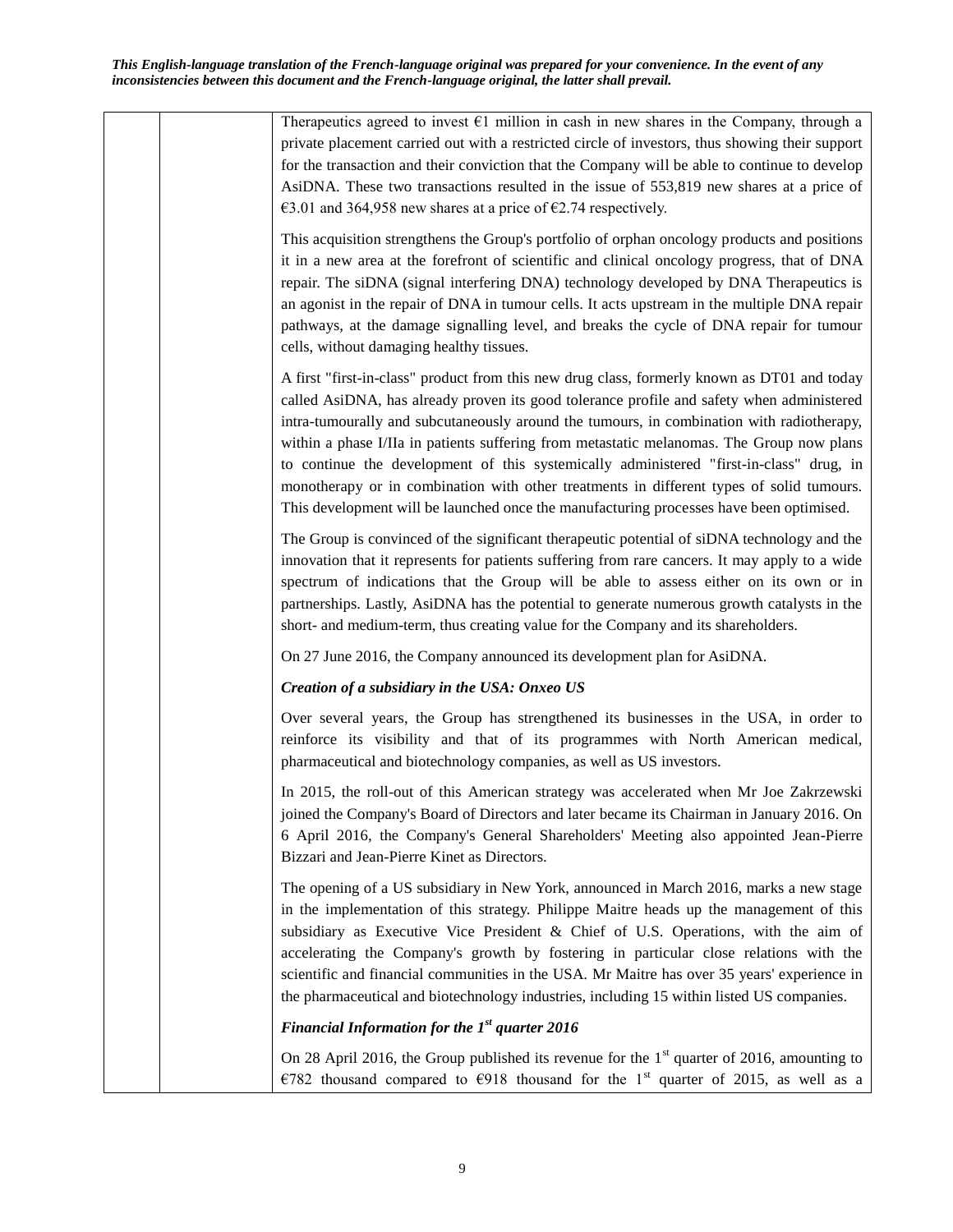Therapeutics agreed to invest  $E1$  million in cash in new shares in the Company, through a private placement carried out with a restricted circle of investors, thus showing their support for the transaction and their conviction that the Company will be able to continue to develop AsiDNA. These two transactions resulted in the issue of 553,819 new shares at a price of €3.01 and 364,958 new shares at a price of €2.74 respectively.

This acquisition strengthens the Group's portfolio of orphan oncology products and positions it in a new area at the forefront of scientific and clinical oncology progress, that of DNA repair. The siDNA (signal interfering DNA) technology developed by DNA Therapeutics is an agonist in the repair of DNA in tumour cells. It acts upstream in the multiple DNA repair pathways, at the damage signalling level, and breaks the cycle of DNA repair for tumour cells, without damaging healthy tissues.

A first "first-in-class" product from this new drug class, formerly known as DT01 and today called AsiDNA, has already proven its good tolerance profile and safety when administered intra-tumourally and subcutaneously around the tumours, in combination with radiotherapy, within a phase I/IIa in patients suffering from metastatic melanomas. The Group now plans to continue the development of this systemically administered "first-in-class" drug, in monotherapy or in combination with other treatments in different types of solid tumours. This development will be launched once the manufacturing processes have been optimised.

The Group is convinced of the significant therapeutic potential of siDNA technology and the innovation that it represents for patients suffering from rare cancers. It may apply to a wide spectrum of indications that the Group will be able to assess either on its own or in partnerships. Lastly, AsiDNA has the potential to generate numerous growth catalysts in the short- and medium-term, thus creating value for the Company and its shareholders.

On 27 June 2016, the Company announced its development plan for AsiDNA.

## *Creation of a subsidiary in the USA: Onxeo US*

Over several years, the Group has strengthened its businesses in the USA, in order to reinforce its visibility and that of its programmes with North American medical, pharmaceutical and biotechnology companies, as well as US investors.

In 2015, the roll-out of this American strategy was accelerated when Mr Joe Zakrzewski joined the Company's Board of Directors and later became its Chairman in January 2016. On 6 April 2016, the Company's General Shareholders' Meeting also appointed Jean-Pierre Bizzari and Jean-Pierre Kinet as Directors.

The opening of a US subsidiary in New York, announced in March 2016, marks a new stage in the implementation of this strategy. Philippe Maitre heads up the management of this subsidiary as Executive Vice President & Chief of U.S. Operations, with the aim of accelerating the Company's growth by fostering in particular close relations with the scientific and financial communities in the USA. Mr Maitre has over 35 years' experience in the pharmaceutical and biotechnology industries, including 15 within listed US companies.

## *Financial Information for the 1st quarter 2016*

On 28 April 2016, the Group published its revenue for the  $1<sup>st</sup>$  quarter of 2016, amounting to €782 thousand compared to €918 thousand for the 1<sup>st</sup> quarter of 2015, as well as a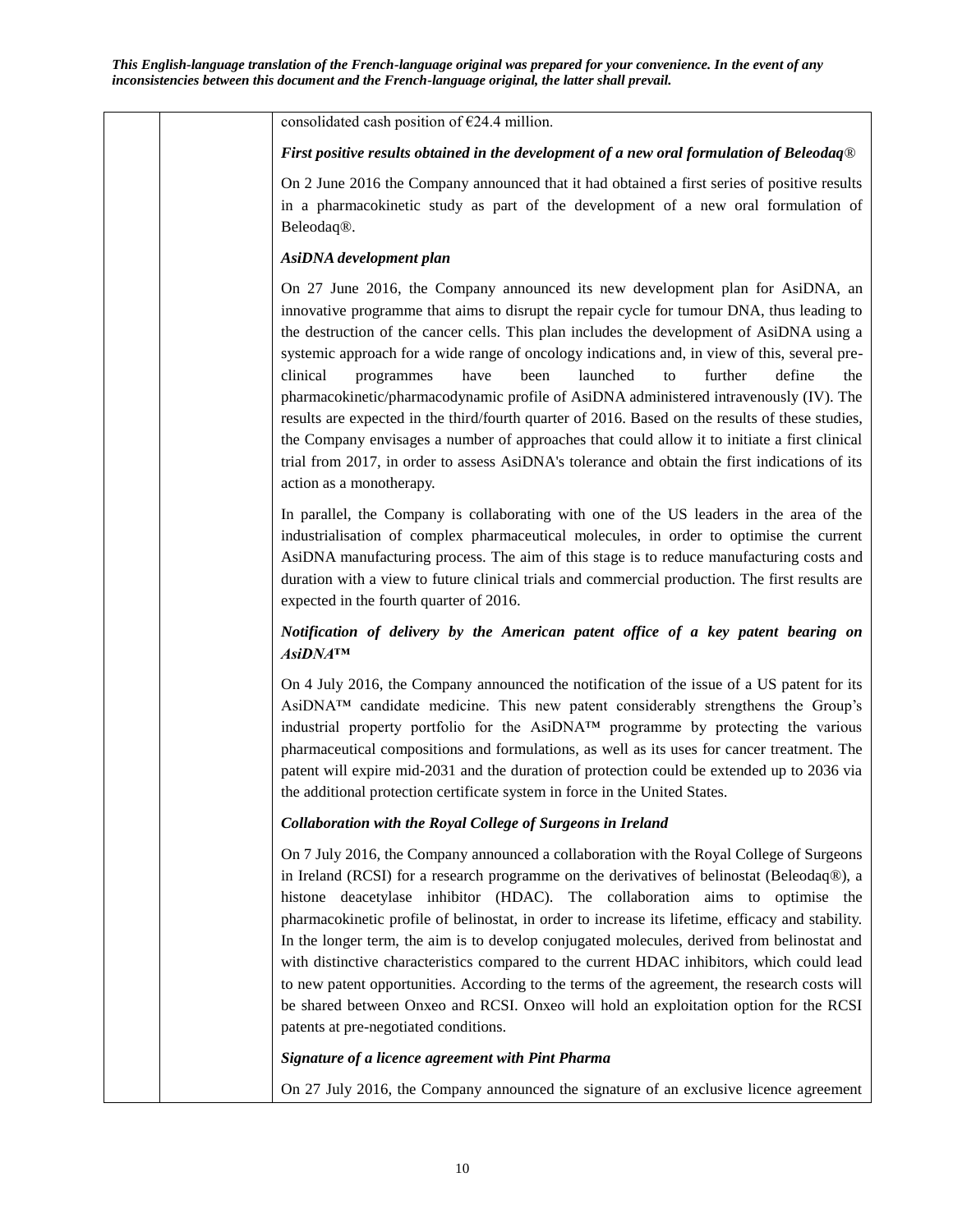consolidated cash position of  $E$ 24.4 million.

#### *First positive results obtained in the development of a new oral formulation of Beleodaq*®

On 2 June 2016 the Company announced that it had obtained a first series of positive results in a pharmacokinetic study as part of the development of a new oral formulation of Beleodaq®.

### *AsiDNA development plan*

On 27 June 2016, the Company announced its new development plan for AsiDNA, an innovative programme that aims to disrupt the repair cycle for tumour DNA, thus leading to the destruction of the cancer cells. This plan includes the development of AsiDNA using a systemic approach for a wide range of oncology indications and, in view of this, several preclinical programmes have been launched to further define the pharmacokinetic/pharmacodynamic profile of AsiDNA administered intravenously (IV). The results are expected in the third/fourth quarter of 2016. Based on the results of these studies, the Company envisages a number of approaches that could allow it to initiate a first clinical trial from 2017, in order to assess AsiDNA's tolerance and obtain the first indications of its action as a monotherapy.

In parallel, the Company is collaborating with one of the US leaders in the area of the industrialisation of complex pharmaceutical molecules, in order to optimise the current AsiDNA manufacturing process. The aim of this stage is to reduce manufacturing costs and duration with a view to future clinical trials and commercial production. The first results are expected in the fourth quarter of 2016.

## *Notification of delivery by the American patent office of a key patent bearing on AsiDNA™*

On 4 July 2016, the Company announced the notification of the issue of a US patent for its AsiDNA™ candidate medicine. This new patent considerably strengthens the Group's industrial property portfolio for the AsiDNA™ programme by protecting the various pharmaceutical compositions and formulations, as well as its uses for cancer treatment. The patent will expire mid-2031 and the duration of protection could be extended up to 2036 via the additional protection certificate system in force in the United States.

## *Collaboration with the Royal College of Surgeons in Ireland*

On 7 July 2016, the Company announced a collaboration with the Royal College of Surgeons in Ireland (RCSI) for a research programme on the derivatives of belinostat (Beleodaq®), a histone deacetylase inhibitor (HDAC). The collaboration aims to optimise the pharmacokinetic profile of belinostat, in order to increase its lifetime, efficacy and stability. In the longer term, the aim is to develop conjugated molecules, derived from belinostat and with distinctive characteristics compared to the current HDAC inhibitors, which could lead to new patent opportunities. According to the terms of the agreement, the research costs will be shared between Onxeo and RCSI. Onxeo will hold an exploitation option for the RCSI patents at pre-negotiated conditions.

#### *Signature of a licence agreement with Pint Pharma*

On 27 July 2016, the Company announced the signature of an exclusive licence agreement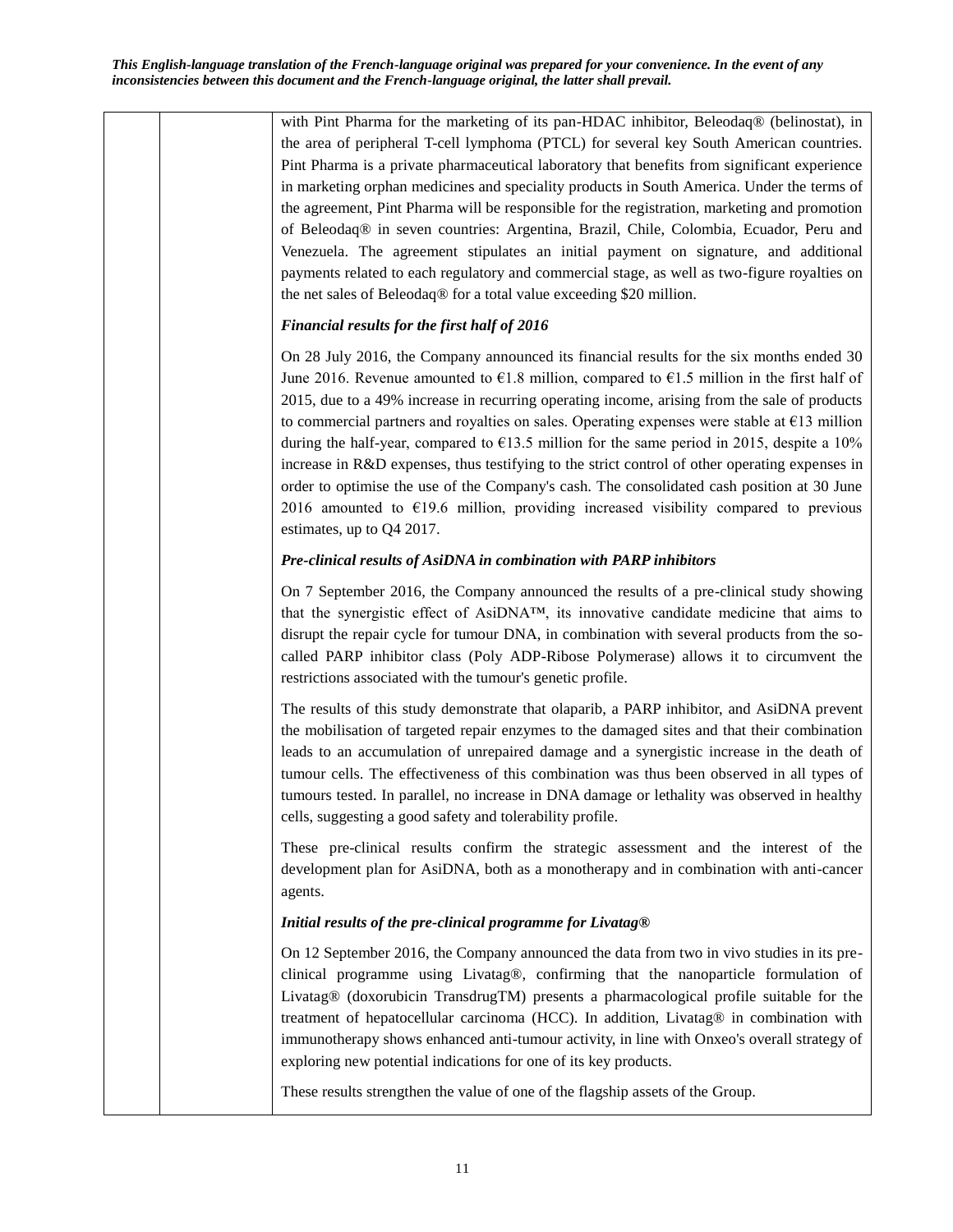with Pint Pharma for the marketing of its pan-HDAC inhibitor, Beleodaq® (belinostat), in the area of peripheral T-cell lymphoma (PTCL) for several key South American countries. Pint Pharma is a private pharmaceutical laboratory that benefits from significant experience in marketing orphan medicines and speciality products in South America. Under the terms of the agreement, Pint Pharma will be responsible for the registration, marketing and promotion of Beleodaq® in seven countries: Argentina, Brazil, Chile, Colombia, Ecuador, Peru and Venezuela. The agreement stipulates an initial payment on signature, and additional payments related to each regulatory and commercial stage, as well as two-figure royalties on the net sales of Beleodaq® for a total value exceeding \$20 million.

## *Financial results for the first half of 2016*

On 28 July 2016, the Company announced its financial results for the six months ended 30 June 2016. Revenue amounted to  $\epsilon$ 1.8 million, compared to  $\epsilon$ 1.5 million in the first half of 2015, due to a 49% increase in recurring operating income, arising from the sale of products to commercial partners and royalties on sales. Operating expenses were stable at  $E13$  million during the half-year, compared to  $\epsilon$ 13.5 million for the same period in 2015, despite a 10% increase in R&D expenses, thus testifying to the strict control of other operating expenses in order to optimise the use of the Company's cash. The consolidated cash position at 30 June 2016 amounted to  $E$ 19.6 million, providing increased visibility compared to previous estimates, up to Q4 2017.

## *Pre-clinical results of AsiDNA in combination with PARP inhibitors*

On 7 September 2016, the Company announced the results of a pre-clinical study showing that the synergistic effect of AsiDNA<sup>™</sup>, its innovative candidate medicine that aims to disrupt the repair cycle for tumour DNA, in combination with several products from the socalled PARP inhibitor class (Poly ADP-Ribose Polymerase) allows it to circumvent the restrictions associated with the tumour's genetic profile.

The results of this study demonstrate that olaparib, a PARP inhibitor, and AsiDNA prevent the mobilisation of targeted repair enzymes to the damaged sites and that their combination leads to an accumulation of unrepaired damage and a synergistic increase in the death of tumour cells. The effectiveness of this combination was thus been observed in all types of tumours tested. In parallel, no increase in DNA damage or lethality was observed in healthy cells, suggesting a good safety and tolerability profile.

These pre-clinical results confirm the strategic assessment and the interest of the development plan for AsiDNA, both as a monotherapy and in combination with anti-cancer agents.

## *Initial results of the pre-clinical programme for Livatag®*

On 12 September 2016, the Company announced the data from two in vivo studies in its preclinical programme using Livatag®, confirming that the nanoparticle formulation of Livatag® (doxorubicin TransdrugTM) presents a pharmacological profile suitable for the treatment of hepatocellular carcinoma (HCC). In addition, Livatag® in combination with immunotherapy shows enhanced anti-tumour activity, in line with Onxeo's overall strategy of exploring new potential indications for one of its key products.

These results strengthen the value of one of the flagship assets of the Group.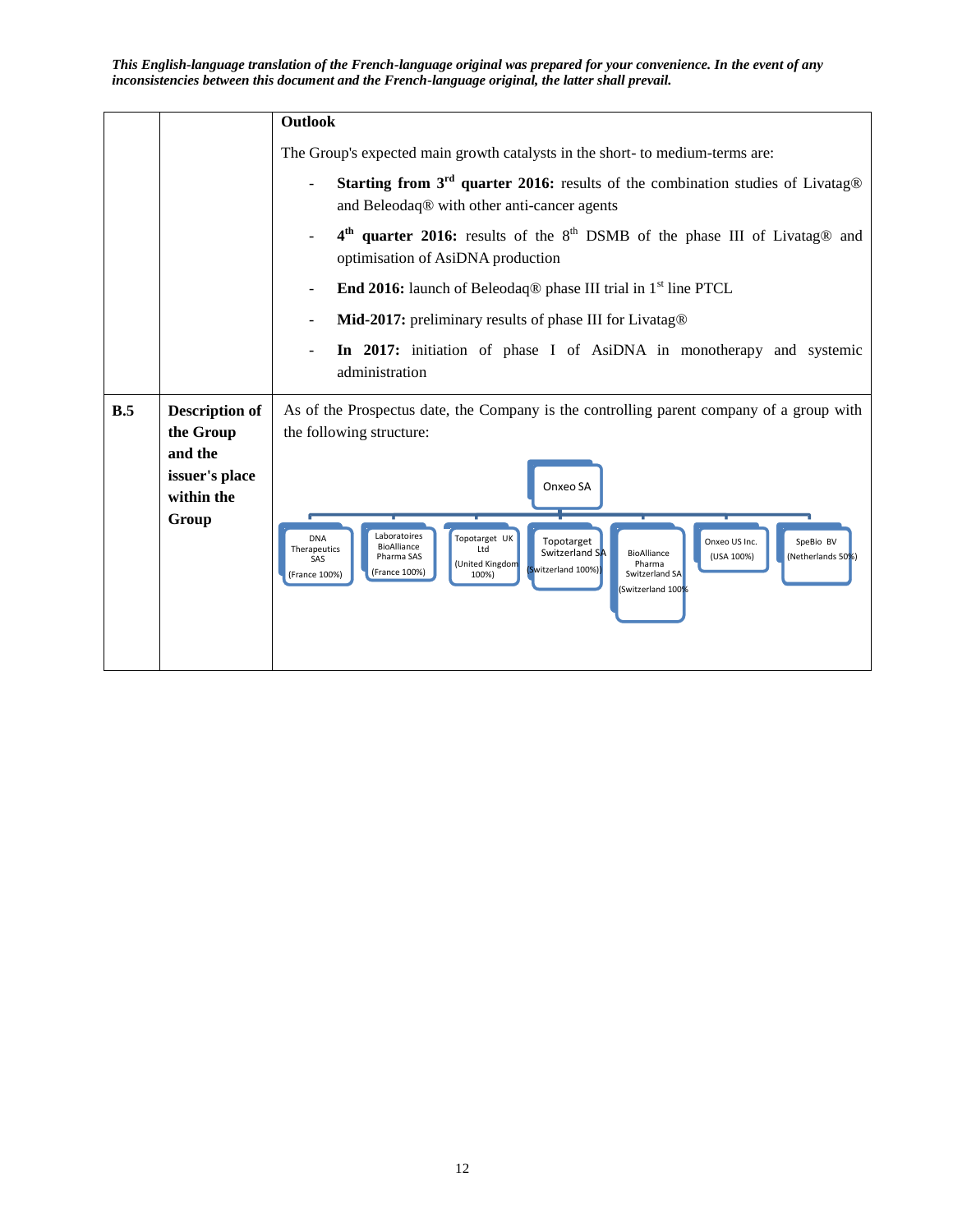|     |                                         | Outlook                                                                                                                                                                                                                                                                                                                                                     |  |  |  |  |
|-----|-----------------------------------------|-------------------------------------------------------------------------------------------------------------------------------------------------------------------------------------------------------------------------------------------------------------------------------------------------------------------------------------------------------------|--|--|--|--|
|     |                                         | The Group's expected main growth catalysts in the short- to medium-terms are:                                                                                                                                                                                                                                                                               |  |  |  |  |
|     |                                         | Starting from $3^{rd}$ quarter 2016: results of the combination studies of Livatag®<br>and Beleodaq® with other anti-cancer agents                                                                                                                                                                                                                          |  |  |  |  |
|     |                                         | 4 <sup>th</sup> quarter 2016: results of the 8 <sup>th</sup> DSMB of the phase III of Livatag <sup>®</sup> and<br>optimisation of AsiDNA production                                                                                                                                                                                                         |  |  |  |  |
|     |                                         | <b>End 2016:</b> launch of Beleodaq <sup>®</sup> phase III trial in $1st$ line PTCL                                                                                                                                                                                                                                                                         |  |  |  |  |
|     |                                         | Mid-2017: preliminary results of phase III for Livatag®                                                                                                                                                                                                                                                                                                     |  |  |  |  |
|     |                                         | In 2017: initiation of phase I of AsiDNA in monotherapy and systemic<br>administration                                                                                                                                                                                                                                                                      |  |  |  |  |
| B.5 | <b>Description of</b><br>the Group      | As of the Prospectus date, the Company is the controlling parent company of a group with<br>the following structure:                                                                                                                                                                                                                                        |  |  |  |  |
|     | and the<br>issuer's place<br>within the | Onxeo SA                                                                                                                                                                                                                                                                                                                                                    |  |  |  |  |
|     | Group                                   | Laboratoires<br>Topotarget UK<br><b>DNA</b><br>Topotarget<br>Onxeo US Inc.<br>SpeBio BV<br>BioAlliance<br>Therapeutics<br>Ltd<br>Switzerland SA<br>BioAlliance<br>(USA 100%)<br>(Netherlands 50%)<br>Pharma SAS<br>SAS<br>(United Kingdom<br>Pharma<br>(Switzerland 100%)<br>(France 100%)<br>(France 100%)<br>100%)<br>Switzerland SA<br>Switzerland 100%) |  |  |  |  |
|     |                                         |                                                                                                                                                                                                                                                                                                                                                             |  |  |  |  |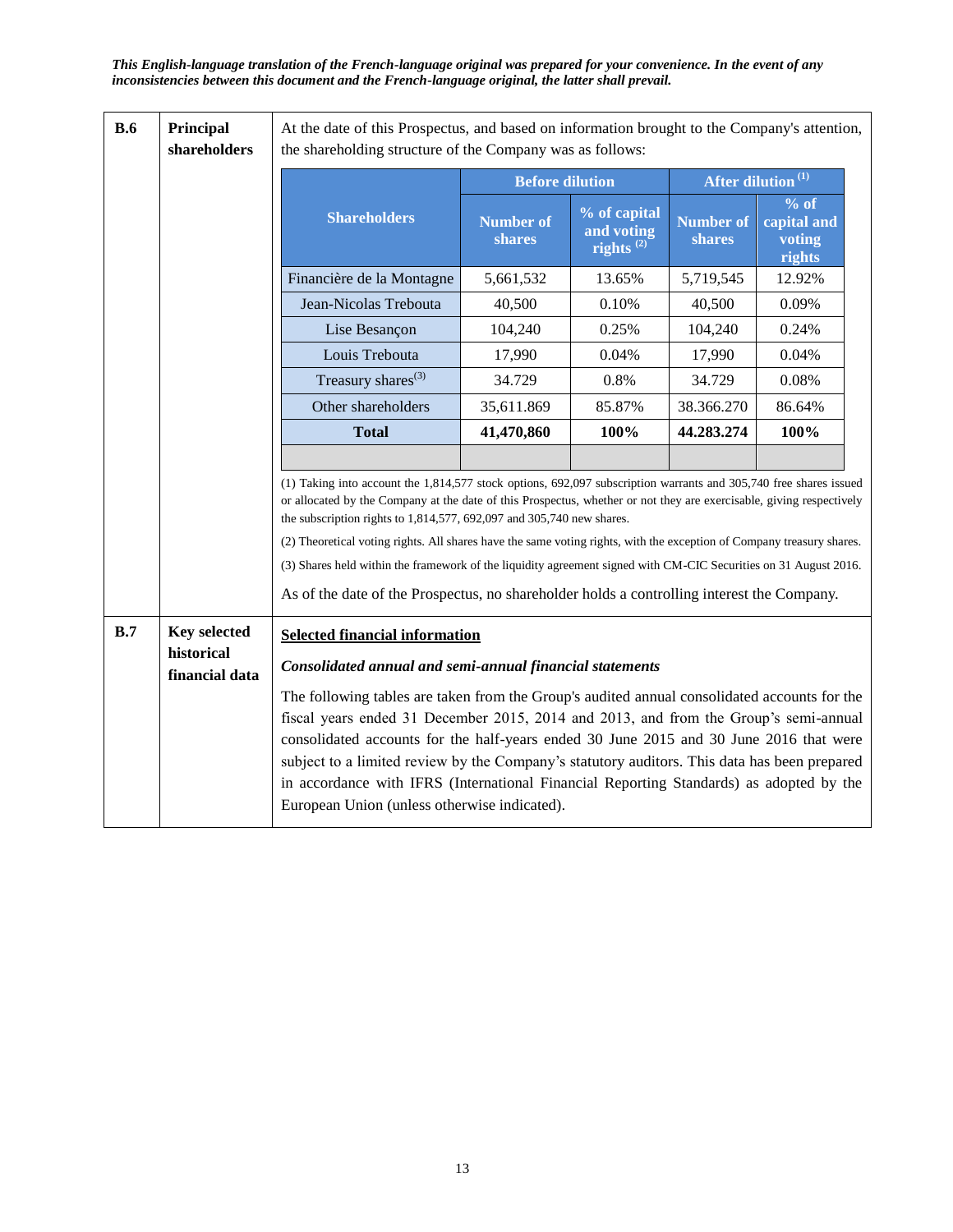| <b>B.6</b>                                                                                                                                                                                                                                                                                                                                                                                                                                                                                                                                                                                                                                                         | Principal<br>shareholders    | At the date of this Prospectus, and based on information brought to the Company's attention,<br>the shareholding structure of the Company was as follows:                                                                                                                                                                                                                                                                                                                                                                 |                            |                                                     |                            |                                         |  |
|--------------------------------------------------------------------------------------------------------------------------------------------------------------------------------------------------------------------------------------------------------------------------------------------------------------------------------------------------------------------------------------------------------------------------------------------------------------------------------------------------------------------------------------------------------------------------------------------------------------------------------------------------------------------|------------------------------|---------------------------------------------------------------------------------------------------------------------------------------------------------------------------------------------------------------------------------------------------------------------------------------------------------------------------------------------------------------------------------------------------------------------------------------------------------------------------------------------------------------------------|----------------------------|-----------------------------------------------------|----------------------------|-----------------------------------------|--|
|                                                                                                                                                                                                                                                                                                                                                                                                                                                                                                                                                                                                                                                                    |                              |                                                                                                                                                                                                                                                                                                                                                                                                                                                                                                                           | <b>Before dilution</b>     |                                                     |                            | After dilution <sup>(1)</sup>           |  |
|                                                                                                                                                                                                                                                                                                                                                                                                                                                                                                                                                                                                                                                                    |                              | <b>Shareholders</b>                                                                                                                                                                                                                                                                                                                                                                                                                                                                                                       | <b>Number of</b><br>shares | % of capital<br>and voting<br>rights <sup>(2)</sup> | <b>Number of</b><br>shares | % of<br>capital and<br>voting<br>rights |  |
|                                                                                                                                                                                                                                                                                                                                                                                                                                                                                                                                                                                                                                                                    |                              | Financière de la Montagne                                                                                                                                                                                                                                                                                                                                                                                                                                                                                                 | 5,661,532                  | 13.65%                                              | 5,719,545                  | 12.92%                                  |  |
|                                                                                                                                                                                                                                                                                                                                                                                                                                                                                                                                                                                                                                                                    |                              | Jean-Nicolas Trebouta                                                                                                                                                                                                                                                                                                                                                                                                                                                                                                     | 40,500                     | 0.10%                                               | 40,500                     | 0.09%                                   |  |
|                                                                                                                                                                                                                                                                                                                                                                                                                                                                                                                                                                                                                                                                    |                              | Lise Besançon                                                                                                                                                                                                                                                                                                                                                                                                                                                                                                             | 104,240                    | 0.25%                                               | 104,240                    | 0.24%                                   |  |
|                                                                                                                                                                                                                                                                                                                                                                                                                                                                                                                                                                                                                                                                    |                              | Louis Trebouta                                                                                                                                                                                                                                                                                                                                                                                                                                                                                                            | 17,990                     | 0.04%                                               | 17,990                     | 0.04%                                   |  |
|                                                                                                                                                                                                                                                                                                                                                                                                                                                                                                                                                                                                                                                                    |                              | Treasury shares <sup>(3)</sup>                                                                                                                                                                                                                                                                                                                                                                                                                                                                                            | 34.729                     | 0.8%                                                | 34.729                     | 0.08%                                   |  |
|                                                                                                                                                                                                                                                                                                                                                                                                                                                                                                                                                                                                                                                                    |                              | Other shareholders                                                                                                                                                                                                                                                                                                                                                                                                                                                                                                        | 35,611.869                 | 85.87%                                              | 38.366.270                 | 86.64%                                  |  |
|                                                                                                                                                                                                                                                                                                                                                                                                                                                                                                                                                                                                                                                                    |                              | <b>Total</b>                                                                                                                                                                                                                                                                                                                                                                                                                                                                                                              | 41,470,860                 | 100%                                                | 44.283.274                 | 100%                                    |  |
|                                                                                                                                                                                                                                                                                                                                                                                                                                                                                                                                                                                                                                                                    |                              |                                                                                                                                                                                                                                                                                                                                                                                                                                                                                                                           |                            |                                                     |                            |                                         |  |
| (1) Taking into account the $1,814,577$ stock options, 692,097 subscription warrants and 305,740 free shares issued<br>or allocated by the Company at the date of this Prospectus, whether or not they are exercisable, giving respectively<br>the subscription rights to $1,814,577,692,097$ and $305,740$ new shares.<br>(2) Theoretical voting rights. All shares have the same voting rights, with the exception of Company treasury shares.<br>(3) Shares held within the framework of the liquidity agreement signed with CM-CIC Securities on 31 August 2016.<br>As of the date of the Prospectus, no shareholder holds a controlling interest the Company. |                              |                                                                                                                                                                                                                                                                                                                                                                                                                                                                                                                           |                            |                                                     |                            |                                         |  |
| B.7                                                                                                                                                                                                                                                                                                                                                                                                                                                                                                                                                                                                                                                                | <b>Key selected</b>          | <b>Selected financial information</b>                                                                                                                                                                                                                                                                                                                                                                                                                                                                                     |                            |                                                     |                            |                                         |  |
|                                                                                                                                                                                                                                                                                                                                                                                                                                                                                                                                                                                                                                                                    | historical<br>financial data | Consolidated annual and semi-annual financial statements                                                                                                                                                                                                                                                                                                                                                                                                                                                                  |                            |                                                     |                            |                                         |  |
|                                                                                                                                                                                                                                                                                                                                                                                                                                                                                                                                                                                                                                                                    |                              | The following tables are taken from the Group's audited annual consolidated accounts for the<br>fiscal years ended 31 December 2015, 2014 and 2013, and from the Group's semi-annual<br>consolidated accounts for the half-years ended 30 June 2015 and 30 June 2016 that were<br>subject to a limited review by the Company's statutory auditors. This data has been prepared<br>in accordance with IFRS (International Financial Reporting Standards) as adopted by the<br>European Union (unless otherwise indicated). |                            |                                                     |                            |                                         |  |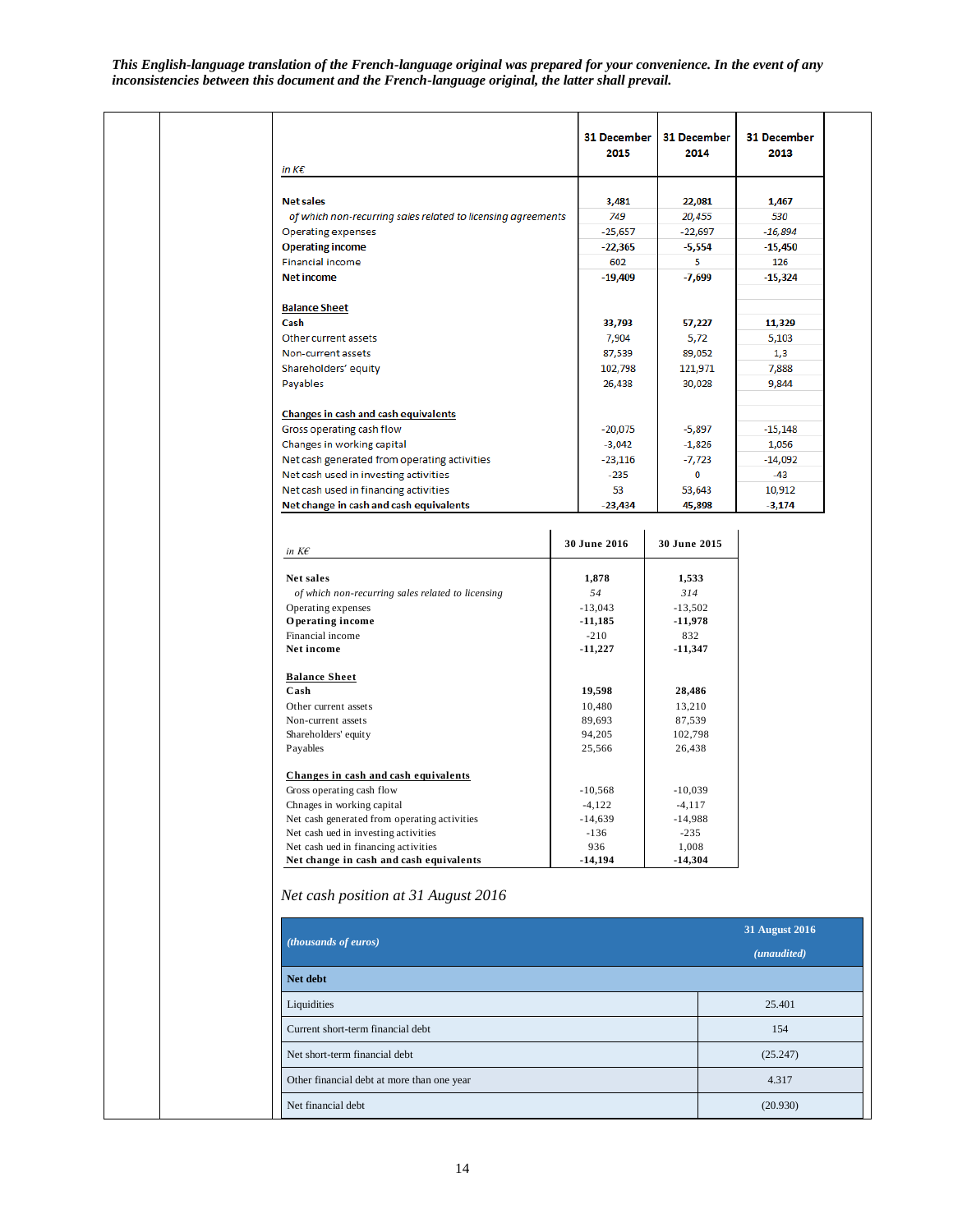|                                                              |  | <b>31 December</b><br>2015 | 31 December<br>2014    | 31 December<br>2013 |
|--------------------------------------------------------------|--|----------------------------|------------------------|---------------------|
| in $K\epsilon$                                               |  |                            |                        |                     |
|                                                              |  |                            |                        |                     |
| <b>Net sales</b>                                             |  | 3,481                      | 22,081                 | 1,467               |
| of which non-recurring sales related to licensing agreements |  | 749                        | 20,455                 | 530                 |
| <b>Operating expenses</b>                                    |  | $-25,657$                  | $-22,697$              | $-16,894$           |
| <b>Operating income</b>                                      |  | $-22,365$                  | $-5,554$               | $-15,450$           |
| <b>Financial income</b>                                      |  | 602                        | 5                      | 126                 |
| <b>Net income</b>                                            |  | $-19,409$                  | $-7.699$               | $-15,324$           |
| <b>Balance Sheet</b>                                         |  |                            |                        |                     |
| Cash                                                         |  | 33,793                     | 57,227                 | 11,329              |
| Other current assets                                         |  | 7,904                      | 5,72                   | 5,103               |
| Non-current assets                                           |  | 87,539                     | 89,052                 | 1,3                 |
| Shareholders' equity                                         |  | 102,798                    | 121,971                | 7,888               |
| Payables                                                     |  | 26,438                     | 30,028                 | 9,844               |
| <b>Changes in cash and cash equivalents</b>                  |  |                            |                        |                     |
| Gross operating cash flow                                    |  | $-20,075$                  | $-5,897$               | $-15,148$           |
| Changes in working capital                                   |  | $-3,042$                   | $-1,826$               | 1,056               |
| Net cash generated from operating activities                 |  | $-23,116$                  | -7,723                 | -14,092<br>$-43$    |
| Net cash used in investing activities                        |  | $-235$                     | 0                      |                     |
| Net cash used in financing activities                        |  | 53                         | 53,643                 | 10,912              |
| Net change in cash and cash equivalents                      |  |                            |                        |                     |
|                                                              |  | $-23,434$                  | 45,898                 | $-3,174$            |
| in $K\mathcal{E}$                                            |  | 30 June 2016               | 30 June 2015           |                     |
|                                                              |  |                            |                        |                     |
| Net sales                                                    |  | 1,878                      | 1,533                  |                     |
| of which non-recurring sales related to licensing            |  | 54                         | 314                    |                     |
| Operating expenses<br>Operating income                       |  | $-13.043$<br>$-11,185$     | $-13.502$<br>$-11,978$ |                     |
|                                                              |  |                            |                        |                     |
| Financial income<br>Net income                               |  | $-210$<br>$-11,227$        | 832<br>-11,347         |                     |
| <b>Balance Sheet</b>                                         |  |                            |                        |                     |
| Cash                                                         |  | 19,598                     | 28,486                 |                     |
| Other current assets                                         |  | 10,480                     | 13,210                 |                     |
| Non-current assets                                           |  | 89,693                     | 87.539                 |                     |

| in $K\epsilon$                                    | 30 June 2016 | 30 June 2015 |
|---------------------------------------------------|--------------|--------------|
| Net sales                                         | 1,878        | 1,533        |
| of which non-recurring sales related to licensing | 54           | 314          |
| Operating expenses                                | $-13,043$    | $-13,502$    |
| Operating income                                  | $-11,185$    | $-11,978$    |
| Financial income                                  | $-210$       | 832          |
| Net income                                        | $-11,227$    | $-11,347$    |
| <b>Balance Sheet</b>                              |              |              |
| Cash                                              | 19,598       | 28,486       |
| Other current assets                              | 10,480       | 13,210       |
| Non-current assets                                | 89,693       | 87,539       |
| Shareholders' equity                              | 94,205       | 102,798      |
| Payables                                          | 25,566       | 26,438       |
| Changes in cash and cash equivalents              |              |              |
| Gross operating cash flow                         | $-10,568$    | $-10,039$    |
| Chnages in working capital                        | $-4,122$     | $-4,117$     |
| Net cash generated from operating activities      | $-14,639$    | $-14,988$    |
| Net cash ued in investing activities              | $-136$       | $-235$       |
| Net cash ued in financing activities              | 936          | 1,008        |
| Net change in cash and cash equivalents           | $-14,194$    | $-14,304$    |

# *Net cash position at 31 August 2016*

|                                            | <b>31 August 2016</b> |  |
|--------------------------------------------|-----------------------|--|
| ( <i>thousands of euros</i> )              | (unaudited)           |  |
| Net debt                                   |                       |  |
| Liquidities                                | 25.401                |  |
| Current short-term financial debt          | 154                   |  |
| Net short-term financial debt              | (25.247)              |  |
| Other financial debt at more than one year | 4.317                 |  |
| Net financial debt                         | (20.930)              |  |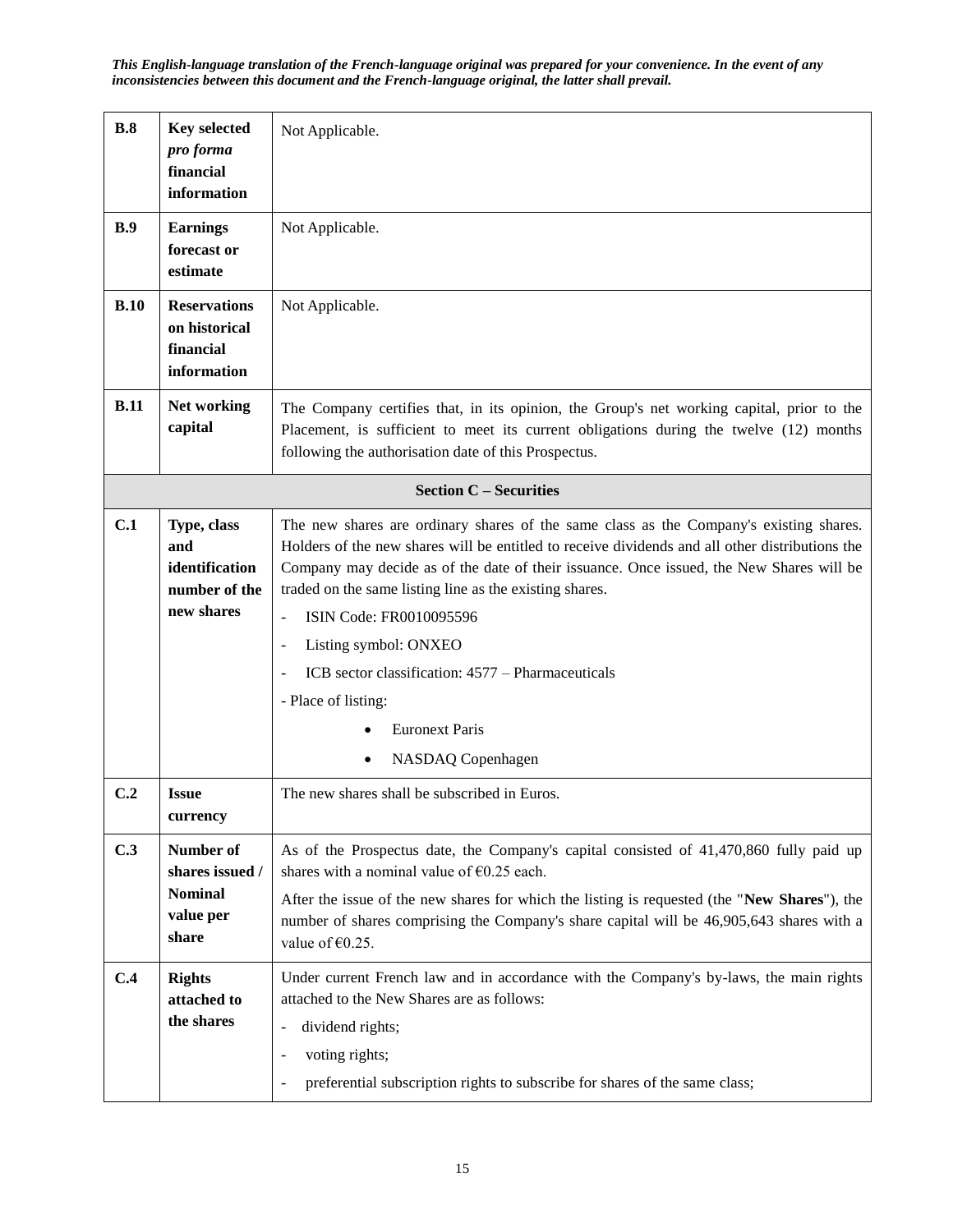| B.8                                                                                         | <b>Key selected</b><br>pro forma<br>financial<br>information                | Not Applicable.                                                                                                                                                                                                                                                                                                                                                                                                                                                                                                                                                          |  |  |  |  |
|---------------------------------------------------------------------------------------------|-----------------------------------------------------------------------------|--------------------------------------------------------------------------------------------------------------------------------------------------------------------------------------------------------------------------------------------------------------------------------------------------------------------------------------------------------------------------------------------------------------------------------------------------------------------------------------------------------------------------------------------------------------------------|--|--|--|--|
| B.9                                                                                         | <b>Earnings</b><br>forecast or<br>estimate                                  | Not Applicable.                                                                                                                                                                                                                                                                                                                                                                                                                                                                                                                                                          |  |  |  |  |
| B.10<br><b>Reservations</b><br>Not Applicable.<br>on historical<br>financial<br>information |                                                                             |                                                                                                                                                                                                                                                                                                                                                                                                                                                                                                                                                                          |  |  |  |  |
| B.11                                                                                        | Net working<br>capital                                                      | The Company certifies that, in its opinion, the Group's net working capital, prior to the<br>Placement, is sufficient to meet its current obligations during the twelve (12) months<br>following the authorisation date of this Prospectus.                                                                                                                                                                                                                                                                                                                              |  |  |  |  |
|                                                                                             |                                                                             | <b>Section C - Securities</b>                                                                                                                                                                                                                                                                                                                                                                                                                                                                                                                                            |  |  |  |  |
| C.1                                                                                         | Type, class<br>and<br>identification<br>number of the<br>new shares         | The new shares are ordinary shares of the same class as the Company's existing shares.<br>Holders of the new shares will be entitled to receive dividends and all other distributions the<br>Company may decide as of the date of their issuance. Once issued, the New Shares will be<br>traded on the same listing line as the existing shares.<br>ISIN Code: FR0010095596<br>÷,<br>Listing symbol: ONXEO<br>$\overline{a}$<br>ICB sector classification: 4577 – Pharmaceuticals<br>$\overline{a}$<br>- Place of listing:<br><b>Euronext Paris</b><br>NASDAQ Copenhagen |  |  |  |  |
| C.2                                                                                         | <b>Issue</b><br>currency                                                    | The new shares shall be subscribed in Euros.                                                                                                                                                                                                                                                                                                                                                                                                                                                                                                                             |  |  |  |  |
| C.3                                                                                         | <b>Number of</b><br>shares issued /<br><b>Nominal</b><br>value per<br>share | As of the Prospectus date, the Company's capital consisted of 41,470,860 fully paid up<br>shares with a nominal value of $\epsilon$ 0.25 each.<br>After the issue of the new shares for which the listing is requested (the "New Shares"), the<br>number of shares comprising the Company's share capital will be 46,905,643 shares with a<br>value of $\epsilon$ 0.25.                                                                                                                                                                                                  |  |  |  |  |
| C.4                                                                                         | <b>Rights</b><br>attached to<br>the shares                                  | Under current French law and in accordance with the Company's by-laws, the main rights<br>attached to the New Shares are as follows:<br>dividend rights;<br>$\overline{\phantom{0}}$<br>voting rights;<br>$\overline{a}$<br>preferential subscription rights to subscribe for shares of the same class;<br>$\overline{\phantom{m}}$                                                                                                                                                                                                                                      |  |  |  |  |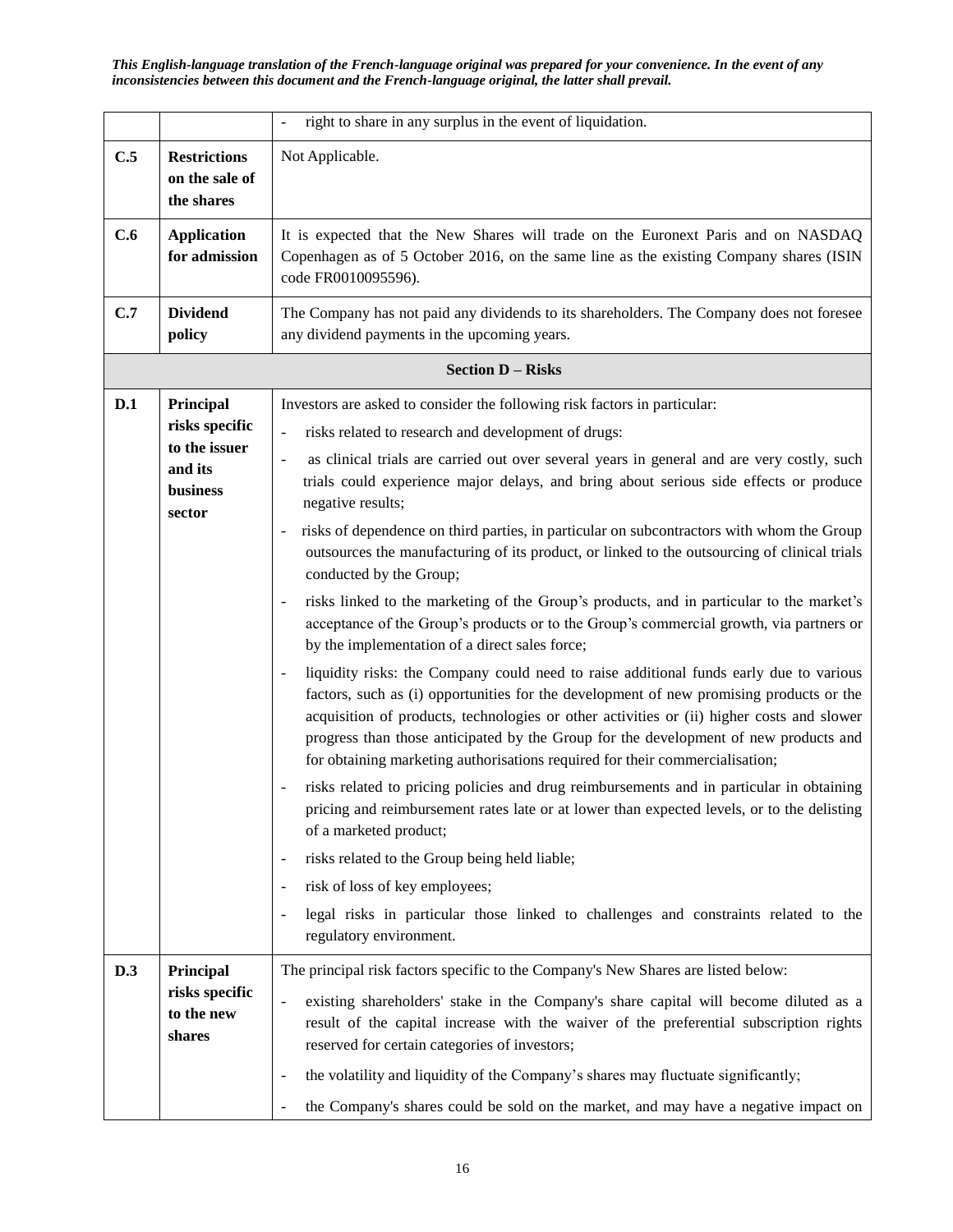|     |                                                                               | right to share in any surplus in the event of liquidation.                                                                                                                                                                                                                                                                                                                                                                                                                                                                                                                                                                                                                                                                                                                                                                                                                                                                                                                                                                                                                                                                                                                                                                                                                                                                                                                                                                                                                                                                                                                                                                                                                                                                  |  |  |  |
|-----|-------------------------------------------------------------------------------|-----------------------------------------------------------------------------------------------------------------------------------------------------------------------------------------------------------------------------------------------------------------------------------------------------------------------------------------------------------------------------------------------------------------------------------------------------------------------------------------------------------------------------------------------------------------------------------------------------------------------------------------------------------------------------------------------------------------------------------------------------------------------------------------------------------------------------------------------------------------------------------------------------------------------------------------------------------------------------------------------------------------------------------------------------------------------------------------------------------------------------------------------------------------------------------------------------------------------------------------------------------------------------------------------------------------------------------------------------------------------------------------------------------------------------------------------------------------------------------------------------------------------------------------------------------------------------------------------------------------------------------------------------------------------------------------------------------------------------|--|--|--|
| C.5 | <b>Restrictions</b><br>on the sale of<br>the shares                           | Not Applicable.                                                                                                                                                                                                                                                                                                                                                                                                                                                                                                                                                                                                                                                                                                                                                                                                                                                                                                                                                                                                                                                                                                                                                                                                                                                                                                                                                                                                                                                                                                                                                                                                                                                                                                             |  |  |  |
| C.6 | <b>Application</b><br>for admission                                           | It is expected that the New Shares will trade on the Euronext Paris and on NASDAQ<br>Copenhagen as of 5 October 2016, on the same line as the existing Company shares (ISIN<br>code FR0010095596).                                                                                                                                                                                                                                                                                                                                                                                                                                                                                                                                                                                                                                                                                                                                                                                                                                                                                                                                                                                                                                                                                                                                                                                                                                                                                                                                                                                                                                                                                                                          |  |  |  |
| C.7 | <b>Dividend</b><br>policy                                                     | The Company has not paid any dividends to its shareholders. The Company does not foresee<br>any dividend payments in the upcoming years.                                                                                                                                                                                                                                                                                                                                                                                                                                                                                                                                                                                                                                                                                                                                                                                                                                                                                                                                                                                                                                                                                                                                                                                                                                                                                                                                                                                                                                                                                                                                                                                    |  |  |  |
|     |                                                                               | <b>Section D - Risks</b>                                                                                                                                                                                                                                                                                                                                                                                                                                                                                                                                                                                                                                                                                                                                                                                                                                                                                                                                                                                                                                                                                                                                                                                                                                                                                                                                                                                                                                                                                                                                                                                                                                                                                                    |  |  |  |
| D.1 | Principal<br>risks specific<br>to the issuer<br>and its<br>business<br>sector | Investors are asked to consider the following risk factors in particular:<br>risks related to research and development of drugs:<br>$\blacksquare$<br>as clinical trials are carried out over several years in general and are very costly, such<br>$\frac{1}{2}$<br>trials could experience major delays, and bring about serious side effects or produce<br>negative results;<br>risks of dependence on third parties, in particular on subcontractors with whom the Group<br>$\overline{a}$<br>outsources the manufacturing of its product, or linked to the outsourcing of clinical trials<br>conducted by the Group;<br>risks linked to the marketing of the Group's products, and in particular to the market's<br>acceptance of the Group's products or to the Group's commercial growth, via partners or<br>by the implementation of a direct sales force;<br>liquidity risks: the Company could need to raise additional funds early due to various<br>$\overline{\phantom{0}}$<br>factors, such as (i) opportunities for the development of new promising products or the<br>acquisition of products, technologies or other activities or (ii) higher costs and slower<br>progress than those anticipated by the Group for the development of new products and<br>for obtaining marketing authorisations required for their commercialisation;<br>risks related to pricing policies and drug reimbursements and in particular in obtaining<br>pricing and reimbursement rates late or at lower than expected levels, or to the delisting<br>of a marketed product;<br>risks related to the Group being held liable;<br>$\overline{\phantom{0}}$<br>risk of loss of key employees;<br>$\qquad \qquad \blacksquare$ |  |  |  |
|     |                                                                               | legal risks in particular those linked to challenges and constraints related to the<br>$\overline{a}$<br>regulatory environment.                                                                                                                                                                                                                                                                                                                                                                                                                                                                                                                                                                                                                                                                                                                                                                                                                                                                                                                                                                                                                                                                                                                                                                                                                                                                                                                                                                                                                                                                                                                                                                                            |  |  |  |
| D.3 | Principal<br>risks specific<br>to the new<br>shares                           | The principal risk factors specific to the Company's New Shares are listed below:<br>existing shareholders' stake in the Company's share capital will become diluted as a<br>$\overline{\phantom{a}}$<br>result of the capital increase with the waiver of the preferential subscription rights<br>reserved for certain categories of investors;<br>the volatility and liquidity of the Company's shares may fluctuate significantly;<br>$\qquad \qquad \blacksquare$<br>the Company's shares could be sold on the market, and may have a negative impact on                                                                                                                                                                                                                                                                                                                                                                                                                                                                                                                                                                                                                                                                                                                                                                                                                                                                                                                                                                                                                                                                                                                                                                |  |  |  |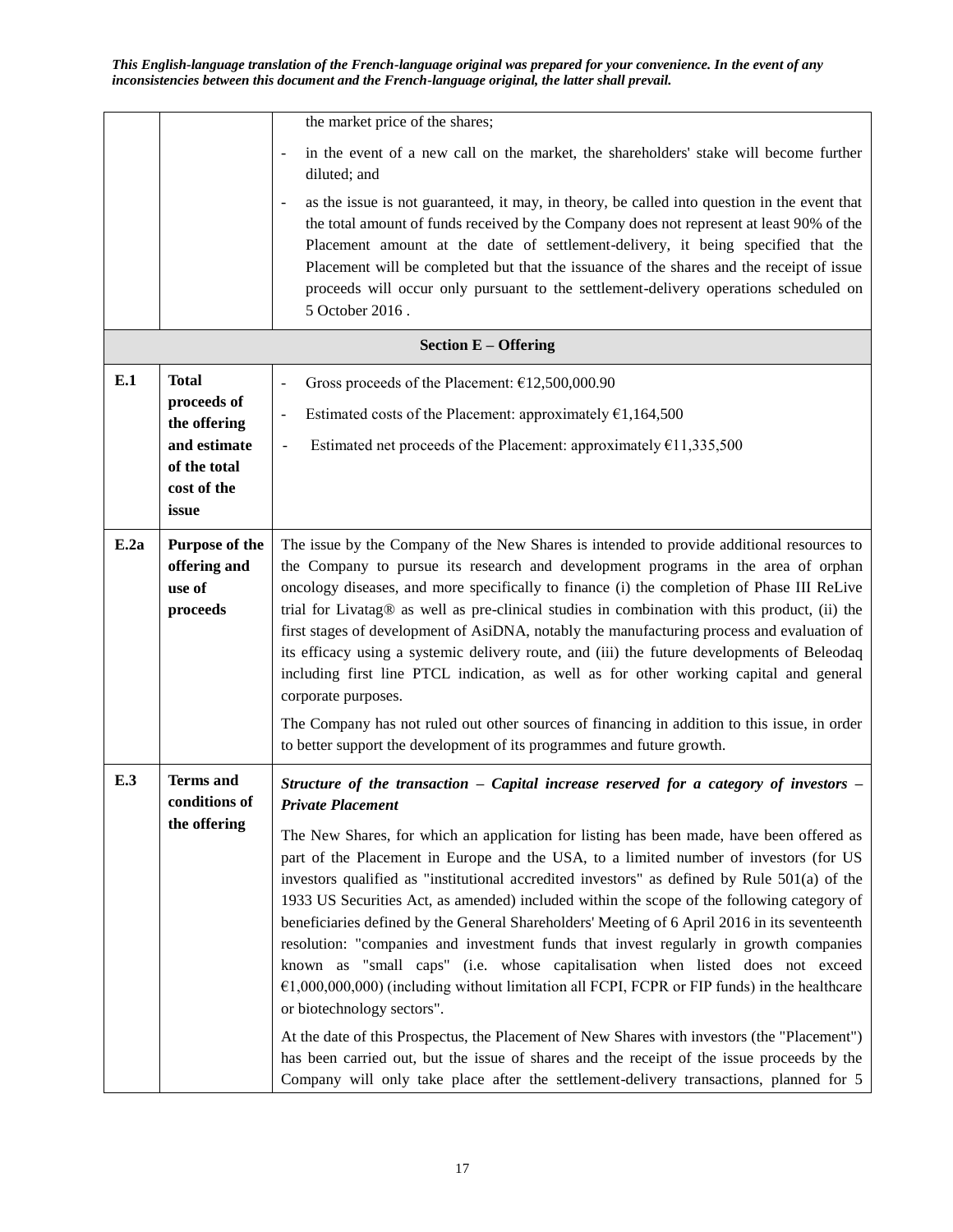|      |                                                      | the market price of the shares;                                                                                                                                                                                                                                                                                                                                                                                                                                                                                                                                                                                                                                                                                                                                                                                                                                                                                                                                                          |
|------|------------------------------------------------------|------------------------------------------------------------------------------------------------------------------------------------------------------------------------------------------------------------------------------------------------------------------------------------------------------------------------------------------------------------------------------------------------------------------------------------------------------------------------------------------------------------------------------------------------------------------------------------------------------------------------------------------------------------------------------------------------------------------------------------------------------------------------------------------------------------------------------------------------------------------------------------------------------------------------------------------------------------------------------------------|
|      |                                                      | in the event of a new call on the market, the shareholders' stake will become further<br>$\overline{\phantom{a}}$<br>diluted; and                                                                                                                                                                                                                                                                                                                                                                                                                                                                                                                                                                                                                                                                                                                                                                                                                                                        |
|      |                                                      | as the issue is not guaranteed, it may, in theory, be called into question in the event that<br>the total amount of funds received by the Company does not represent at least 90% of the<br>Placement amount at the date of settlement-delivery, it being specified that the<br>Placement will be completed but that the issuance of the shares and the receipt of issue<br>proceeds will occur only pursuant to the settlement-delivery operations scheduled on<br>5 October 2016.                                                                                                                                                                                                                                                                                                                                                                                                                                                                                                      |
|      |                                                      | <b>Section E - Offering</b>                                                                                                                                                                                                                                                                                                                                                                                                                                                                                                                                                                                                                                                                                                                                                                                                                                                                                                                                                              |
| E.1  | <b>Total</b>                                         | Gross proceeds of the Placement: €12,500,000.90<br>$\qquad \qquad \blacksquare$                                                                                                                                                                                                                                                                                                                                                                                                                                                                                                                                                                                                                                                                                                                                                                                                                                                                                                          |
|      | proceeds of<br>the offering                          | Estimated costs of the Placement: approximately $£1,164,500$<br>$\overline{\phantom{a}}$                                                                                                                                                                                                                                                                                                                                                                                                                                                                                                                                                                                                                                                                                                                                                                                                                                                                                                 |
|      | and estimate                                         | Estimated net proceeds of the Placement: approximately $£11,335,500$                                                                                                                                                                                                                                                                                                                                                                                                                                                                                                                                                                                                                                                                                                                                                                                                                                                                                                                     |
|      | of the total<br>cost of the                          |                                                                                                                                                                                                                                                                                                                                                                                                                                                                                                                                                                                                                                                                                                                                                                                                                                                                                                                                                                                          |
|      | issue                                                |                                                                                                                                                                                                                                                                                                                                                                                                                                                                                                                                                                                                                                                                                                                                                                                                                                                                                                                                                                                          |
| E.2a | Purpose of the<br>offering and<br>use of<br>proceeds | The issue by the Company of the New Shares is intended to provide additional resources to<br>the Company to pursue its research and development programs in the area of orphan<br>oncology diseases, and more specifically to finance (i) the completion of Phase III ReLive<br>trial for Livatag® as well as pre-clinical studies in combination with this product, (ii) the<br>first stages of development of AsiDNA, notably the manufacturing process and evaluation of<br>its efficacy using a systemic delivery route, and (iii) the future developments of Beleodaq<br>including first line PTCL indication, as well as for other working capital and general<br>corporate purposes.                                                                                                                                                                                                                                                                                              |
|      |                                                      | The Company has not ruled out other sources of financing in addition to this issue, in order<br>to better support the development of its programmes and future growth.                                                                                                                                                                                                                                                                                                                                                                                                                                                                                                                                                                                                                                                                                                                                                                                                                   |
| E.3  | <b>Terms</b> and<br>conditions of                    | Structure of the transaction $-$ Capital increase reserved for a category of investors $-$<br><b>Private Placement</b>                                                                                                                                                                                                                                                                                                                                                                                                                                                                                                                                                                                                                                                                                                                                                                                                                                                                   |
|      | the offering                                         | The New Shares, for which an application for listing has been made, have been offered as<br>part of the Placement in Europe and the USA, to a limited number of investors (for US<br>investors qualified as "institutional accredited investors" as defined by Rule 501(a) of the<br>1933 US Securities Act, as amended) included within the scope of the following category of<br>beneficiaries defined by the General Shareholders' Meeting of 6 April 2016 in its seventeenth<br>resolution: "companies and investment funds that invest regularly in growth companies<br>known as "small caps" (i.e. whose capitalisation when listed does not exceed<br>$E(1,000,000,000)$ (including without limitation all FCPI, FCPR or FIP funds) in the healthcare<br>or biotechnology sectors".<br>At the date of this Prospectus, the Placement of New Shares with investors (the "Placement")<br>has been carried out, but the issue of shares and the receipt of the issue proceeds by the |
|      |                                                      | Company will only take place after the settlement-delivery transactions, planned for 5                                                                                                                                                                                                                                                                                                                                                                                                                                                                                                                                                                                                                                                                                                                                                                                                                                                                                                   |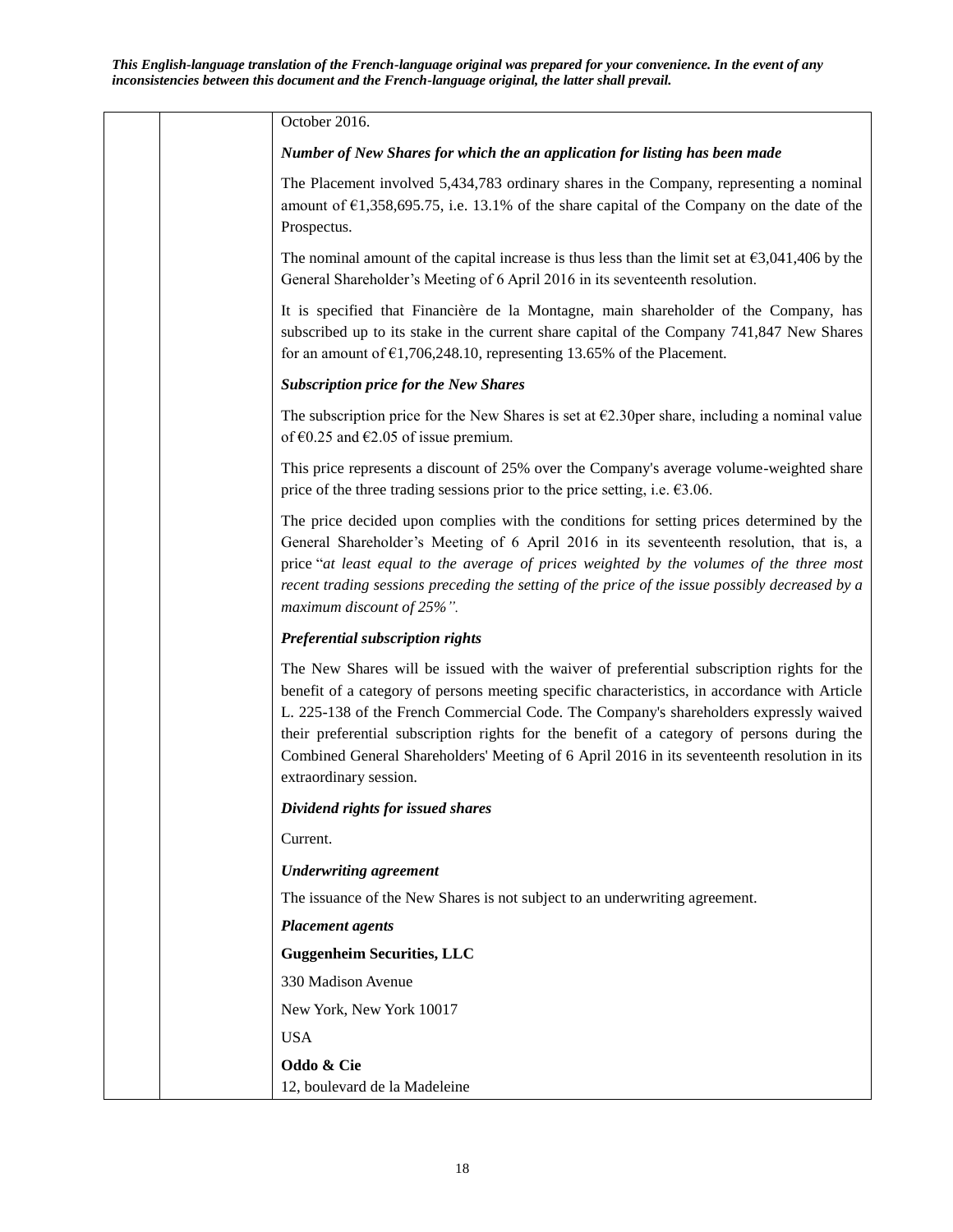| October 2016.                                                                                                                                                                                                                                                                                                                                                                                                                                                                                              |
|------------------------------------------------------------------------------------------------------------------------------------------------------------------------------------------------------------------------------------------------------------------------------------------------------------------------------------------------------------------------------------------------------------------------------------------------------------------------------------------------------------|
| Number of New Shares for which the an application for listing has been made                                                                                                                                                                                                                                                                                                                                                                                                                                |
| The Placement involved 5,434,783 ordinary shares in the Company, representing a nominal<br>amount of $\epsilon$ 1,358,695.75, i.e. 13.1% of the share capital of the Company on the date of the<br>Prospectus.                                                                                                                                                                                                                                                                                             |
| The nominal amount of the capital increase is thus less than the limit set at $\epsilon$ 3,041,406 by the<br>General Shareholder's Meeting of 6 April 2016 in its seventeenth resolution.                                                                                                                                                                                                                                                                                                                  |
| It is specified that Financière de la Montagne, main shareholder of the Company, has<br>subscribed up to its stake in the current share capital of the Company 741,847 New Shares<br>for an amount of $\epsilon$ 1,706,248.10, representing 13.65% of the Placement.                                                                                                                                                                                                                                       |
| <b>Subscription price for the New Shares</b>                                                                                                                                                                                                                                                                                                                                                                                                                                                               |
| The subscription price for the New Shares is set at $\epsilon$ 2.30 per share, including a nominal value<br>of $\epsilon$ 0.25 and $\epsilon$ 2.05 of issue premium.                                                                                                                                                                                                                                                                                                                                       |
| This price represents a discount of 25% over the Company's average volume-weighted share<br>price of the three trading sessions prior to the price setting, i.e. $\epsilon$ 3.06.                                                                                                                                                                                                                                                                                                                          |
| The price decided upon complies with the conditions for setting prices determined by the<br>General Shareholder's Meeting of 6 April 2016 in its seventeenth resolution, that is, a<br>price "at least equal to the average of prices weighted by the volumes of the three most<br>recent trading sessions preceding the setting of the price of the issue possibly decreased by a<br>maximum discount of 25%".                                                                                            |
| Preferential subscription rights                                                                                                                                                                                                                                                                                                                                                                                                                                                                           |
| The New Shares will be issued with the waiver of preferential subscription rights for the<br>benefit of a category of persons meeting specific characteristics, in accordance with Article<br>L. 225-138 of the French Commercial Code. The Company's shareholders expressly waived<br>their preferential subscription rights for the benefit of a category of persons during the<br>Combined General Shareholders' Meeting of 6 April 2016 in its seventeenth resolution in its<br>extraordinary session. |
| Dividend rights for issued shares                                                                                                                                                                                                                                                                                                                                                                                                                                                                          |
| Current.                                                                                                                                                                                                                                                                                                                                                                                                                                                                                                   |
| <b>Underwriting agreement</b>                                                                                                                                                                                                                                                                                                                                                                                                                                                                              |
| The issuance of the New Shares is not subject to an underwriting agreement.                                                                                                                                                                                                                                                                                                                                                                                                                                |
| <b>Placement</b> agents                                                                                                                                                                                                                                                                                                                                                                                                                                                                                    |
| <b>Guggenheim Securities, LLC</b>                                                                                                                                                                                                                                                                                                                                                                                                                                                                          |
| 330 Madison Avenue                                                                                                                                                                                                                                                                                                                                                                                                                                                                                         |
| New York, New York 10017                                                                                                                                                                                                                                                                                                                                                                                                                                                                                   |
| <b>USA</b>                                                                                                                                                                                                                                                                                                                                                                                                                                                                                                 |
| Oddo & Cie<br>12, boulevard de la Madeleine                                                                                                                                                                                                                                                                                                                                                                                                                                                                |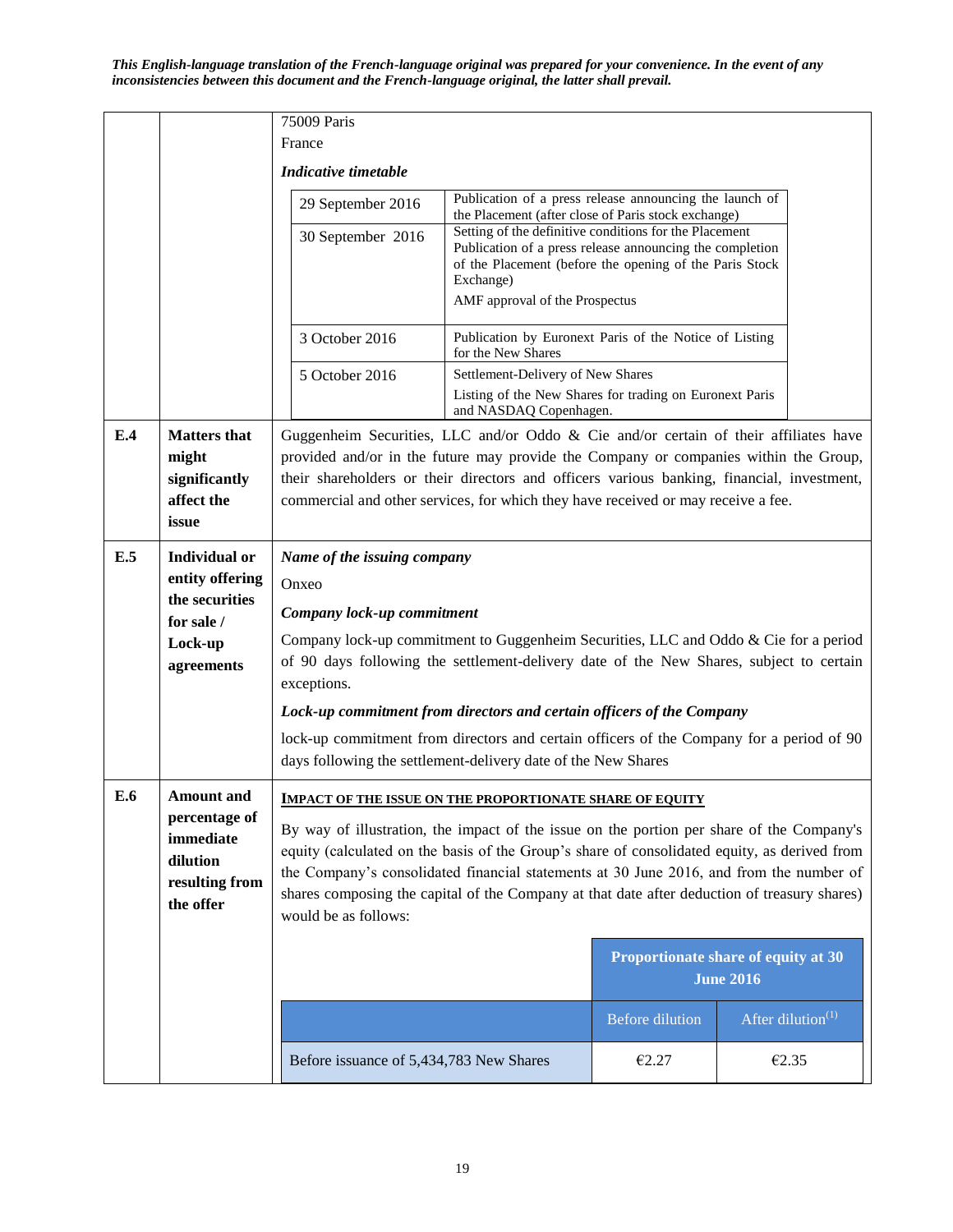|     |                                                                       | 75009 Paris                                                                                                                                                                                                                                                                                                                                                                                                  |                                                                                                                                                                                                                              |                        |                                                         |  |
|-----|-----------------------------------------------------------------------|--------------------------------------------------------------------------------------------------------------------------------------------------------------------------------------------------------------------------------------------------------------------------------------------------------------------------------------------------------------------------------------------------------------|------------------------------------------------------------------------------------------------------------------------------------------------------------------------------------------------------------------------------|------------------------|---------------------------------------------------------|--|
|     |                                                                       | France                                                                                                                                                                                                                                                                                                                                                                                                       |                                                                                                                                                                                                                              |                        |                                                         |  |
|     |                                                                       | Indicative timetable                                                                                                                                                                                                                                                                                                                                                                                         |                                                                                                                                                                                                                              |                        |                                                         |  |
|     |                                                                       | 29 September 2016                                                                                                                                                                                                                                                                                                                                                                                            | Publication of a press release announcing the launch of<br>the Placement (after close of Paris stock exchange)                                                                                                               |                        |                                                         |  |
|     |                                                                       | 30 September 2016                                                                                                                                                                                                                                                                                                                                                                                            | Setting of the definitive conditions for the Placement<br>Publication of a press release announcing the completion<br>of the Placement (before the opening of the Paris Stock<br>Exchange)<br>AMF approval of the Prospectus |                        |                                                         |  |
|     |                                                                       | 3 October 2016                                                                                                                                                                                                                                                                                                                                                                                               | Publication by Euronext Paris of the Notice of Listing<br>for the New Shares                                                                                                                                                 |                        |                                                         |  |
|     |                                                                       | 5 October 2016                                                                                                                                                                                                                                                                                                                                                                                               | Settlement-Delivery of New Shares<br>Listing of the New Shares for trading on Euronext Paris<br>and NASDAQ Copenhagen.                                                                                                       |                        |                                                         |  |
| E.4 | <b>Matters</b> that<br>might<br>significantly<br>affect the<br>issue  | Guggenheim Securities, LLC and/or Oddo $\&$ Cie and/or certain of their affiliates have<br>provided and/or in the future may provide the Company or companies within the Group,<br>their shareholders or their directors and officers various banking, financial, investment,<br>commercial and other services, for which they have received or may receive a fee.                                           |                                                                                                                                                                                                                              |                        |                                                         |  |
| E.5 | <b>Individual or</b>                                                  | Name of the issuing company                                                                                                                                                                                                                                                                                                                                                                                  |                                                                                                                                                                                                                              |                        |                                                         |  |
|     | entity offering                                                       | Onxeo                                                                                                                                                                                                                                                                                                                                                                                                        |                                                                                                                                                                                                                              |                        |                                                         |  |
|     | the securities<br>for sale /                                          | Company lock-up commitment                                                                                                                                                                                                                                                                                                                                                                                   |                                                                                                                                                                                                                              |                        |                                                         |  |
|     | Lock-up<br>agreements                                                 | Company lock-up commitment to Guggenheim Securities, LLC and Oddo & Cie for a period<br>of 90 days following the settlement-delivery date of the New Shares, subject to certain<br>exceptions.                                                                                                                                                                                                               |                                                                                                                                                                                                                              |                        |                                                         |  |
|     |                                                                       | Lock-up commitment from directors and certain officers of the Company                                                                                                                                                                                                                                                                                                                                        |                                                                                                                                                                                                                              |                        |                                                         |  |
|     |                                                                       | lock-up commitment from directors and certain officers of the Company for a period of 90<br>days following the settlement-delivery date of the New Shares                                                                                                                                                                                                                                                    |                                                                                                                                                                                                                              |                        |                                                         |  |
| E.6 | <b>Amount</b> and                                                     | <b>IMPACT OF THE ISSUE ON THE PROPORTIONATE SHARE OF EQUITY</b>                                                                                                                                                                                                                                                                                                                                              |                                                                                                                                                                                                                              |                        |                                                         |  |
|     | percentage of<br>immediate<br>dilution<br>resulting from<br>the offer | By way of illustration, the impact of the issue on the portion per share of the Company's<br>equity (calculated on the basis of the Group's share of consolidated equity, as derived from<br>the Company's consolidated financial statements at 30 June 2016, and from the number of<br>shares composing the capital of the Company at that date after deduction of treasury shares)<br>would be as follows: |                                                                                                                                                                                                                              |                        |                                                         |  |
|     |                                                                       |                                                                                                                                                                                                                                                                                                                                                                                                              |                                                                                                                                                                                                                              |                        | Proportionate share of equity at 30<br><b>June 2016</b> |  |
|     |                                                                       |                                                                                                                                                                                                                                                                                                                                                                                                              |                                                                                                                                                                                                                              | <b>Before dilution</b> | After dilution $(1)$                                    |  |
|     |                                                                       | Before issuance of 5,434,783 New Shares                                                                                                                                                                                                                                                                                                                                                                      |                                                                                                                                                                                                                              | €2.27                  | €2.35                                                   |  |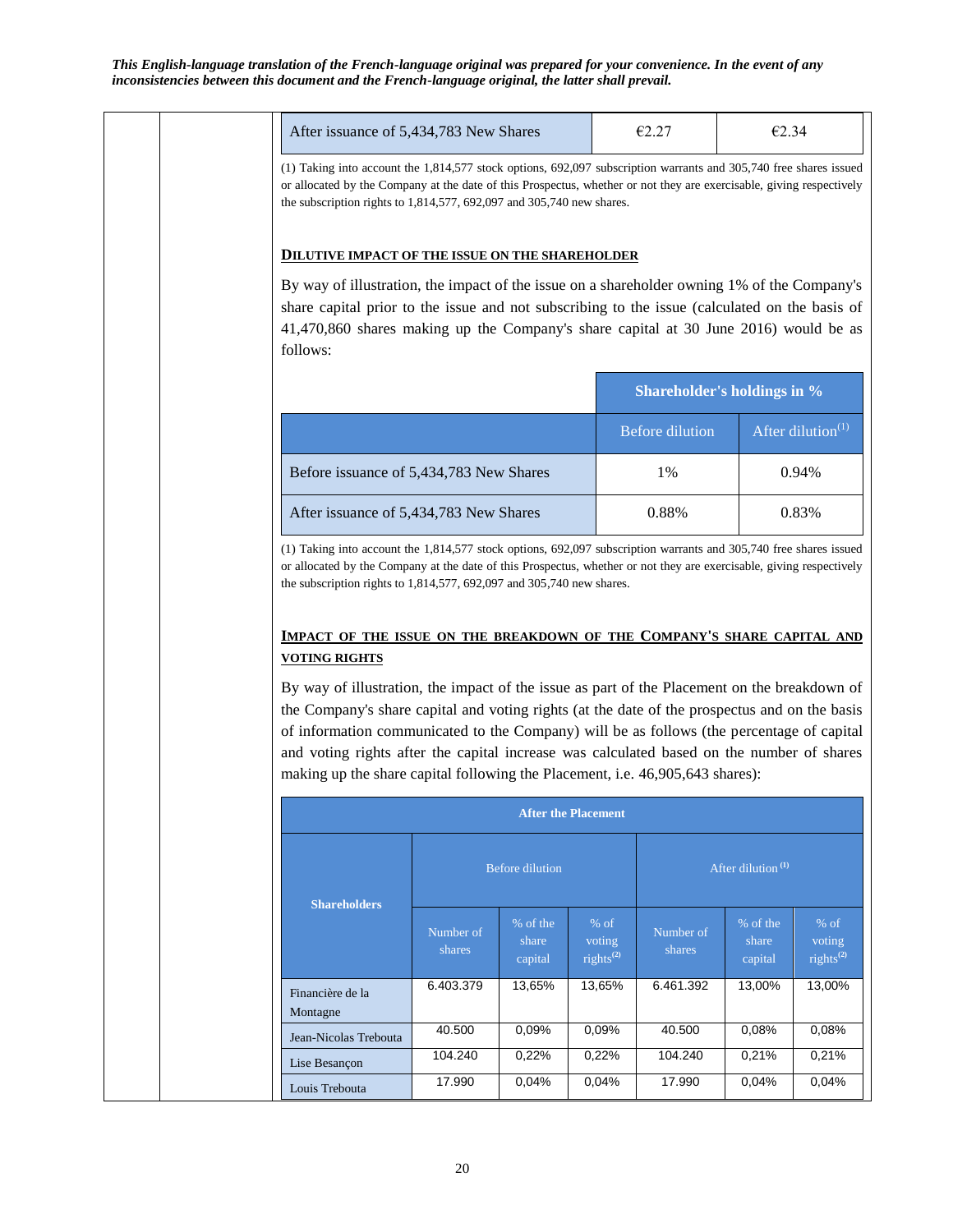|                                                                                                                                                                                                                                                                                                                       | After issuance of 5,434,783 New Shares |                              |                                                        | €2.27                                                                                         | €2.34                         |                                     |  |
|-----------------------------------------------------------------------------------------------------------------------------------------------------------------------------------------------------------------------------------------------------------------------------------------------------------------------|----------------------------------------|------------------------------|--------------------------------------------------------|-----------------------------------------------------------------------------------------------|-------------------------------|-------------------------------------|--|
| (1) Taking into account the 1,814,577 stock options, 692,097 subscription warrants and 305,740 free shares issued<br>or allocated by the Company at the date of this Prospectus, whether or not they are exercisable, giving respectively<br>the subscription rights to $1,814,577,692,097$ and $305,740$ new shares. |                                        |                              |                                                        |                                                                                               |                               |                                     |  |
| <b>DILUTIVE IMPACT OF THE ISSUE ON THE SHAREHOLDER</b>                                                                                                                                                                                                                                                                |                                        |                              |                                                        |                                                                                               |                               |                                     |  |
| By way of illustration, the impact of the issue on a shareholder owning 1% of the Company's<br>share capital prior to the issue and not subscribing to the issue (calculated on the basis of<br>41,470,860 shares making up the Company's share capital at 30 June 2016) would be as<br>follows:                      |                                        |                              |                                                        |                                                                                               |                               |                                     |  |
|                                                                                                                                                                                                                                                                                                                       |                                        |                              |                                                        | Shareholder's holdings in %                                                                   |                               |                                     |  |
|                                                                                                                                                                                                                                                                                                                       |                                        |                              |                                                        | <b>Before dilution</b>                                                                        |                               | After dilution <sup>(1)</sup>       |  |
| Before issuance of 5,434,783 New Shares                                                                                                                                                                                                                                                                               |                                        |                              |                                                        | 1%                                                                                            |                               | 0.94%                               |  |
| After issuance of 5,434,783 New Shares                                                                                                                                                                                                                                                                                |                                        |                              |                                                        | 0.88%                                                                                         |                               | 0.83%                               |  |
| <b>IMPACT OF THE ISSUE ON THE BREAKDOWN OF THE COMPANY'S SHARE CAPITAL AND</b><br><b>VOTING RIGHTS</b><br>By way of illustration, the impact of the issue as part of the Placement on the breakdown of                                                                                                                |                                        |                              |                                                        |                                                                                               |                               |                                     |  |
| of information communicated to the Company) will be as follows (the percentage of capital<br>and voting rights after the capital increase was calculated based on the number of shares<br>making up the share capital following the Placement, i.e. 46,905,643 shares):                                               |                                        |                              |                                                        | the Company's share capital and voting rights (at the date of the prospectus and on the basis |                               |                                     |  |
|                                                                                                                                                                                                                                                                                                                       |                                        | <b>After the Placement</b>   |                                                        |                                                                                               |                               |                                     |  |
| <b>Shareholders</b>                                                                                                                                                                                                                                                                                                   |                                        | <b>Before dilution</b>       |                                                        |                                                                                               | After dilution <sup>(1)</sup> |                                     |  |
|                                                                                                                                                                                                                                                                                                                       | Number of<br>shares                    | % of the<br>share<br>capital | $%$ of<br>voting<br>rights <sup><math>(2)</math></sup> | Number of<br>shares                                                                           | % of the<br>share<br>capital  | $%$ of<br>voting<br>rights $^{(2)}$ |  |
|                                                                                                                                                                                                                                                                                                                       | 6.403.379                              | 13,65%                       | 13,65%                                                 | 6.461.392                                                                                     | 13,00%                        | 13,00%                              |  |
|                                                                                                                                                                                                                                                                                                                       | 40.500                                 | 0,09%                        | 0,09%                                                  | 40.500                                                                                        | 0,08%                         | 0,08%                               |  |
| Financière de la<br>Montagne<br>Jean-Nicolas Trebouta<br>Lise Besançon                                                                                                                                                                                                                                                | 104.240                                | 0,22%                        | 0,22%                                                  | 104.240                                                                                       | 0,21%                         | 0,21%                               |  |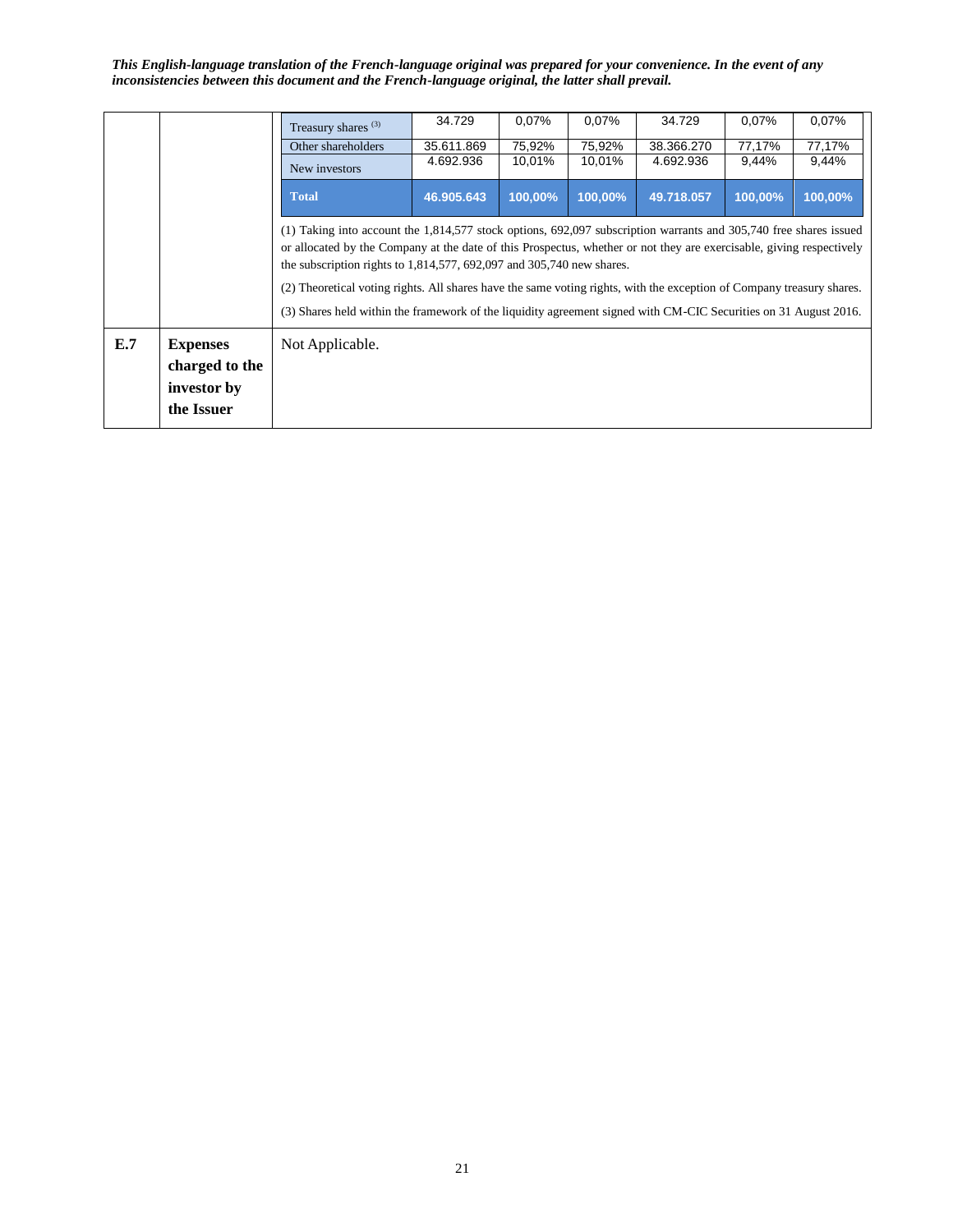|     |                                                                | Treasury shares <sup>(3)</sup>                                                                                                                                                                                                                                                                                          | 34.729     | 0,07%   | 0,07%   | 34.729     | 0,07%   | 0,07%   |
|-----|----------------------------------------------------------------|-------------------------------------------------------------------------------------------------------------------------------------------------------------------------------------------------------------------------------------------------------------------------------------------------------------------------|------------|---------|---------|------------|---------|---------|
|     |                                                                | Other shareholders                                                                                                                                                                                                                                                                                                      | 35.611.869 | 75,92%  | 75,92%  | 38.366.270 | 77,17%  | 77,17%  |
|     |                                                                | New investors                                                                                                                                                                                                                                                                                                           | 4.692.936  | 10,01%  | 10,01%  | 4.692.936  | 9,44%   | 9,44%   |
|     |                                                                | <b>Total</b>                                                                                                                                                                                                                                                                                                            | 46.905.643 | 100,00% | 100,00% | 49.718.057 | 100,00% | 100,00% |
|     |                                                                | (1) Taking into account the $1,814,577$ stock options, 692,097 subscription warrants and 305,740 free shares issued<br>or allocated by the Company at the date of this Prospectus, whether or not they are exercisable, giving respectively<br>the subscription rights to $1,814,577,692,097$ and $305,740$ new shares. |            |         |         |            |         |         |
|     |                                                                | (2) Theoretical voting rights. All shares have the same voting rights, with the exception of Company treasury shares.<br>(3) Shares held within the framework of the liquidity agreement signed with CM-CIC Securities on 31 August 2016.                                                                               |            |         |         |            |         |         |
| E.7 | <b>Expenses</b><br>charged to the<br>investor by<br>the Issuer | Not Applicable.                                                                                                                                                                                                                                                                                                         |            |         |         |            |         |         |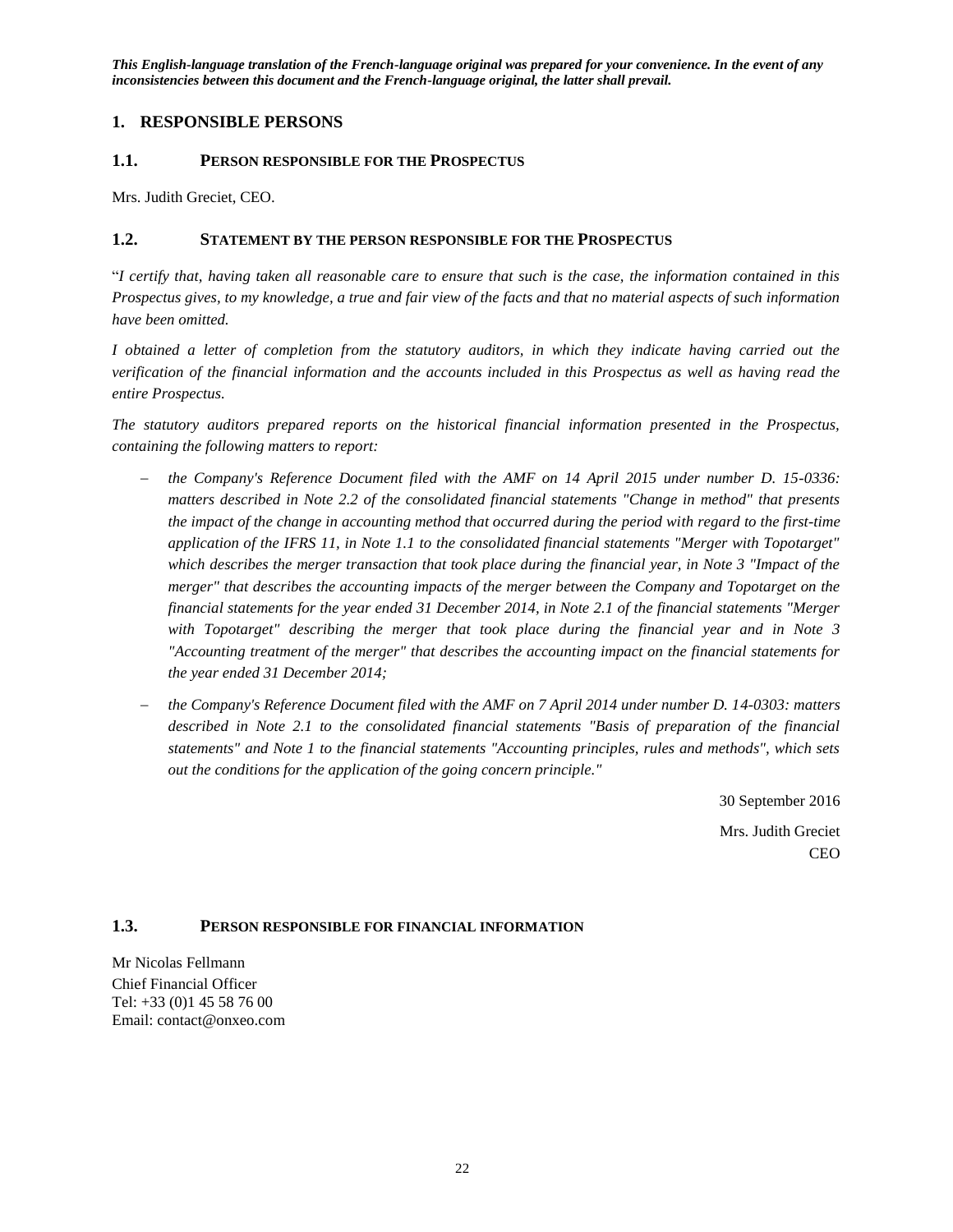## <span id="page-21-0"></span>**1. RESPONSIBLE PERSONS**

#### <span id="page-21-1"></span>**1.1. PERSON RESPONSIBLE FOR THE PROSPECTUS**

Mrs. Judith Greciet, CEO.

### <span id="page-21-2"></span>**1.2. STATEMENT BY THE PERSON RESPONSIBLE FOR THE PROSPECTUS**

"*I certify that, having taken all reasonable care to ensure that such is the case, the information contained in this Prospectus gives, to my knowledge, a true and fair view of the facts and that no material aspects of such information have been omitted.*

*I obtained a letter of completion from the statutory auditors, in which they indicate having carried out the verification of the financial information and the accounts included in this Prospectus as well as having read the entire Prospectus.*

*The statutory auditors prepared reports on the historical financial information presented in the Prospectus, containing the following matters to report:* 

- *the Company's Reference Document filed with the AMF on 14 April 2015 under number D. 15-0336: matters described in Note 2.2 of the consolidated financial statements "Change in method" that presents the impact of the change in accounting method that occurred during the period with regard to the first-time application of the IFRS 11, in Note 1.1 to the consolidated financial statements "Merger with Topotarget" which describes the merger transaction that took place during the financial year, in Note 3 "Impact of the merger" that describes the accounting impacts of the merger between the Company and Topotarget on the financial statements for the year ended 31 December 2014, in Note 2.1 of the financial statements "Merger with Topotarget" describing the merger that took place during the financial year and in Note 3 "Accounting treatment of the merger" that describes the accounting impact on the financial statements for the year ended 31 December 2014;*
- *the Company's Reference Document filed with the AMF on 7 April 2014 under number D. 14-0303: matters described in Note 2.1 to the consolidated financial statements "Basis of preparation of the financial statements" and Note 1 to the financial statements "Accounting principles, rules and methods", which sets out the conditions for the application of the going concern principle."*

30 September 2016 Mrs. Judith Greciet CEO

## <span id="page-21-3"></span>**1.3. PERSON RESPONSIBLE FOR FINANCIAL INFORMATION**

Mr Nicolas Fellmann Chief Financial Officer Tel: +33 (0)1 45 58 76 00 Email: contact@onxeo.com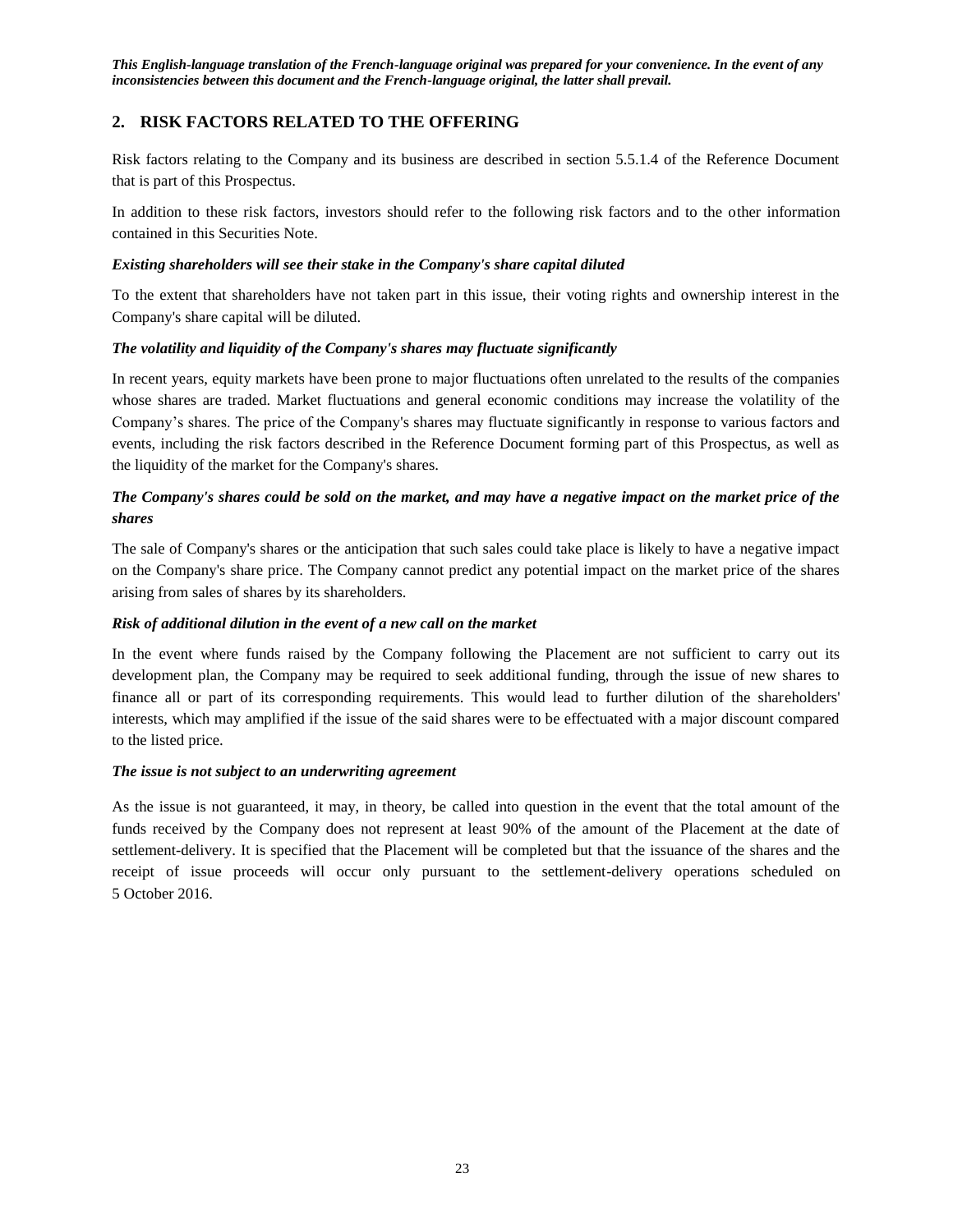## <span id="page-22-0"></span>**2. RISK FACTORS RELATED TO THE OFFERING**

Risk factors relating to the Company and its business are described in section 5.5.1.4 of the Reference Document that is part of this Prospectus.

In addition to these risk factors, investors should refer to the following risk factors and to the other information contained in this Securities Note.

#### *Existing shareholders will see their stake in the Company's share capital diluted*

To the extent that shareholders have not taken part in this issue, their voting rights and ownership interest in the Company's share capital will be diluted.

#### *The volatility and liquidity of the Company's shares may fluctuate significantly*

In recent years, equity markets have been prone to major fluctuations often unrelated to the results of the companies whose shares are traded. Market fluctuations and general economic conditions may increase the volatility of the Company's shares. The price of the Company's shares may fluctuate significantly in response to various factors and events, including the risk factors described in the Reference Document forming part of this Prospectus, as well as the liquidity of the market for the Company's shares.

## *The Company's shares could be sold on the market, and may have a negative impact on the market price of the shares*

The sale of Company's shares or the anticipation that such sales could take place is likely to have a negative impact on the Company's share price. The Company cannot predict any potential impact on the market price of the shares arising from sales of shares by its shareholders.

### *Risk of additional dilution in the event of a new call on the market*

In the event where funds raised by the Company following the Placement are not sufficient to carry out its development plan, the Company may be required to seek additional funding, through the issue of new shares to finance all or part of its corresponding requirements. This would lead to further dilution of the shareholders' interests, which may amplified if the issue of the said shares were to be effectuated with a major discount compared to the listed price.

#### *The issue is not subject to an underwriting agreement*

As the issue is not guaranteed, it may, in theory, be called into question in the event that the total amount of the funds received by the Company does not represent at least 90% of the amount of the Placement at the date of settlement-delivery. It is specified that the Placement will be completed but that the issuance of the shares and the receipt of issue proceeds will occur only pursuant to the settlement-delivery operations scheduled on 5 October 2016.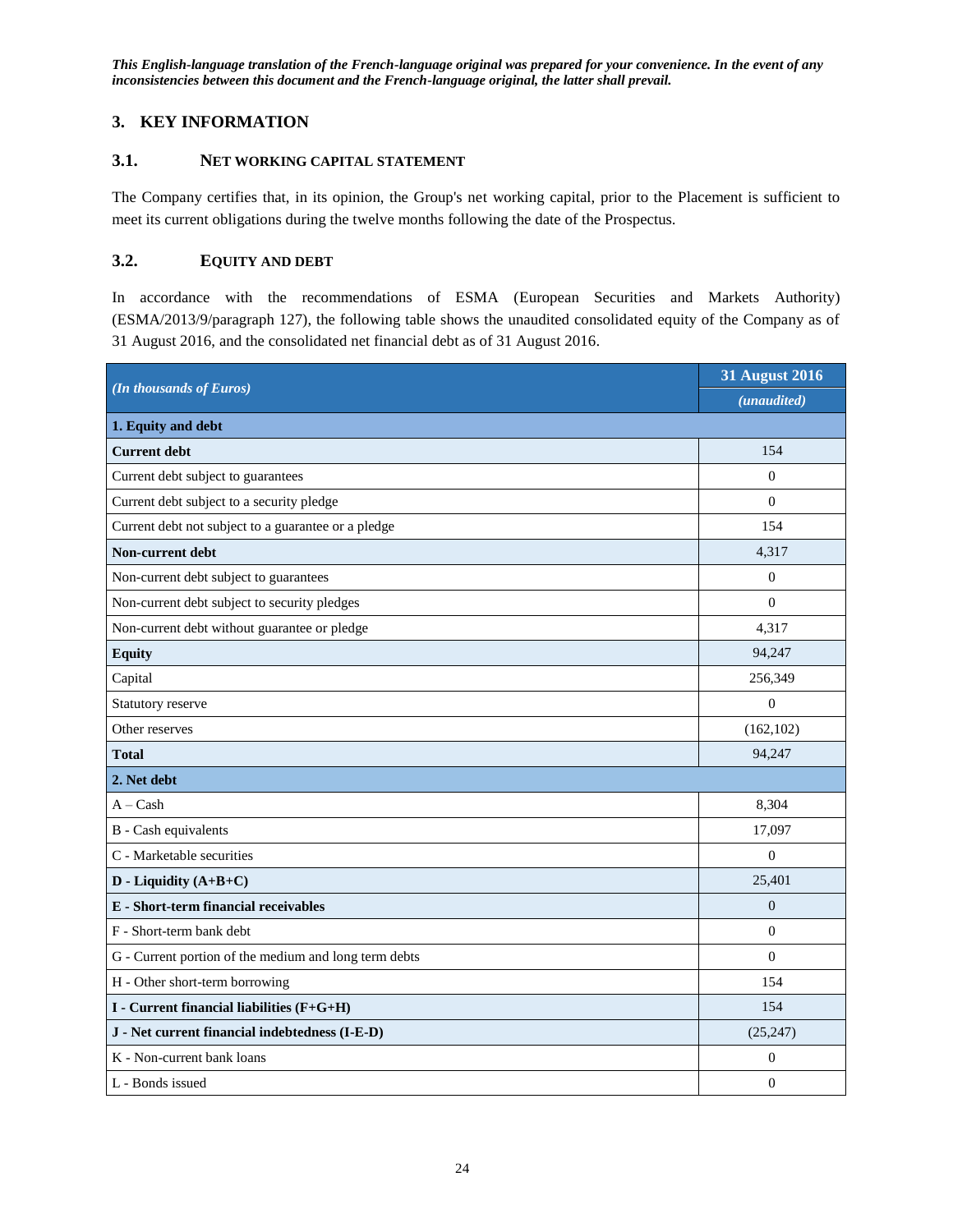## <span id="page-23-0"></span>**3. KEY INFORMATION**

## <span id="page-23-1"></span>**3.1. NET WORKING CAPITAL STATEMENT**

The Company certifies that, in its opinion, the Group's net working capital, prior to the Placement is sufficient to meet its current obligations during the twelve months following the date of the Prospectus.

## <span id="page-23-2"></span>**3.2. EQUITY AND DEBT**

In accordance with the recommendations of ESMA (European Securities and Markets Authority) (ESMA/2013/9/paragraph 127), the following table shows the unaudited consolidated equity of the Company as of 31 August 2016, and the consolidated net financial debt as of 31 August 2016.

|                                                       | <b>31 August 2016</b> |
|-------------------------------------------------------|-----------------------|
| (In thousands of Euros)                               | (unaudited)           |
| 1. Equity and debt                                    |                       |
| <b>Current debt</b>                                   | 154                   |
| Current debt subject to guarantees                    | $\overline{0}$        |
| Current debt subject to a security pledge             | $\theta$              |
| Current debt not subject to a guarantee or a pledge   | 154                   |
| Non-current debt                                      | 4,317                 |
| Non-current debt subject to guarantees                | $\Omega$              |
| Non-current debt subject to security pledges          | $\boldsymbol{0}$      |
| Non-current debt without guarantee or pledge          | 4,317                 |
| <b>Equity</b>                                         | 94,247                |
| Capital                                               | 256,349               |
| Statutory reserve                                     | $\mathbf{0}$          |
| Other reserves                                        | (162, 102)            |
| <b>Total</b>                                          | 94,247                |
| 2. Net debt                                           |                       |
| $A - Cash$                                            | 8,304                 |
| B - Cash equivalents                                  | 17,097                |
| C - Marketable securities                             | $\Omega$              |
| $D$ - Liquidity $(A+B+C)$                             | 25,401                |
| <b>E</b> - Short-term financial receivables           | $\overline{0}$        |
| F - Short-term bank debt                              | $\mathbf{0}$          |
| G - Current portion of the medium and long term debts | $\theta$              |
| H - Other short-term borrowing                        | 154                   |
| I - Current financial liabilities (F+G+H)             | 154                   |
| J - Net current financial indebtedness (I-E-D)        | (25, 247)             |
| K - Non-current bank loans                            | $\theta$              |
| L - Bonds issued                                      | $\boldsymbol{0}$      |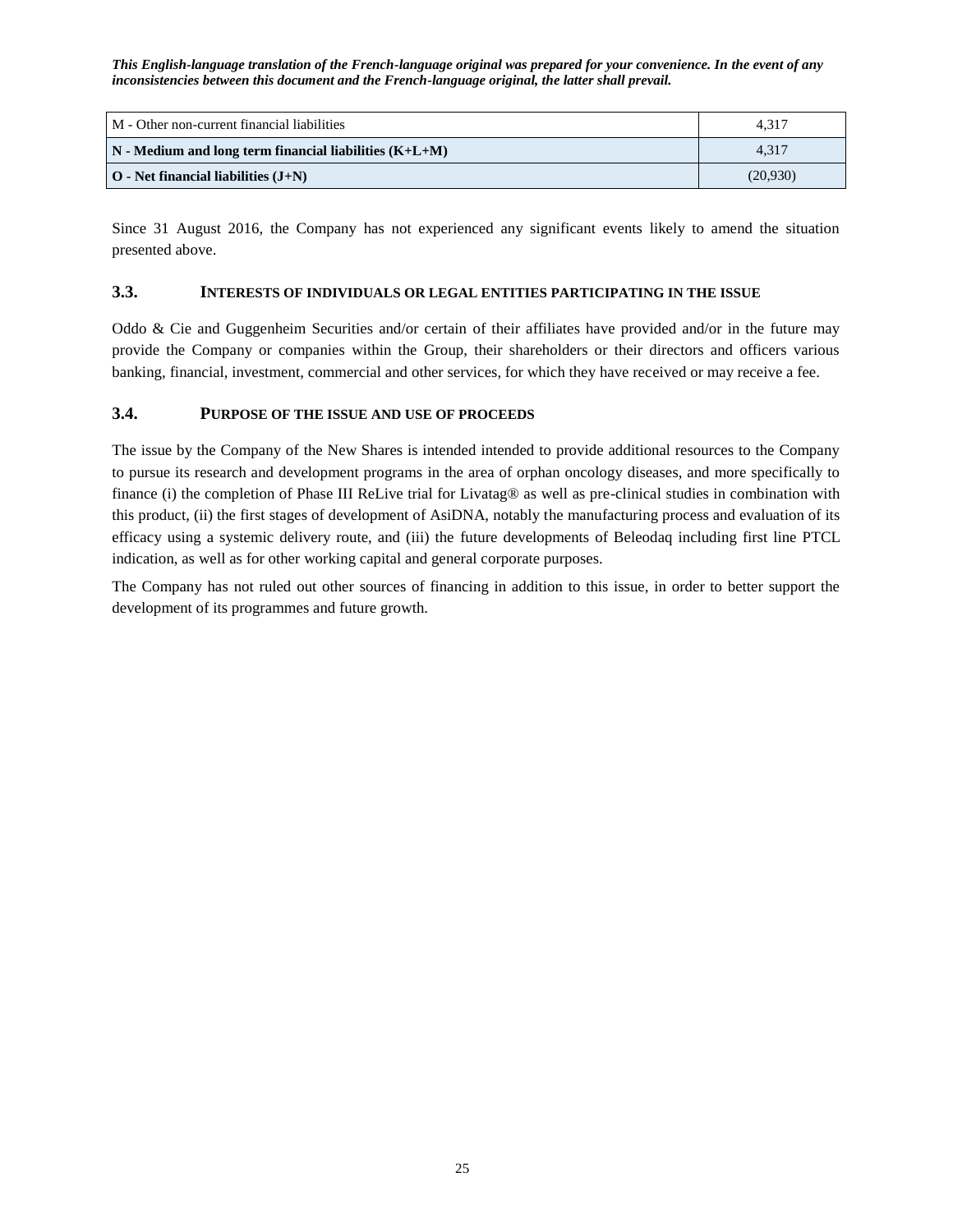| M - Other non-current financial liabilities                       | 4.317    |
|-------------------------------------------------------------------|----------|
| $\mathbf{N}$ - Medium and long term financial liabilities (K+L+M) | 4.317    |
| $\vert$ O - Net financial liabilities $(J+N)$                     | (20.930) |

Since 31 August 2016, the Company has not experienced any significant events likely to amend the situation presented above.

### <span id="page-24-0"></span>**3.3. INTERESTS OF INDIVIDUALS OR LEGAL ENTITIES PARTICIPATING IN THE ISSUE**

Oddo & Cie and Guggenheim Securities and/or certain of their affiliates have provided and/or in the future may provide the Company or companies within the Group, their shareholders or their directors and officers various banking, financial, investment, commercial and other services, for which they have received or may receive a fee.

### <span id="page-24-1"></span>**3.4. PURPOSE OF THE ISSUE AND USE OF PROCEEDS**

The issue by the Company of the New Shares is intended intended to provide additional resources to the Company to pursue its research and development programs in the area of orphan oncology diseases, and more specifically to finance (i) the completion of Phase III ReLive trial for Livatag® as well as pre-clinical studies in combination with this product, (ii) the first stages of development of AsiDNA, notably the manufacturing process and evaluation of its efficacy using a systemic delivery route, and (iii) the future developments of Beleodaq including first line PTCL indication, as well as for other working capital and general corporate purposes.

The Company has not ruled out other sources of financing in addition to this issue, in order to better support the development of its programmes and future growth.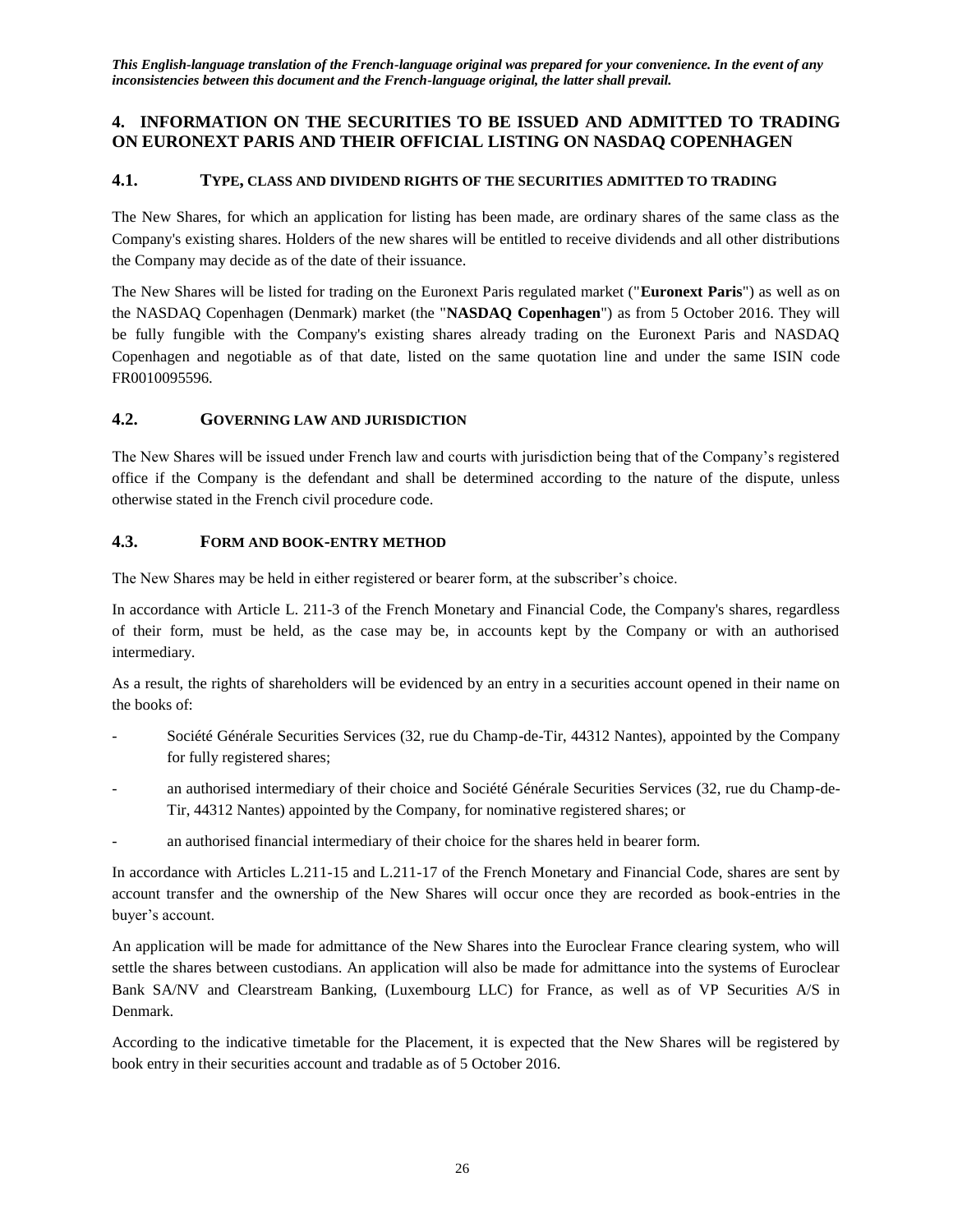## <span id="page-25-0"></span>**4. INFORMATION ON THE SECURITIES TO BE ISSUED AND ADMITTED TO TRADING ON EURONEXT PARIS AND THEIR OFFICIAL LISTING ON NASDAQ COPENHAGEN**

## <span id="page-25-1"></span>**4.1. TYPE, CLASS AND DIVIDEND RIGHTS OF THE SECURITIES ADMITTED TO TRADING**

The New Shares, for which an application for listing has been made, are ordinary shares of the same class as the Company's existing shares. Holders of the new shares will be entitled to receive dividends and all other distributions the Company may decide as of the date of their issuance.

The New Shares will be listed for trading on the Euronext Paris regulated market ("**Euronext Paris**") as well as on the NASDAQ Copenhagen (Denmark) market (the "**NASDAQ Copenhagen**") as from 5 October 2016. They will be fully fungible with the Company's existing shares already trading on the Euronext Paris and NASDAQ Copenhagen and negotiable as of that date, listed on the same quotation line and under the same ISIN code FR0010095596.

## <span id="page-25-2"></span>**4.2. GOVERNING LAW AND JURISDICTION**

The New Shares will be issued under French law and courts with jurisdiction being that of the Company's registered office if the Company is the defendant and shall be determined according to the nature of the dispute, unless otherwise stated in the French civil procedure code.

## <span id="page-25-3"></span>**4.3. FORM AND BOOK-ENTRY METHOD**

The New Shares may be held in either registered or bearer form, at the subscriber's choice.

In accordance with Article L. 211-3 of the French Monetary and Financial Code, the Company's shares, regardless of their form, must be held, as the case may be, in accounts kept by the Company or with an authorised intermediary.

As a result, the rights of shareholders will be evidenced by an entry in a securities account opened in their name on the books of:

- Société Générale Securities Services (32, rue du Champ-de-Tir, 44312 Nantes), appointed by the Company for fully registered shares;
- an authorised intermediary of their choice and Société Générale Securities Services (32, rue du Champ-de-Tir, 44312 Nantes) appointed by the Company, for nominative registered shares; or
- an authorised financial intermediary of their choice for the shares held in bearer form.

In accordance with Articles L.211-15 and L.211-17 of the French Monetary and Financial Code, shares are sent by account transfer and the ownership of the New Shares will occur once they are recorded as book-entries in the buyer's account.

An application will be made for admittance of the New Shares into the Euroclear France clearing system, who will settle the shares between custodians. An application will also be made for admittance into the systems of Euroclear Bank SA/NV and Clearstream Banking, (Luxembourg LLC) for France, as well as of VP Securities A/S in Denmark.

According to the indicative timetable for the Placement, it is expected that the New Shares will be registered by book entry in their securities account and tradable as of 5 October 2016.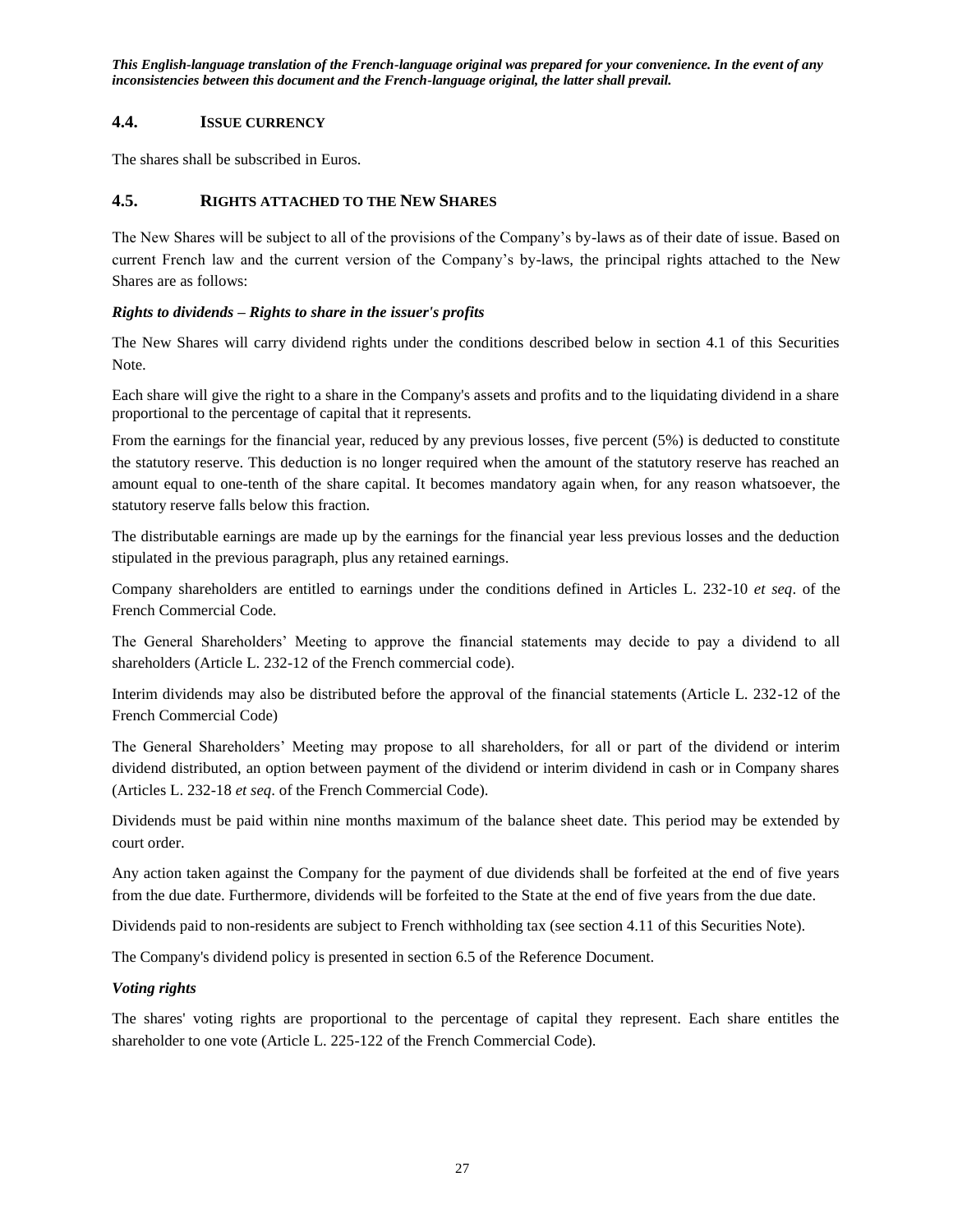### <span id="page-26-0"></span>**4.4. ISSUE CURRENCY**

The shares shall be subscribed in Euros.

## <span id="page-26-1"></span>**4.5. RIGHTS ATTACHED TO THE NEW SHARES**

The New Shares will be subject to all of the provisions of the Company's by-laws as of their date of issue. Based on current French law and the current version of the Company's by-laws, the principal rights attached to the New Shares are as follows:

### *Rights to dividends – Rights to share in the issuer's profits*

The New Shares will carry dividend rights under the conditions described below in section 4.1 of this Securities Note.

Each share will give the right to a share in the Company's assets and profits and to the liquidating dividend in a share proportional to the percentage of capital that it represents.

From the earnings for the financial year, reduced by any previous losses, five percent (5%) is deducted to constitute the statutory reserve. This deduction is no longer required when the amount of the statutory reserve has reached an amount equal to one-tenth of the share capital. It becomes mandatory again when, for any reason whatsoever, the statutory reserve falls below this fraction.

The distributable earnings are made up by the earnings for the financial year less previous losses and the deduction stipulated in the previous paragraph, plus any retained earnings.

Company shareholders are entitled to earnings under the conditions defined in Articles L. 232-10 *et seq*. of the French Commercial Code.

The General Shareholders' Meeting to approve the financial statements may decide to pay a dividend to all shareholders (Article L. 232-12 of the French commercial code).

Interim dividends may also be distributed before the approval of the financial statements (Article L. 232-12 of the French Commercial Code)

The General Shareholders' Meeting may propose to all shareholders, for all or part of the dividend or interim dividend distributed, an option between payment of the dividend or interim dividend in cash or in Company shares (Articles L. 232-18 *et seq*. of the French Commercial Code).

Dividends must be paid within nine months maximum of the balance sheet date. This period may be extended by court order.

Any action taken against the Company for the payment of due dividends shall be forfeited at the end of five years from the due date. Furthermore, dividends will be forfeited to the State at the end of five years from the due date.

Dividends paid to non-residents are subject to French withholding tax (see section 4.11 of this Securities Note).

The Company's dividend policy is presented in section 6.5 of the Reference Document.

### *Voting rights*

The shares' voting rights are proportional to the percentage of capital they represent. Each share entitles the shareholder to one vote (Article L. 225-122 of the French Commercial Code).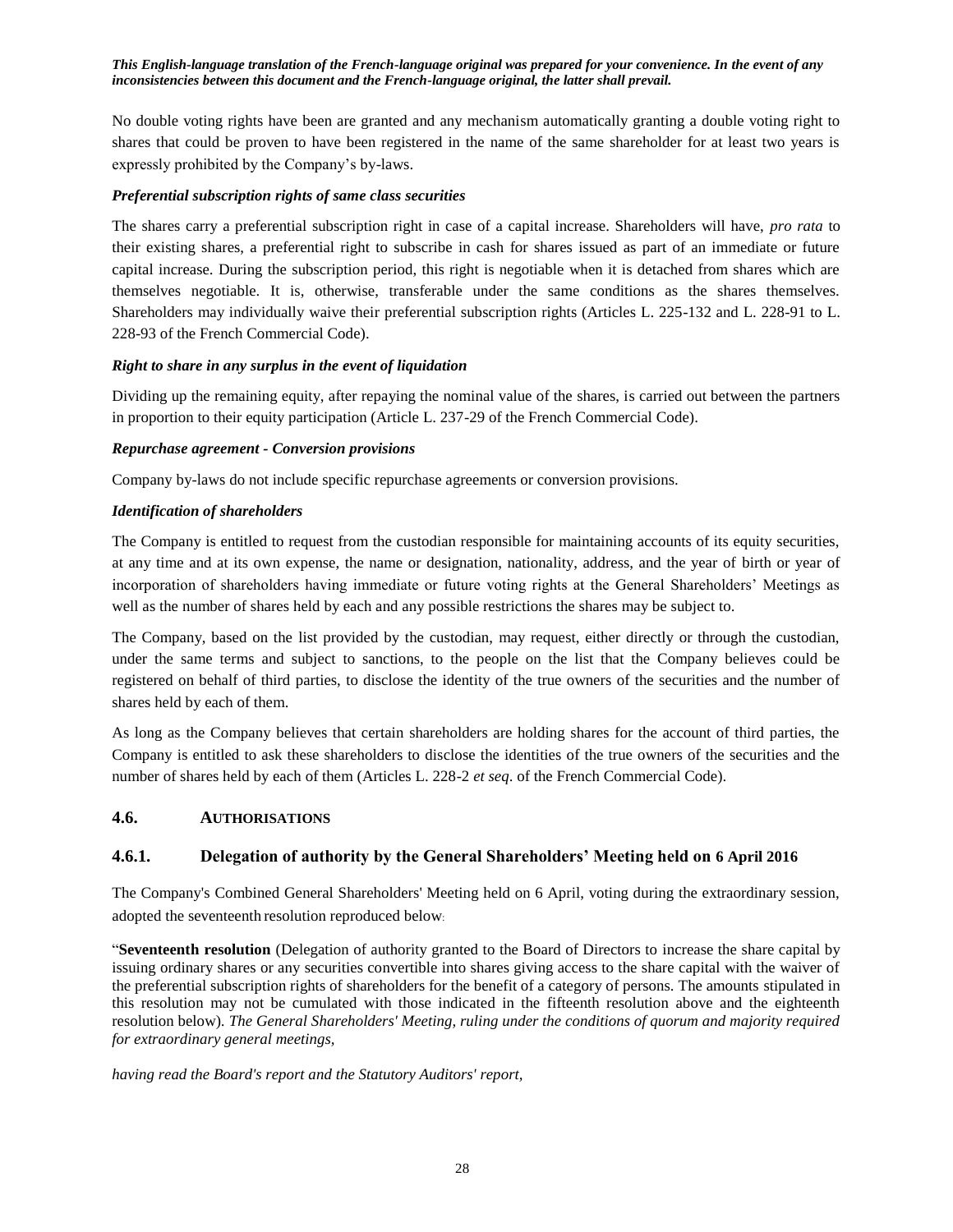No double voting rights have been are granted and any mechanism automatically granting a double voting right to shares that could be proven to have been registered in the name of the same shareholder for at least two years is expressly prohibited by the Company's by-laws.

### *Preferential subscription rights of same class securities*

The shares carry a preferential subscription right in case of a capital increase. Shareholders will have, *pro rata* to their existing shares, a preferential right to subscribe in cash for shares issued as part of an immediate or future capital increase. During the subscription period, this right is negotiable when it is detached from shares which are themselves negotiable. It is, otherwise, transferable under the same conditions as the shares themselves. Shareholders may individually waive their preferential subscription rights (Articles L. 225-132 and L. 228-91 to L. 228-93 of the French Commercial Code).

#### *Right to share in any surplus in the event of liquidation*

Dividing up the remaining equity, after repaying the nominal value of the shares, is carried out between the partners in proportion to their equity participation (Article L. 237-29 of the French Commercial Code).

#### *Repurchase agreement - Conversion provisions*

Company by-laws do not include specific repurchase agreements or conversion provisions.

#### *Identification of shareholders*

The Company is entitled to request from the custodian responsible for maintaining accounts of its equity securities, at any time and at its own expense, the name or designation, nationality, address, and the year of birth or year of incorporation of shareholders having immediate or future voting rights at the General Shareholders' Meetings as well as the number of shares held by each and any possible restrictions the shares may be subject to.

The Company, based on the list provided by the custodian, may request, either directly or through the custodian, under the same terms and subject to sanctions, to the people on the list that the Company believes could be registered on behalf of third parties, to disclose the identity of the true owners of the securities and the number of shares held by each of them.

As long as the Company believes that certain shareholders are holding shares for the account of third parties, the Company is entitled to ask these shareholders to disclose the identities of the true owners of the securities and the number of shares held by each of them (Articles L. 228-2 *et seq*. of the French Commercial Code).

### <span id="page-27-0"></span>**4.6. AUTHORISATIONS**

### <span id="page-27-1"></span>**4.6.1. Delegation of authority by the General Shareholders' Meeting held on 6 April 2016**

The Company's Combined General Shareholders' Meeting held on 6 April, voting during the extraordinary session, adopted the seventeenth resolution reproduced below:

"**Seventeenth resolution** (Delegation of authority granted to the Board of Directors to increase the share capital by issuing ordinary shares or any securities convertible into shares giving access to the share capital with the waiver of the preferential subscription rights of shareholders for the benefit of a category of persons. The amounts stipulated in this resolution may not be cumulated with those indicated in the fifteenth resolution above and the eighteenth resolution below)*. The General Shareholders' Meeting, ruling under the conditions of quorum and majority required for extraordinary general meetings,*

*having read the Board's report and the Statutory Auditors' report,*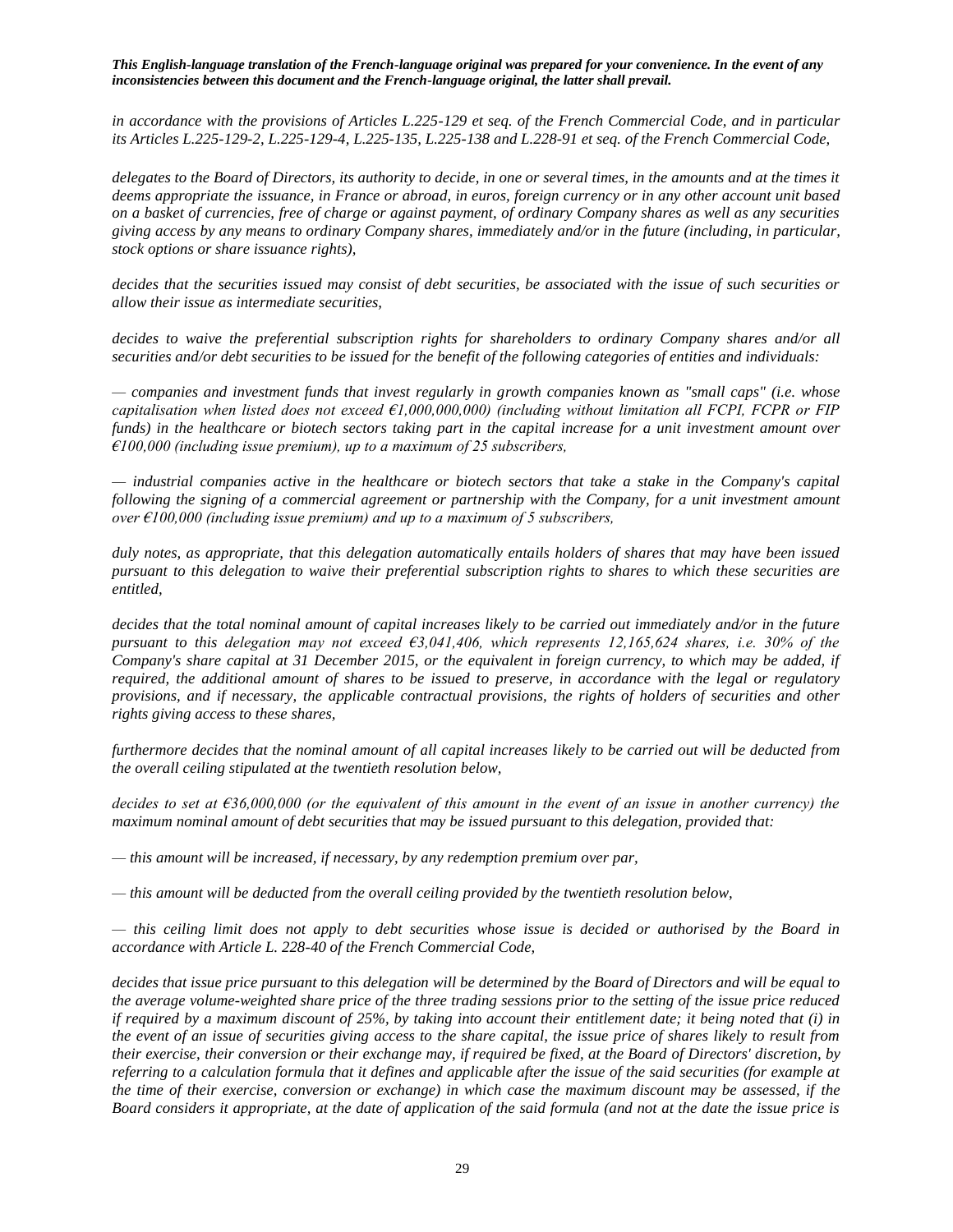*in accordance with the provisions of Articles L.225-129 et seq. of the French Commercial Code, and in particular its Articles L.225-129-2, L.225-129-4, L.225-135, L.225-138 and L.228-91 et seq. of the French Commercial Code,*

*delegates to the Board of Directors, its authority to decide, in one or several times, in the amounts and at the times it deems appropriate the issuance, in France or abroad, in euros, foreign currency or in any other account unit based on a basket of currencies, free of charge or against payment, of ordinary Company shares as well as any securities giving access by any means to ordinary Company shares, immediately and/or in the future (including, in particular, stock options or share issuance rights),*

*decides that the securities issued may consist of debt securities, be associated with the issue of such securities or allow their issue as intermediate securities,* 

decides to waive the preferential subscription rights for shareholders to ordinary Company shares and/or all *securities and/or debt securities to be issued for the benefit of the following categories of entities and individuals:* 

*— companies and investment funds that invest regularly in growth companies known as "small caps" (i.e. whose capitalisation when listed does not exceed €1,000,000,000) (including without limitation all FCPI, FCPR or FIP funds) in the healthcare or biotech sectors taking part in the capital increase for a unit investment amount over €100,000 (including issue premium), up to a maximum of 25 subscribers,*

*— industrial companies active in the healthcare or biotech sectors that take a stake in the Company's capital following the signing of a commercial agreement or partnership with the Company, for a unit investment amount over €100,000 (including issue premium) and up to a maximum of 5 subscribers,*

*duly notes, as appropriate, that this delegation automatically entails holders of shares that may have been issued pursuant to this delegation to waive their preferential subscription rights to shares to which these securities are entitled,*

*decides that the total nominal amount of capital increases likely to be carried out immediately and/or in the future pursuant to this delegation may not exceed €3,041,406, which represents 12,165,624 shares, i.e. 30% of the Company's share capital at 31 December 2015, or the equivalent in foreign currency, to which may be added, if required, the additional amount of shares to be issued to preserve, in accordance with the legal or regulatory provisions, and if necessary, the applicable contractual provisions, the rights of holders of securities and other rights giving access to these shares,*

*furthermore decides that the nominal amount of all capital increases likely to be carried out will be deducted from the overall ceiling stipulated at the twentieth resolution below,*

*decides to set at €36,000,000 (or the equivalent of this amount in the event of an issue in another currency) the maximum nominal amount of debt securities that may be issued pursuant to this delegation, provided that:*

*— this amount will be increased, if necessary, by any redemption premium over par,*

*— this amount will be deducted from the overall ceiling provided by the twentieth resolution below,*

*— this ceiling limit does not apply to debt securities whose issue is decided or authorised by the Board in accordance with Article L. 228-40 of the French Commercial Code,* 

*decides that issue price pursuant to this delegation will be determined by the Board of Directors and will be equal to the average volume-weighted share price of the three trading sessions prior to the setting of the issue price reduced if required by a maximum discount of 25%, by taking into account their entitlement date; it being noted that (i) in the event of an issue of securities giving access to the share capital, the issue price of shares likely to result from their exercise, their conversion or their exchange may, if required be fixed, at the Board of Directors' discretion, by referring to a calculation formula that it defines and applicable after the issue of the said securities (for example at the time of their exercise, conversion or exchange) in which case the maximum discount may be assessed, if the Board considers it appropriate, at the date of application of the said formula (and not at the date the issue price is*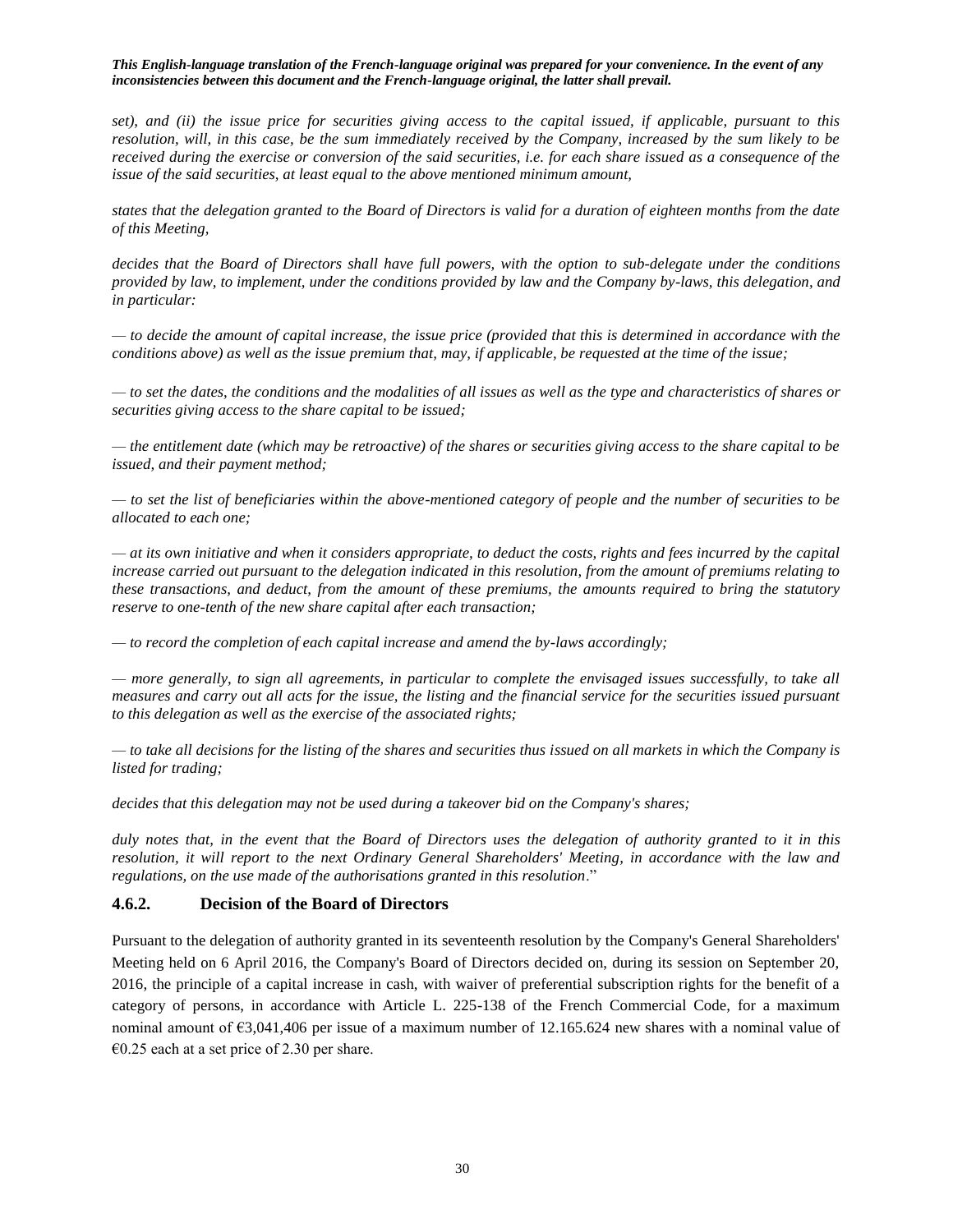*set), and (ii) the issue price for securities giving access to the capital issued, if applicable, pursuant to this resolution, will, in this case, be the sum immediately received by the Company, increased by the sum likely to be received during the exercise or conversion of the said securities, i.e. for each share issued as a consequence of the issue of the said securities, at least equal to the above mentioned minimum amount,*

*states that the delegation granted to the Board of Directors is valid for a duration of eighteen months from the date of this Meeting,*

*decides that the Board of Directors shall have full powers, with the option to sub-delegate under the conditions provided by law, to implement, under the conditions provided by law and the Company by-laws, this delegation, and in particular:*

*— to decide the amount of capital increase, the issue price (provided that this is determined in accordance with the conditions above) as well as the issue premium that, may, if applicable, be requested at the time of the issue;*

*— to set the dates, the conditions and the modalities of all issues as well as the type and characteristics of shares or securities giving access to the share capital to be issued;*

*— the entitlement date (which may be retroactive) of the shares or securities giving access to the share capital to be issued, and their payment method;*

*— to set the list of beneficiaries within the above-mentioned category of people and the number of securities to be allocated to each one;*

*— at its own initiative and when it considers appropriate, to deduct the costs, rights and fees incurred by the capital increase carried out pursuant to the delegation indicated in this resolution, from the amount of premiums relating to these transactions, and deduct, from the amount of these premiums, the amounts required to bring the statutory reserve to one-tenth of the new share capital after each transaction;*

*— to record the completion of each capital increase and amend the by-laws accordingly;*

*— more generally, to sign all agreements, in particular to complete the envisaged issues successfully, to take all measures and carry out all acts for the issue, the listing and the financial service for the securities issued pursuant to this delegation as well as the exercise of the associated rights;*

*— to take all decisions for the listing of the shares and securities thus issued on all markets in which the Company is listed for trading;*

*decides that this delegation may not be used during a takeover bid on the Company's shares;*

*duly notes that, in the event that the Board of Directors uses the delegation of authority granted to it in this resolution, it will report to the next Ordinary General Shareholders' Meeting, in accordance with the law and regulations, on the use made of the authorisations granted in this resolution*."

### <span id="page-29-0"></span>**4.6.2. Decision of the Board of Directors**

Pursuant to the delegation of authority granted in its seventeenth resolution by the Company's General Shareholders' Meeting held on 6 April 2016, the Company's Board of Directors decided on, during its session on September 20, 2016, the principle of a capital increase in cash, with waiver of preferential subscription rights for the benefit of a category of persons, in accordance with Article L. 225-138 of the French Commercial Code, for a maximum nominal amount of €3,041,406 per issue of a maximum number of 12.165.624 new shares with a nominal value of  $\epsilon$ 0.25 each at a set price of 2.30 per share.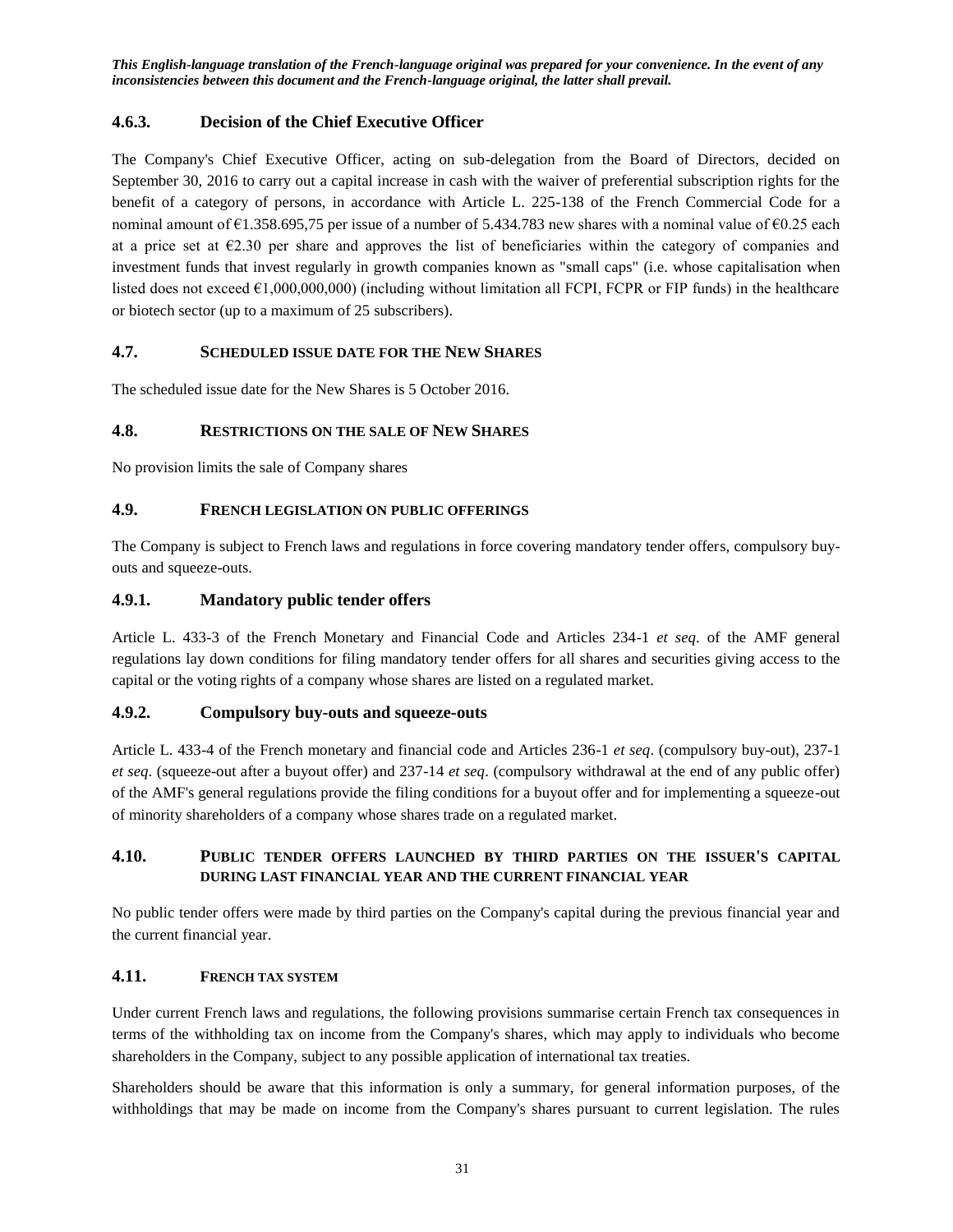## <span id="page-30-0"></span>**4.6.3. Decision of the Chief Executive Officer**

The Company's Chief Executive Officer, acting on sub-delegation from the Board of Directors, decided on September 30, 2016 to carry out a capital increase in cash with the waiver of preferential subscription rights for the benefit of a category of persons, in accordance with Article L. 225-138 of the French Commercial Code for a nominal amount of  $\epsilon$ 1.358.695,75 per issue of a number of 5.434.783 new shares with a nominal value of  $\epsilon$ 0.25 each at a price set at  $E2.30$  per share and approves the list of beneficiaries within the category of companies and investment funds that invest regularly in growth companies known as "small caps" (i.e. whose capitalisation when listed does not exceed  $\epsilon$ 1,000,000,000) (including without limitation all FCPI, FCPR or FIP funds) in the healthcare or biotech sector (up to a maximum of 25 subscribers).

## <span id="page-30-1"></span>**4.7. SCHEDULED ISSUE DATE FOR THE NEW SHARES**

The scheduled issue date for the New Shares is 5 October 2016.

### <span id="page-30-2"></span>**4.8. RESTRICTIONS ON THE SALE OF NEW SHARES**

No provision limits the sale of Company shares

### <span id="page-30-3"></span>**4.9. FRENCH LEGISLATION ON PUBLIC OFFERINGS**

The Company is subject to French laws and regulations in force covering mandatory tender offers, compulsory buyouts and squeeze-outs.

### <span id="page-30-4"></span>**4.9.1. Mandatory public tender offers**

Article L. 433-3 of the French Monetary and Financial Code and Articles 234-1 *et seq*. of the AMF general regulations lay down conditions for filing mandatory tender offers for all shares and securities giving access to the capital or the voting rights of a company whose shares are listed on a regulated market.

## <span id="page-30-5"></span>**4.9.2. Compulsory buy-outs and squeeze-outs**

Article L. 433-4 of the French monetary and financial code and Articles 236-1 *et seq*. (compulsory buy-out), 237-1 *et seq*. (squeeze-out after a buyout offer) and 237-14 *et seq*. (compulsory withdrawal at the end of any public offer) of the AMF's general regulations provide the filing conditions for a buyout offer and for implementing a squeeze-out of minority shareholders of a company whose shares trade on a regulated market.

## <span id="page-30-6"></span>**4.10. PUBLIC TENDER OFFERS LAUNCHED BY THIRD PARTIES ON THE ISSUER'S CAPITAL DURING LAST FINANCIAL YEAR AND THE CURRENT FINANCIAL YEAR**

No public tender offers were made by third parties on the Company's capital during the previous financial year and the current financial year.

### <span id="page-30-7"></span>**4.11. FRENCH TAX SYSTEM**

Under current French laws and regulations, the following provisions summarise certain French tax consequences in terms of the withholding tax on income from the Company's shares, which may apply to individuals who become shareholders in the Company, subject to any possible application of international tax treaties.

Shareholders should be aware that this information is only a summary, for general information purposes, of the withholdings that may be made on income from the Company's shares pursuant to current legislation. The rules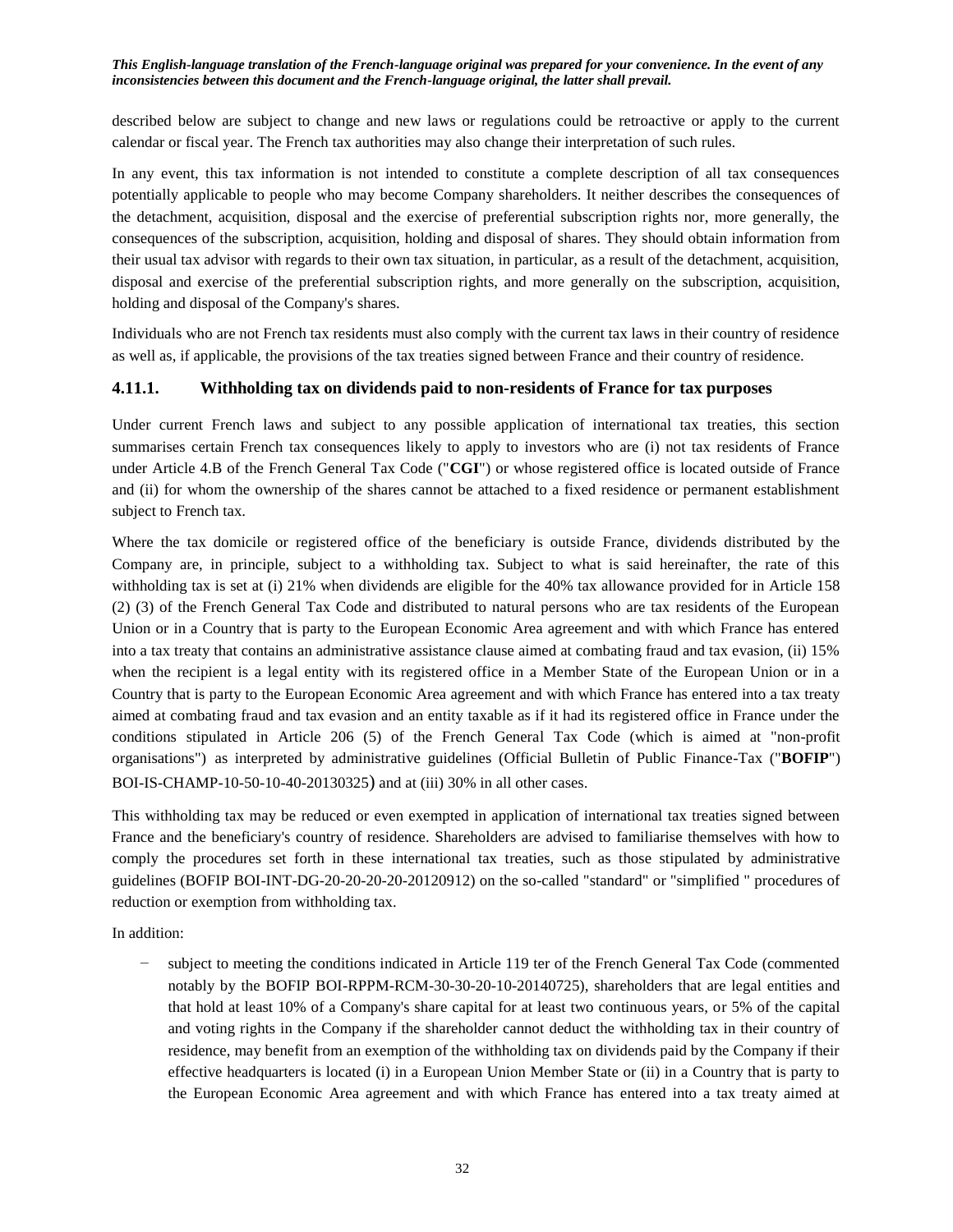described below are subject to change and new laws or regulations could be retroactive or apply to the current calendar or fiscal year. The French tax authorities may also change their interpretation of such rules.

In any event, this tax information is not intended to constitute a complete description of all tax consequences potentially applicable to people who may become Company shareholders. It neither describes the consequences of the detachment, acquisition, disposal and the exercise of preferential subscription rights nor, more generally, the consequences of the subscription, acquisition, holding and disposal of shares. They should obtain information from their usual tax advisor with regards to their own tax situation, in particular, as a result of the detachment, acquisition, disposal and exercise of the preferential subscription rights, and more generally on the subscription, acquisition, holding and disposal of the Company's shares.

Individuals who are not French tax residents must also comply with the current tax laws in their country of residence as well as, if applicable, the provisions of the tax treaties signed between France and their country of residence.

### <span id="page-31-0"></span>**4.11.1. Withholding tax on dividends paid to non-residents of France for tax purposes**

Under current French laws and subject to any possible application of international tax treaties, this section summarises certain French tax consequences likely to apply to investors who are (i) not tax residents of France under Article 4.B of the French General Tax Code ("**CGI**") or whose registered office is located outside of France and (ii) for whom the ownership of the shares cannot be attached to a fixed residence or permanent establishment subject to French tax.

Where the tax domicile or registered office of the beneficiary is outside France, dividends distributed by the Company are, in principle, subject to a withholding tax. Subject to what is said hereinafter, the rate of this withholding tax is set at (i) 21% when dividends are eligible for the 40% tax allowance provided for in Article 158 (2) (3) of the French General Tax Code and distributed to natural persons who are tax residents of the European Union or in a Country that is party to the European Economic Area agreement and with which France has entered into a tax treaty that contains an administrative assistance clause aimed at combating fraud and tax evasion, (ii) 15% when the recipient is a legal entity with its registered office in a Member State of the European Union or in a Country that is party to the European Economic Area agreement and with which France has entered into a tax treaty aimed at combating fraud and tax evasion and an entity taxable as if it had its registered office in France under the conditions stipulated in Article 206 (5) of the French General Tax Code (which is aimed at "non-profit organisations") as interpreted by administrative guidelines (Official Bulletin of Public Finance-Tax ("**BOFIP**") BOI-IS-CHAMP-10-50-10-40-20130325) and at (iii) 30% in all other cases.

This withholding tax may be reduced or even exempted in application of international tax treaties signed between France and the beneficiary's country of residence. Shareholders are advised to familiarise themselves with how to comply the procedures set forth in these international tax treaties, such as those stipulated by administrative guidelines (BOFIP BOI-INT-DG-20-20-20-20-20120912) on the so-called "standard" or "simplified " procedures of reduction or exemption from withholding tax.

In addition:

subject to meeting the conditions indicated in Article 119 ter of the French General Tax Code (commented notably by the BOFIP BOI-RPPM-RCM-30-30-20-10-20140725), shareholders that are legal entities and that hold at least 10% of a Company's share capital for at least two continuous years, or 5% of the capital and voting rights in the Company if the shareholder cannot deduct the withholding tax in their country of residence, may benefit from an exemption of the withholding tax on dividends paid by the Company if their effective headquarters is located (i) in a European Union Member State or (ii) in a Country that is party to the European Economic Area agreement and with which France has entered into a tax treaty aimed at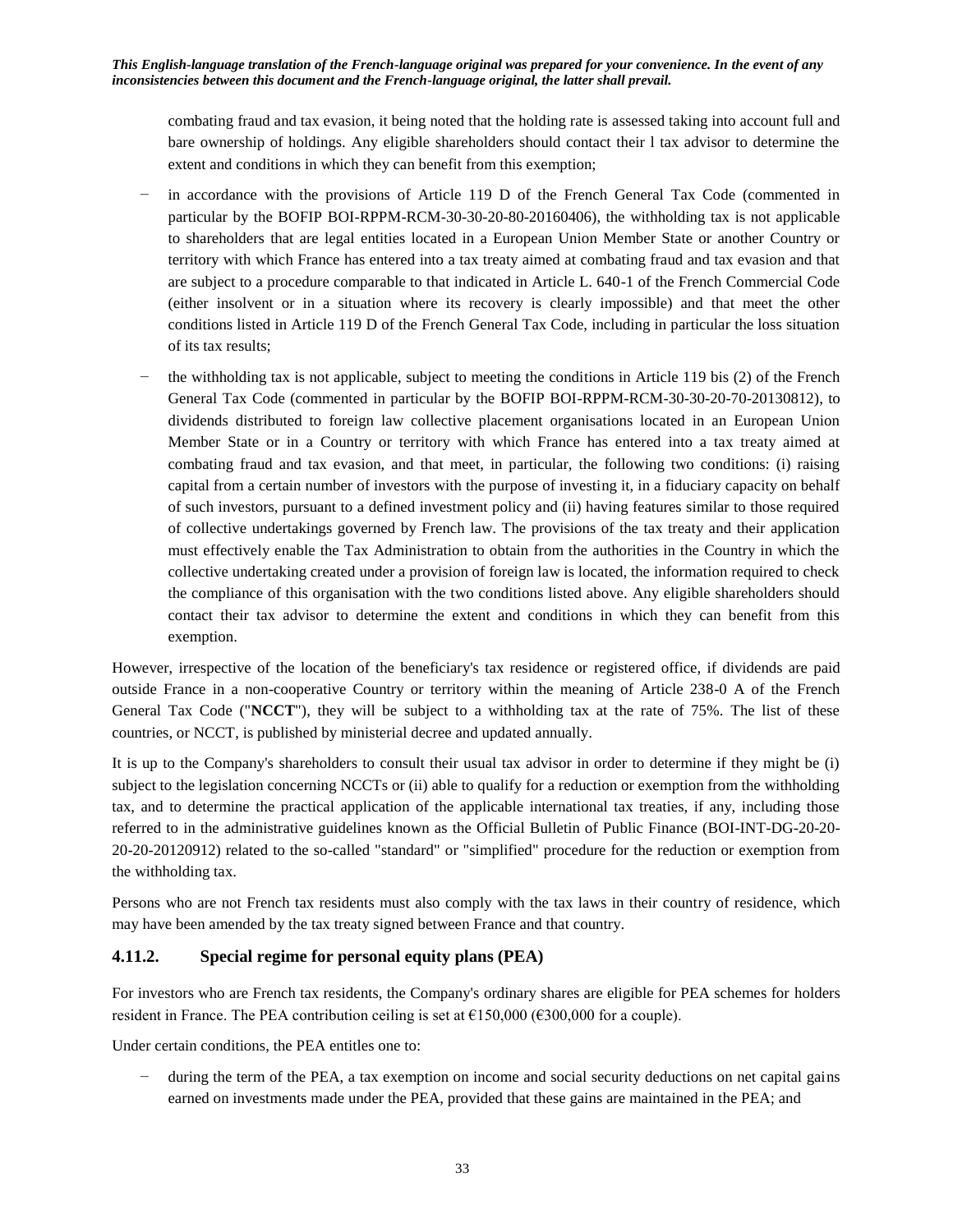combating fraud and tax evasion, it being noted that the holding rate is assessed taking into account full and bare ownership of holdings. Any eligible shareholders should contact their l tax advisor to determine the extent and conditions in which they can benefit from this exemption;

- in accordance with the provisions of Article 119 D of the French General Tax Code (commented in particular by the BOFIP BOI-RPPM-RCM-30-30-20-80-20160406), the withholding tax is not applicable to shareholders that are legal entities located in a European Union Member State or another Country or territory with which France has entered into a tax treaty aimed at combating fraud and tax evasion and that are subject to a procedure comparable to that indicated in Article L. 640-1 of the French Commercial Code (either insolvent or in a situation where its recovery is clearly impossible) and that meet the other conditions listed in Article 119 D of the French General Tax Code, including in particular the loss situation of its tax results;
- the withholding tax is not applicable, subject to meeting the conditions in Article 119 bis (2) of the French General Tax Code (commented in particular by the BOFIP BOI-RPPM-RCM-30-30-20-70-20130812), to dividends distributed to foreign law collective placement organisations located in an European Union Member State or in a Country or territory with which France has entered into a tax treaty aimed at combating fraud and tax evasion, and that meet, in particular, the following two conditions: (i) raising capital from a certain number of investors with the purpose of investing it, in a fiduciary capacity on behalf of such investors, pursuant to a defined investment policy and (ii) having features similar to those required of collective undertakings governed by French law. The provisions of the tax treaty and their application must effectively enable the Tax Administration to obtain from the authorities in the Country in which the collective undertaking created under a provision of foreign law is located, the information required to check the compliance of this organisation with the two conditions listed above. Any eligible shareholders should contact their tax advisor to determine the extent and conditions in which they can benefit from this exemption.

However, irrespective of the location of the beneficiary's tax residence or registered office, if dividends are paid outside France in a non-cooperative Country or territory within the meaning of Article 238-0 A of the French General Tax Code ("**NCCT**"), they will be subject to a withholding tax at the rate of 75%. The list of these countries, or NCCT, is published by ministerial decree and updated annually.

It is up to the Company's shareholders to consult their usual tax advisor in order to determine if they might be (i) subject to the legislation concerning NCCTs or (ii) able to qualify for a reduction or exemption from the withholding tax, and to determine the practical application of the applicable international tax treaties, if any, including those referred to in the administrative guidelines known as the Official Bulletin of Public Finance (BOI-INT-DG-20-20- 20-20-20120912) related to the so-called "standard" or "simplified" procedure for the reduction or exemption from the withholding tax.

Persons who are not French tax residents must also comply with the tax laws in their country of residence, which may have been amended by the tax treaty signed between France and that country.

## <span id="page-32-0"></span>**4.11.2. Special regime for personal equity plans (PEA)**

For investors who are French tax residents, the Company's ordinary shares are eligible for PEA schemes for holders resident in France. The PEA contribution ceiling is set at  $\epsilon$ 150,000 ( $\epsilon$ 300,000 for a couple).

Under certain conditions, the PEA entitles one to:

during the term of the PEA, a tax exemption on income and social security deductions on net capital gains earned on investments made under the PEA, provided that these gains are maintained in the PEA; and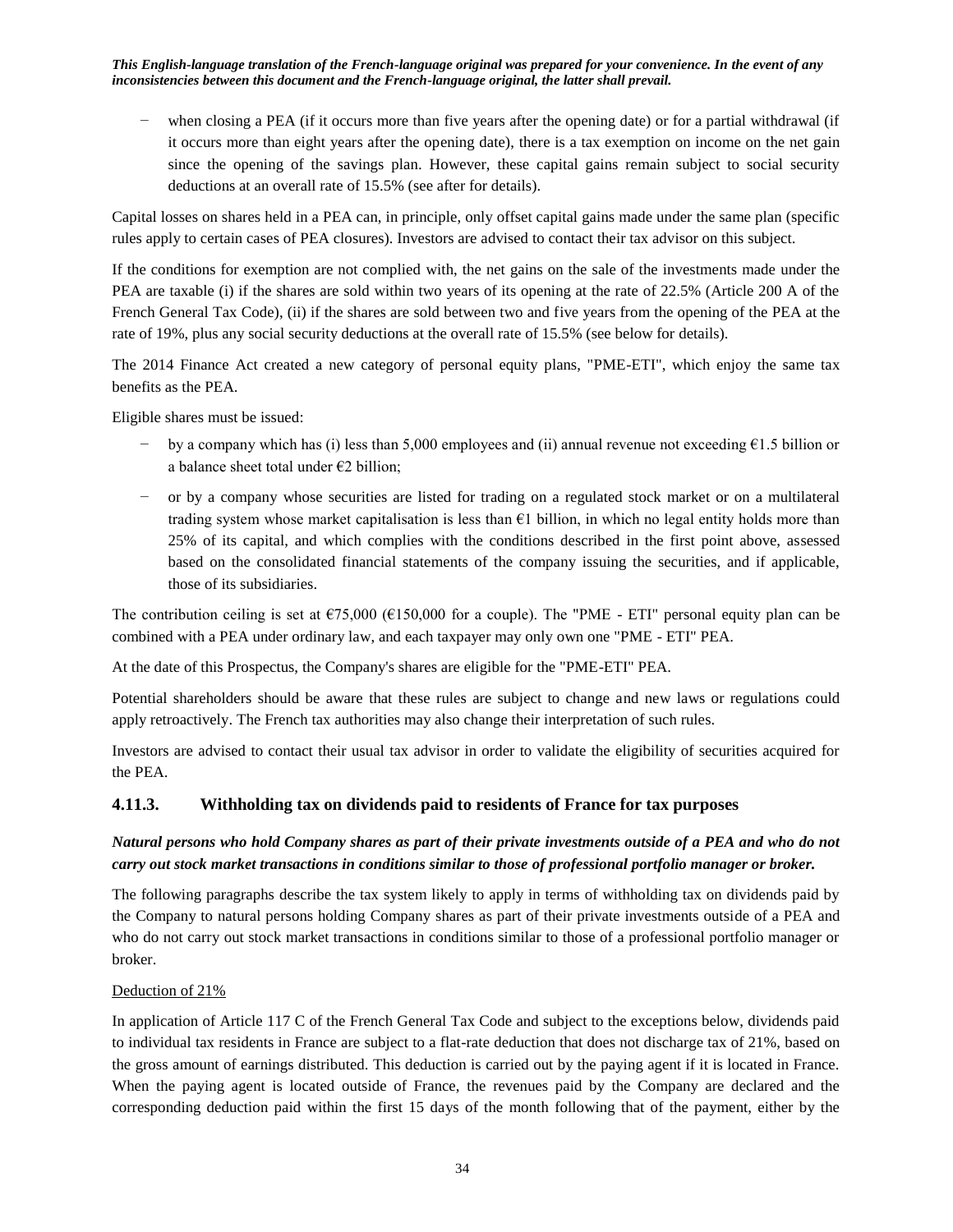− when closing a PEA (if it occurs more than five years after the opening date) or for a partial withdrawal (if it occurs more than eight years after the opening date), there is a tax exemption on income on the net gain since the opening of the savings plan. However, these capital gains remain subject to social security deductions at an overall rate of 15.5% (see after for details).

Capital losses on shares held in a PEA can, in principle, only offset capital gains made under the same plan (specific rules apply to certain cases of PEA closures). Investors are advised to contact their tax advisor on this subject.

If the conditions for exemption are not complied with, the net gains on the sale of the investments made under the PEA are taxable (i) if the shares are sold within two years of its opening at the rate of 22.5% (Article 200 A of the French General Tax Code), (ii) if the shares are sold between two and five years from the opening of the PEA at the rate of 19%, plus any social security deductions at the overall rate of 15.5% (see below for details).

The 2014 Finance Act created a new category of personal equity plans, "PME-ETI", which enjoy the same tax benefits as the PEA.

Eligible shares must be issued:

- − by a company which has (i) less than 5,000 employees and (ii) annual revenue not exceeding €1.5 billion or a balance sheet total under €2 billion;
- − or by a company whose securities are listed for trading on a regulated stock market or on a multilateral trading system whose market capitalisation is less than  $E1$  billion, in which no legal entity holds more than 25% of its capital, and which complies with the conditions described in the first point above, assessed based on the consolidated financial statements of the company issuing the securities, and if applicable, those of its subsidiaries.

The contribution ceiling is set at  $\epsilon$ 75,000 ( $\epsilon$ 150,000 for a couple). The "PME - ETI" personal equity plan can be combined with a PEA under ordinary law, and each taxpayer may only own one "PME - ETI" PEA.

At the date of this Prospectus, the Company's shares are eligible for the "PME-ETI" PEA.

Potential shareholders should be aware that these rules are subject to change and new laws or regulations could apply retroactively. The French tax authorities may also change their interpretation of such rules.

Investors are advised to contact their usual tax advisor in order to validate the eligibility of securities acquired for the PEA.

### <span id="page-33-0"></span>**4.11.3. Withholding tax on dividends paid to residents of France for tax purposes**

## *Natural persons who hold Company shares as part of their private investments outside of a PEA and who do not carry out stock market transactions in conditions similar to those of professional portfolio manager or broker.*

The following paragraphs describe the tax system likely to apply in terms of withholding tax on dividends paid by the Company to natural persons holding Company shares as part of their private investments outside of a PEA and who do not carry out stock market transactions in conditions similar to those of a professional portfolio manager or broker.

### Deduction of 21%

In application of Article 117 C of the French General Tax Code and subject to the exceptions below, dividends paid to individual tax residents in France are subject to a flat-rate deduction that does not discharge tax of 21%, based on the gross amount of earnings distributed. This deduction is carried out by the paying agent if it is located in France. When the paying agent is located outside of France, the revenues paid by the Company are declared and the corresponding deduction paid within the first 15 days of the month following that of the payment, either by the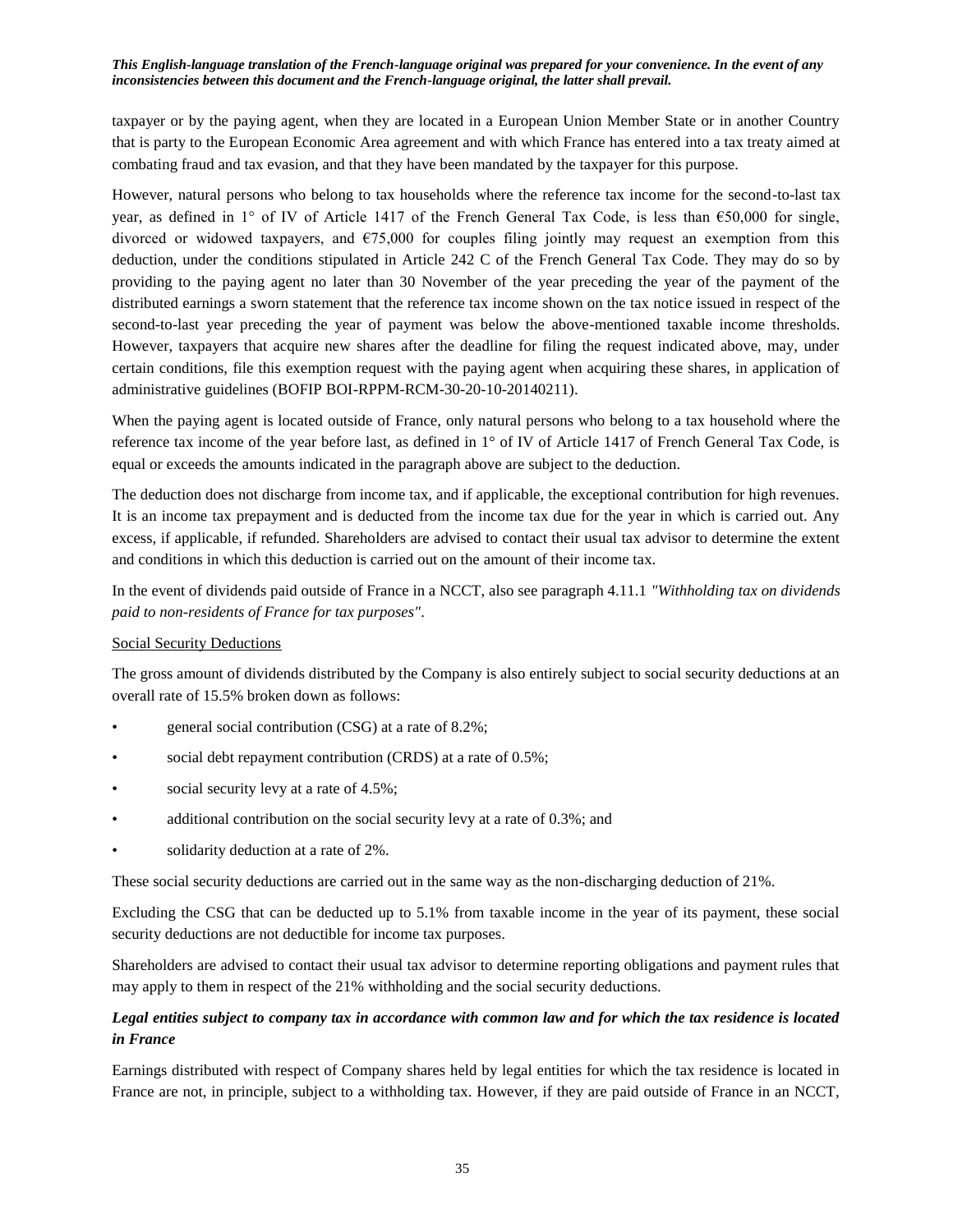taxpayer or by the paying agent, when they are located in a European Union Member State or in another Country that is party to the European Economic Area agreement and with which France has entered into a tax treaty aimed at combating fraud and tax evasion, and that they have been mandated by the taxpayer for this purpose.

However, natural persons who belong to tax households where the reference tax income for the second-to-last tax year, as defined in 1° of IV of Article 1417 of the French General Tax Code, is less than  $\epsilon$ 50,000 for single, divorced or widowed taxpayers, and  $\epsilon$ 75,000 for couples filing jointly may request an exemption from this deduction, under the conditions stipulated in Article 242 C of the French General Tax Code. They may do so by providing to the paying agent no later than 30 November of the year preceding the year of the payment of the distributed earnings a sworn statement that the reference tax income shown on the tax notice issued in respect of the second-to-last year preceding the year of payment was below the above-mentioned taxable income thresholds. However, taxpayers that acquire new shares after the deadline for filing the request indicated above, may, under certain conditions, file this exemption request with the paying agent when acquiring these shares, in application of administrative guidelines (BOFIP BOI-RPPM-RCM-30-20-10-20140211).

When the paying agent is located outside of France, only natural persons who belong to a tax household where the reference tax income of the year before last, as defined in 1° of IV of Article 1417 of French General Tax Code, is equal or exceeds the amounts indicated in the paragraph above are subject to the deduction.

The deduction does not discharge from income tax, and if applicable, the exceptional contribution for high revenues. It is an income tax prepayment and is deducted from the income tax due for the year in which is carried out. Any excess, if applicable, if refunded. Shareholders are advised to contact their usual tax advisor to determine the extent and conditions in which this deduction is carried out on the amount of their income tax.

In the event of dividends paid outside of France in a NCCT, also see paragraph 4.11.1 *"Withholding tax on dividends paid to non-residents of France for tax purposes"*.

### Social Security Deductions

The gross amount of dividends distributed by the Company is also entirely subject to social security deductions at an overall rate of 15.5% broken down as follows:

- general social contribution (CSG) at a rate of 8.2%;
- social debt repayment contribution (CRDS) at a rate of 0.5%;
- social security levy at a rate of 4.5%;
- additional contribution on the social security levy at a rate of 0.3%; and
- solidarity deduction at a rate of 2%.

These social security deductions are carried out in the same way as the non-discharging deduction of 21%.

Excluding the CSG that can be deducted up to 5.1% from taxable income in the year of its payment, these social security deductions are not deductible for income tax purposes.

Shareholders are advised to contact their usual tax advisor to determine reporting obligations and payment rules that may apply to them in respect of the 21% withholding and the social security deductions.

## *Legal entities subject to company tax in accordance with common law and for which the tax residence is located in France*

Earnings distributed with respect of Company shares held by legal entities for which the tax residence is located in France are not, in principle, subject to a withholding tax. However, if they are paid outside of France in an NCCT,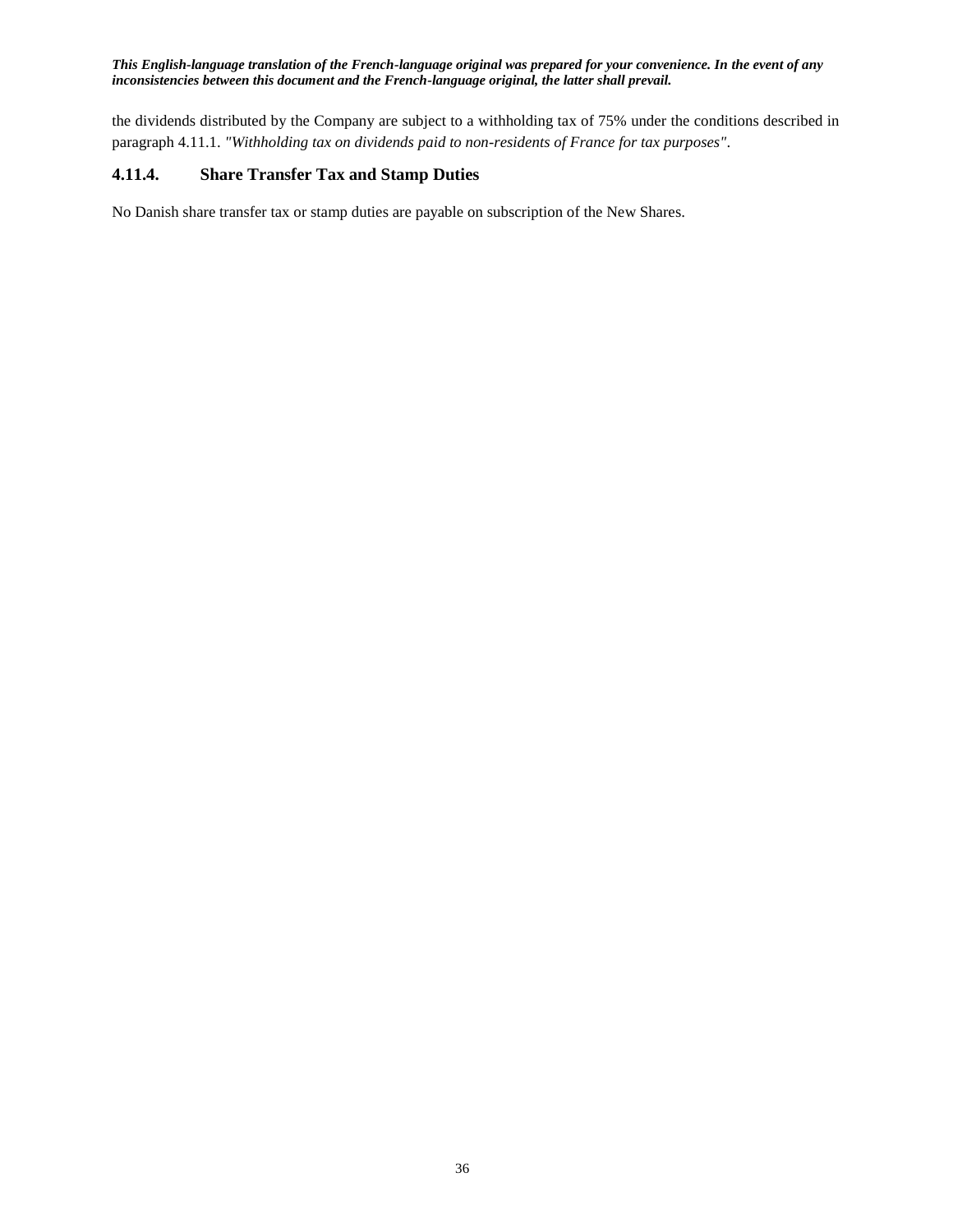the dividends distributed by the Company are subject to a withholding tax of 75% under the conditions described in paragraph 4.11.1. *"Withholding tax on dividends paid to non-residents of France for tax purposes"*.

## <span id="page-35-0"></span>**4.11.4. Share Transfer Tax and Stamp Duties**

No Danish share transfer tax or stamp duties are payable on subscription of the New Shares.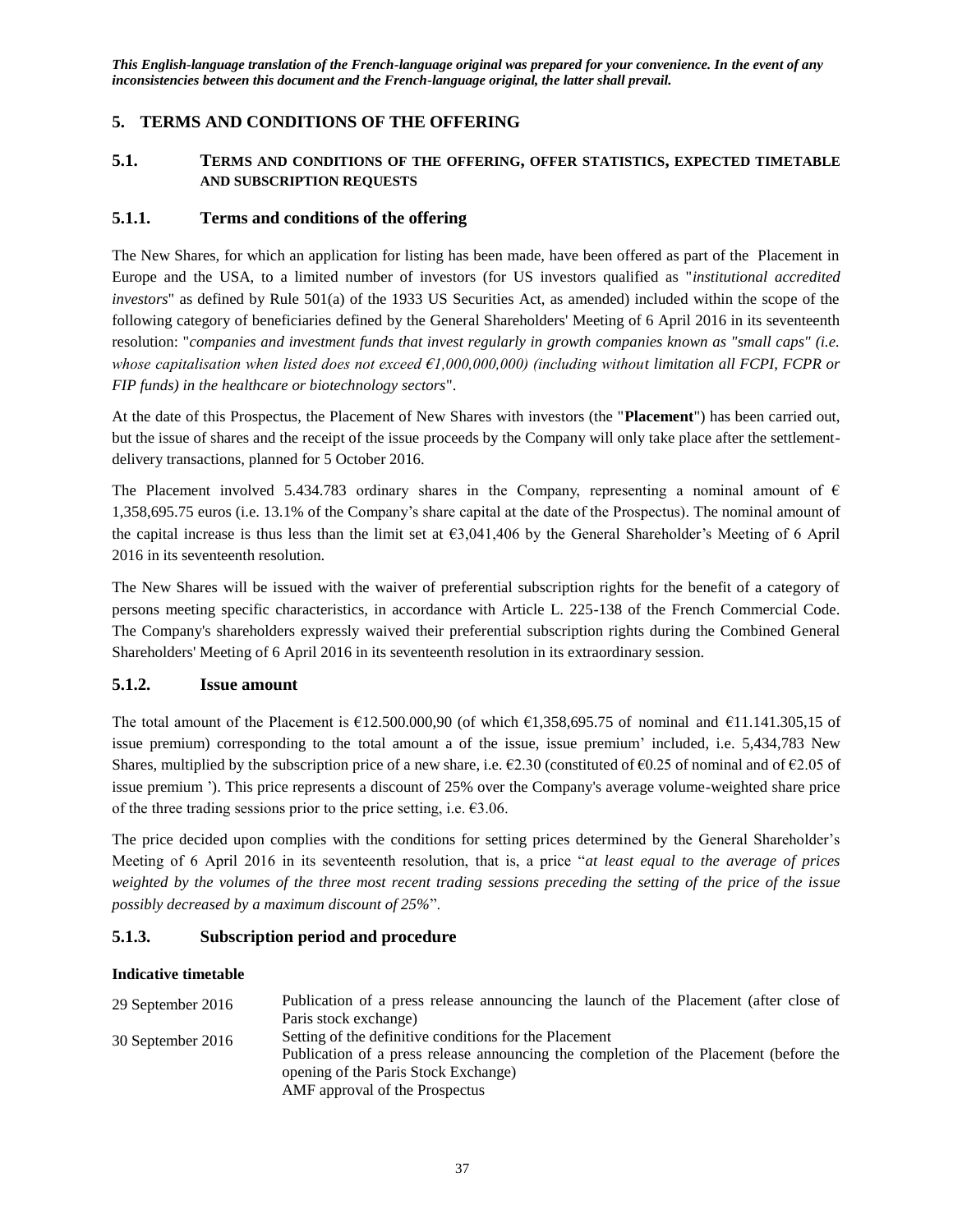## <span id="page-36-0"></span>**5. TERMS AND CONDITIONS OF THE OFFERING**

## <span id="page-36-1"></span>**5.1. TERMS AND CONDITIONS OF THE OFFERING, OFFER STATISTICS, EXPECTED TIMETABLE AND SUBSCRIPTION REQUESTS**

### <span id="page-36-2"></span>**5.1.1. Terms and conditions of the offering**

The New Shares, for which an application for listing has been made, have been offered as part of the Placement in Europe and the USA, to a limited number of investors (for US investors qualified as "*institutional accredited investors*" as defined by Rule 501(a) of the 1933 US Securities Act, as amended) included within the scope of the following category of beneficiaries defined by the General Shareholders' Meeting of 6 April 2016 in its seventeenth resolution: "*companies and investment funds that invest regularly in growth companies known as "small caps" (i.e. whose capitalisation when listed does not exceed €1,000,000,000) (including without limitation all FCPI, FCPR or FIP funds) in the healthcare or biotechnology sectors*".

At the date of this Prospectus, the Placement of New Shares with investors (the "**Placement**") has been carried out, but the issue of shares and the receipt of the issue proceeds by the Company will only take place after the settlementdelivery transactions, planned for 5 October 2016.

The Placement involved 5.434.783 ordinary shares in the Company, representing a nominal amount of  $\epsilon$ 1,358,695.75 euros (i.e. 13.1% of the Company's share capital at the date of the Prospectus). The nominal amount of the capital increase is thus less than the limit set at €3,041,406 by the General Shareholder's Meeting of 6 April 2016 in its seventeenth resolution.

The New Shares will be issued with the waiver of preferential subscription rights for the benefit of a category of persons meeting specific characteristics, in accordance with Article L. 225-138 of the French Commercial Code. The Company's shareholders expressly waived their preferential subscription rights during the Combined General Shareholders' Meeting of 6 April 2016 in its seventeenth resolution in its extraordinary session.

#### <span id="page-36-3"></span>**5.1.2. Issue amount**

The total amount of the Placement is  $\text{\textsterling}12.500.000.90$  (of which  $\text{\textsterling}1.358,695.75$  of nominal and  $\text{\textsterling}11.141.305.15$  of issue premium) corresponding to the total amount a of the issue, issue premium' included, i.e. 5,434,783 New Shares, multiplied by the subscription price of a new share, i.e.  $\epsilon$ 2.30 (constituted of  $\epsilon$ 0.25 of nominal and of  $\epsilon$ 2.05 of issue premium '). This price represents a discount of 25% over the Company's average volume-weighted share price of the three trading sessions prior to the price setting, i.e.  $\epsilon$ 3.06.

The price decided upon complies with the conditions for setting prices determined by the General Shareholder's Meeting of 6 April 2016 in its seventeenth resolution, that is, a price "*at least equal to the average of prices weighted by the volumes of the three most recent trading sessions preceding the setting of the price of the issue possibly decreased by a maximum discount of 25%*".

### <span id="page-36-4"></span>**5.1.3. Subscription period and procedure**

#### **Indicative timetable**

| 29 September 2016 | Publication of a press release announcing the launch of the Placement (after close of |
|-------------------|---------------------------------------------------------------------------------------|
|                   | Paris stock exchange)                                                                 |
| 30 September 2016 | Setting of the definitive conditions for the Placement                                |
|                   | Publication of a press release announcing the completion of the Placement (before the |
|                   | opening of the Paris Stock Exchange)                                                  |
|                   | AMF approval of the Prospectus                                                        |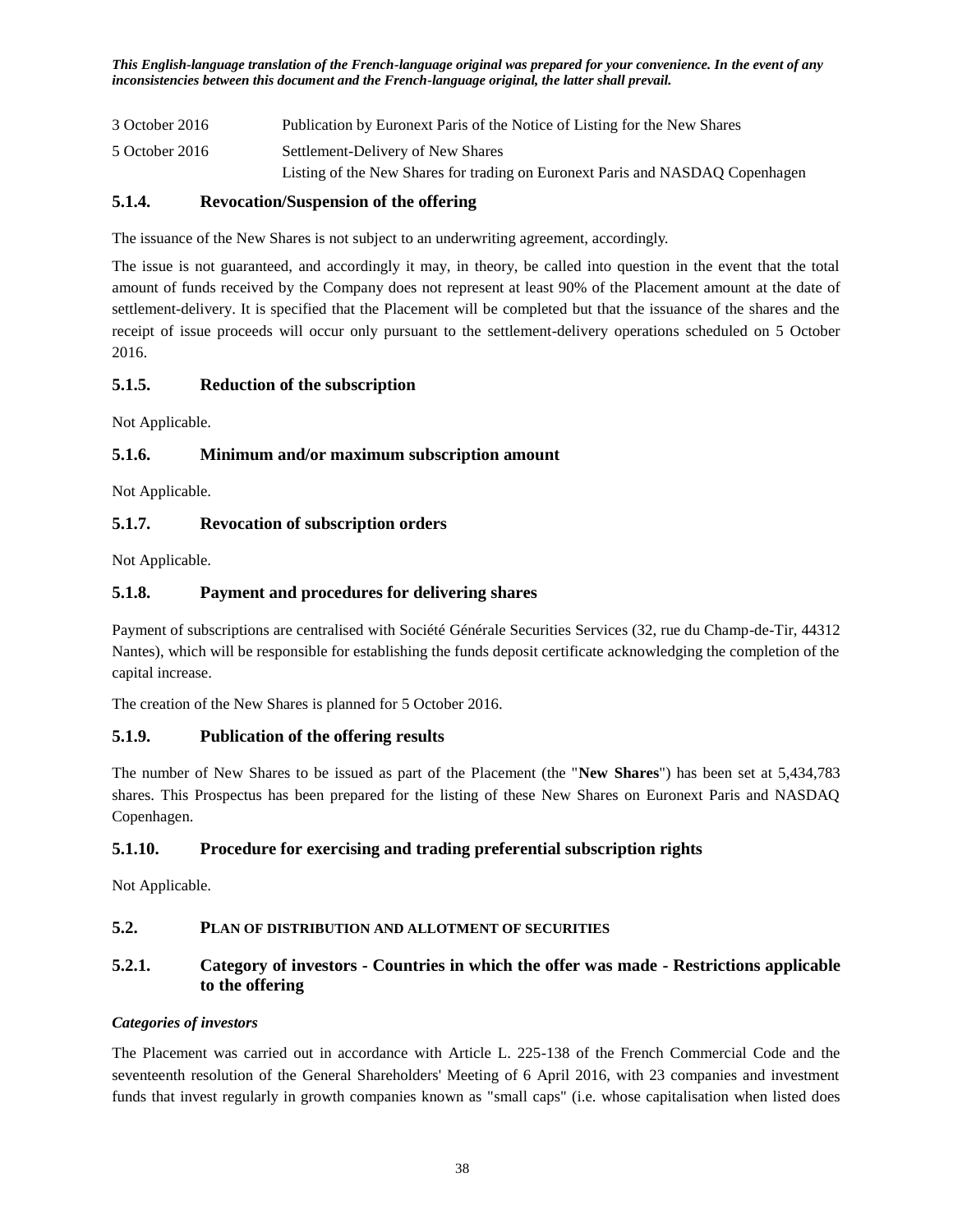3 October 2016 Publication by Euronext Paris of the Notice of Listing for the New Shares 5 October 2016 Settlement-Delivery of New Shares Listing of the New Shares for trading on Euronext Paris and NASDAQ Copenhagen

## <span id="page-37-0"></span>**5.1.4. Revocation/Suspension of the offering**

The issuance of the New Shares is not subject to an underwriting agreement, accordingly.

The issue is not guaranteed, and accordingly it may, in theory, be called into question in the event that the total amount of funds received by the Company does not represent at least 90% of the Placement amount at the date of settlement-delivery. It is specified that the Placement will be completed but that the issuance of the shares and the receipt of issue proceeds will occur only pursuant to the settlement-delivery operations scheduled on 5 October 2016.

## <span id="page-37-1"></span>**5.1.5. Reduction of the subscription**

Not Applicable.

## <span id="page-37-2"></span>**5.1.6. Minimum and/or maximum subscription amount**

Not Applicable.

## <span id="page-37-3"></span>**5.1.7. Revocation of subscription orders**

Not Applicable.

## <span id="page-37-4"></span>**5.1.8. Payment and procedures for delivering shares**

Payment of subscriptions are centralised with Société Générale Securities Services (32, rue du Champ-de-Tir, 44312 Nantes), which will be responsible for establishing the funds deposit certificate acknowledging the completion of the capital increase.

The creation of the New Shares is planned for 5 October 2016.

## <span id="page-37-5"></span>**5.1.9. Publication of the offering results**

The number of New Shares to be issued as part of the Placement (the "**New Shares**") has been set at 5,434,783 shares. This Prospectus has been prepared for the listing of these New Shares on Euronext Paris and NASDAQ Copenhagen.

### <span id="page-37-6"></span>**5.1.10. Procedure for exercising and trading preferential subscription rights**

Not Applicable.

## <span id="page-37-7"></span>**5.2. PLAN OF DISTRIBUTION AND ALLOTMENT OF SECURITIES**

## <span id="page-37-8"></span>**5.2.1. Category of investors - Countries in which the offer was made - Restrictions applicable to the offering**

### *Categories of investors*

The Placement was carried out in accordance with Article L. 225-138 of the French Commercial Code and the seventeenth resolution of the General Shareholders' Meeting of 6 April 2016, with 23 companies and investment funds that invest regularly in growth companies known as "small caps" (i.e. whose capitalisation when listed does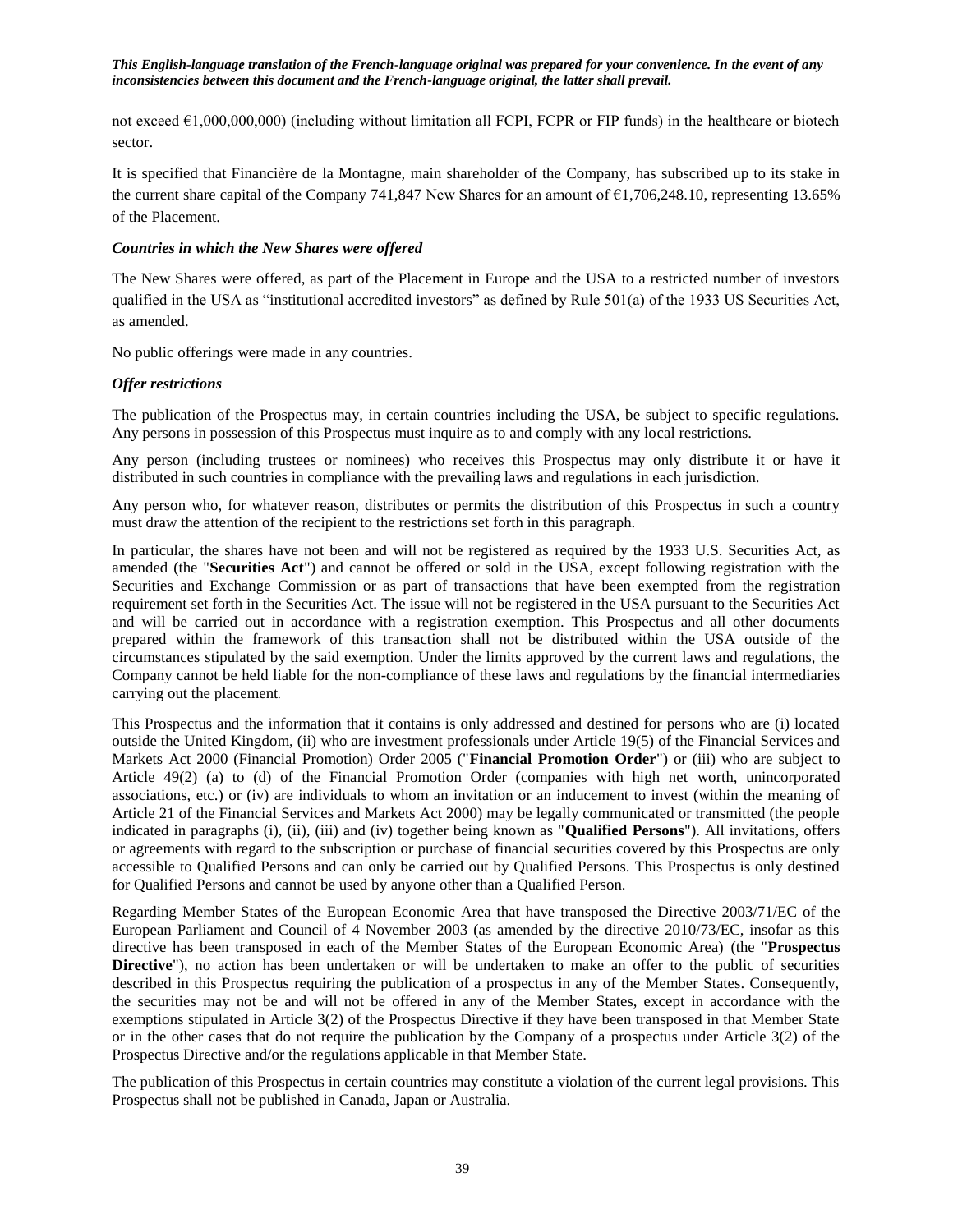not exceed €1,000,000,000) (including without limitation all FCPI, FCPR or FIP funds) in the healthcare or biotech sector.

It is specified that Financière de la Montagne, main shareholder of the Company, has subscribed up to its stake in the current share capital of the Company 741,847 New Shares for an amount of €1,706,248.10, representing 13.65% of the Placement.

### *Countries in which the New Shares were offered*

The New Shares were offered, as part of the Placement in Europe and the USA to a restricted number of investors qualified in the USA as "institutional accredited investors" as defined by Rule 501(a) of the 1933 US Securities Act, as amended.

No public offerings were made in any countries.

#### *Offer restrictions*

The publication of the Prospectus may, in certain countries including the USA, be subject to specific regulations. Any persons in possession of this Prospectus must inquire as to and comply with any local restrictions.

Any person (including trustees or nominees) who receives this Prospectus may only distribute it or have it distributed in such countries in compliance with the prevailing laws and regulations in each jurisdiction.

Any person who, for whatever reason, distributes or permits the distribution of this Prospectus in such a country must draw the attention of the recipient to the restrictions set forth in this paragraph.

In particular, the shares have not been and will not be registered as required by the 1933 U.S. Securities Act, as amended (the "**Securities Act**") and cannot be offered or sold in the USA, except following registration with the Securities and Exchange Commission or as part of transactions that have been exempted from the registration requirement set forth in the Securities Act. The issue will not be registered in the USA pursuant to the Securities Act and will be carried out in accordance with a registration exemption. This Prospectus and all other documents prepared within the framework of this transaction shall not be distributed within the USA outside of the circumstances stipulated by the said exemption. Under the limits approved by the current laws and regulations, the Company cannot be held liable for the non-compliance of these laws and regulations by the financial intermediaries carrying out the placement.

This Prospectus and the information that it contains is only addressed and destined for persons who are (i) located outside the United Kingdom, (ii) who are investment professionals under Article 19(5) of the Financial Services and Markets Act 2000 (Financial Promotion) Order 2005 ("**Financial Promotion Order**") or (iii) who are subject to Article 49(2) (a) to (d) of the Financial Promotion Order (companies with high net worth, unincorporated associations, etc.) or (iv) are individuals to whom an invitation or an inducement to invest (within the meaning of Article 21 of the Financial Services and Markets Act 2000) may be legally communicated or transmitted (the people indicated in paragraphs (i), (ii), (iii) and (iv) together being known as "**Qualified Persons**"). All invitations, offers or agreements with regard to the subscription or purchase of financial securities covered by this Prospectus are only accessible to Qualified Persons and can only be carried out by Qualified Persons. This Prospectus is only destined for Qualified Persons and cannot be used by anyone other than a Qualified Person.

Regarding Member States of the European Economic Area that have transposed the Directive 2003/71/EC of the European Parliament and Council of 4 November 2003 (as amended by the directive 2010/73/EC, insofar as this directive has been transposed in each of the Member States of the European Economic Area) (the "**Prospectus Directive**"), no action has been undertaken or will be undertaken to make an offer to the public of securities described in this Prospectus requiring the publication of a prospectus in any of the Member States. Consequently, the securities may not be and will not be offered in any of the Member States, except in accordance with the exemptions stipulated in Article 3(2) of the Prospectus Directive if they have been transposed in that Member State or in the other cases that do not require the publication by the Company of a prospectus under Article 3(2) of the Prospectus Directive and/or the regulations applicable in that Member State.

The publication of this Prospectus in certain countries may constitute a violation of the current legal provisions. This Prospectus shall not be published in Canada, Japan or Australia.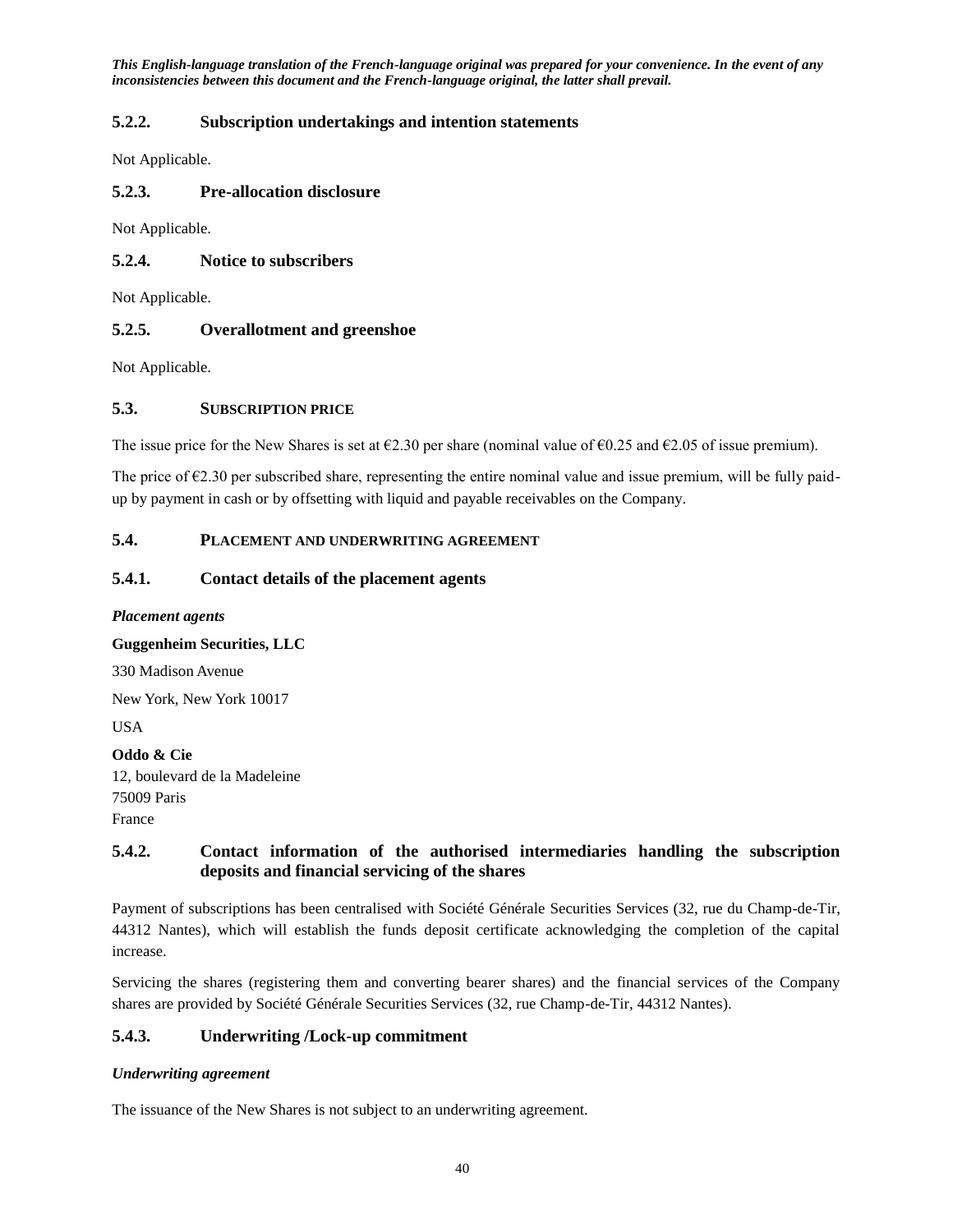## <span id="page-39-0"></span>**5.2.2. Subscription undertakings and intention statements**

Not Applicable.

## <span id="page-39-1"></span>**5.2.3. Pre-allocation disclosure**

Not Applicable.

## <span id="page-39-2"></span>**5.2.4. Notice to subscribers**

Not Applicable.

### <span id="page-39-3"></span>**5.2.5. Overallotment and greenshoe**

Not Applicable.

### <span id="page-39-4"></span>**5.3. SUBSCRIPTION PRICE**

The issue price for the New Shares is set at  $\epsilon$ 2.30 per share (nominal value of  $\epsilon$ 0.25 and  $\epsilon$ 2.05 of issue premium).

The price of  $\epsilon$ 2.30 per subscribed share, representing the entire nominal value and issue premium, will be fully paidup by payment in cash or by offsetting with liquid and payable receivables on the Company.

## <span id="page-39-5"></span>**5.4. PLACEMENT AND UNDERWRITING AGREEMENT**

#### <span id="page-39-6"></span>**5.4.1. Contact details of the placement agents**

*Placement agents*

**Guggenheim Securities, LLC**

330 Madison Avenue

New York, New York 10017

USA

**Oddo & Cie** 12, boulevard de la Madeleine 75009 Paris France

## <span id="page-39-7"></span>**5.4.2. Contact information of the authorised intermediaries handling the subscription deposits and financial servicing of the shares**

Payment of subscriptions has been centralised with Société Générale Securities Services (32, rue du Champ-de-Tir, 44312 Nantes), which will establish the funds deposit certificate acknowledging the completion of the capital increase.

Servicing the shares (registering them and converting bearer shares) and the financial services of the Company shares are provided by Société Générale Securities Services (32, rue Champ-de-Tir, 44312 Nantes).

## <span id="page-39-8"></span>**5.4.3. Underwriting /Lock-up commitment**

### *Underwriting agreement*

The issuance of the New Shares is not subject to an underwriting agreement.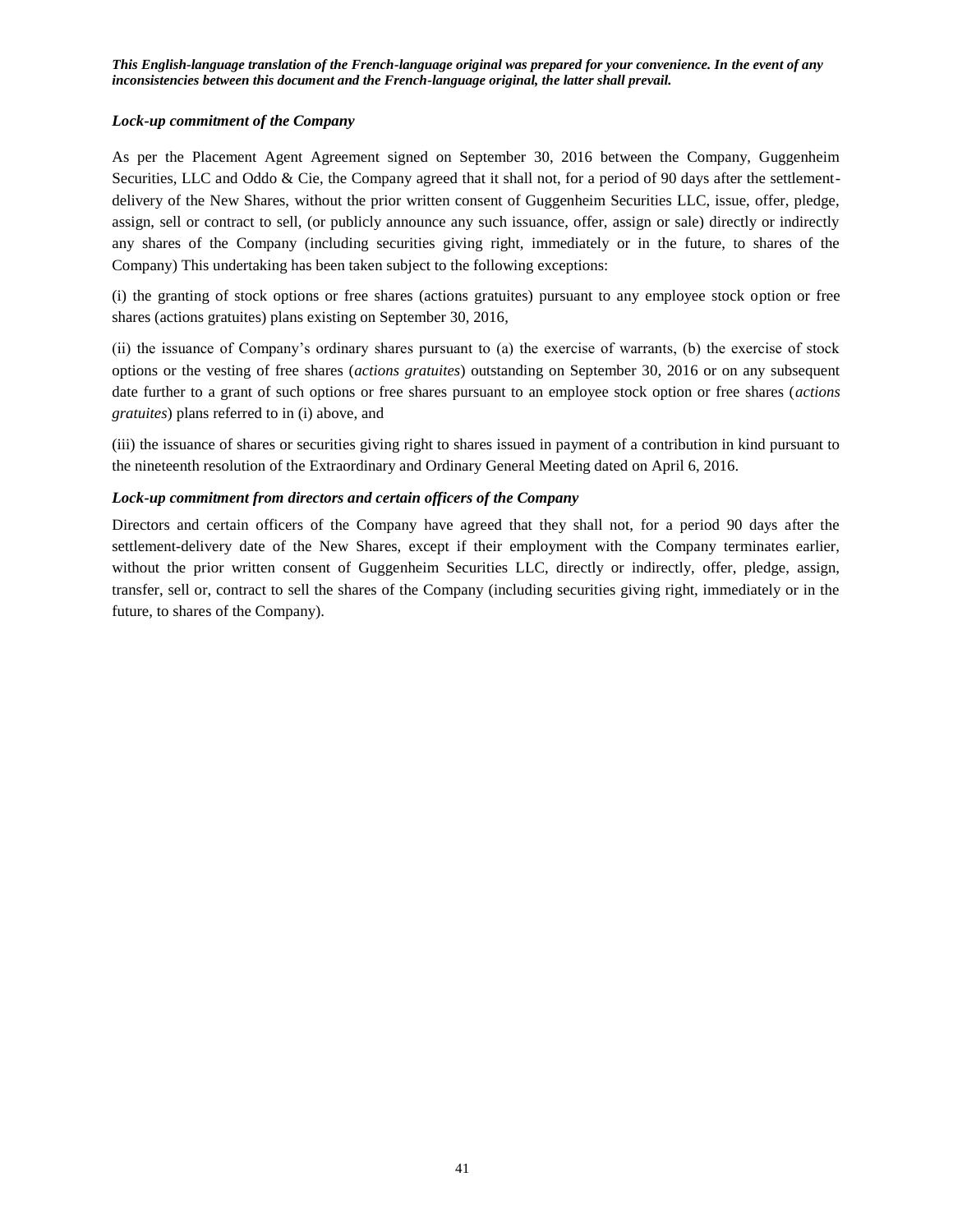#### *Lock-up commitment of the Company*

As per the Placement Agent Agreement signed on September 30, 2016 between the Company, Guggenheim Securities, LLC and Oddo & Cie, the Company agreed that it shall not, for a period of 90 days after the settlementdelivery of the New Shares, without the prior written consent of Guggenheim Securities LLC, issue, offer, pledge, assign, sell or contract to sell, (or publicly announce any such issuance, offer, assign or sale) directly or indirectly any shares of the Company (including securities giving right, immediately or in the future, to shares of the Company) This undertaking has been taken subject to the following exceptions:

(i) the granting of stock options or free shares (actions gratuites) pursuant to any employee stock option or free shares (actions gratuites) plans existing on September 30, 2016,

(ii) the issuance of Company's ordinary shares pursuant to (a) the exercise of warrants, (b) the exercise of stock options or the vesting of free shares (*actions gratuites*) outstanding on September 30, 2016 or on any subsequent date further to a grant of such options or free shares pursuant to an employee stock option or free shares (*actions gratuites*) plans referred to in (i) above, and

(iii) the issuance of shares or securities giving right to shares issued in payment of a contribution in kind pursuant to the nineteenth resolution of the Extraordinary and Ordinary General Meeting dated on April 6, 2016.

#### *Lock-up commitment from directors and certain officers of the Company*

Directors and certain officers of the Company have agreed that they shall not, for a period 90 days after the settlement-delivery date of the New Shares, except if their employment with the Company terminates earlier, without the prior written consent of Guggenheim Securities LLC, directly or indirectly, offer, pledge, assign, transfer, sell or, contract to sell the shares of the Company (including securities giving right, immediately or in the future, to shares of the Company).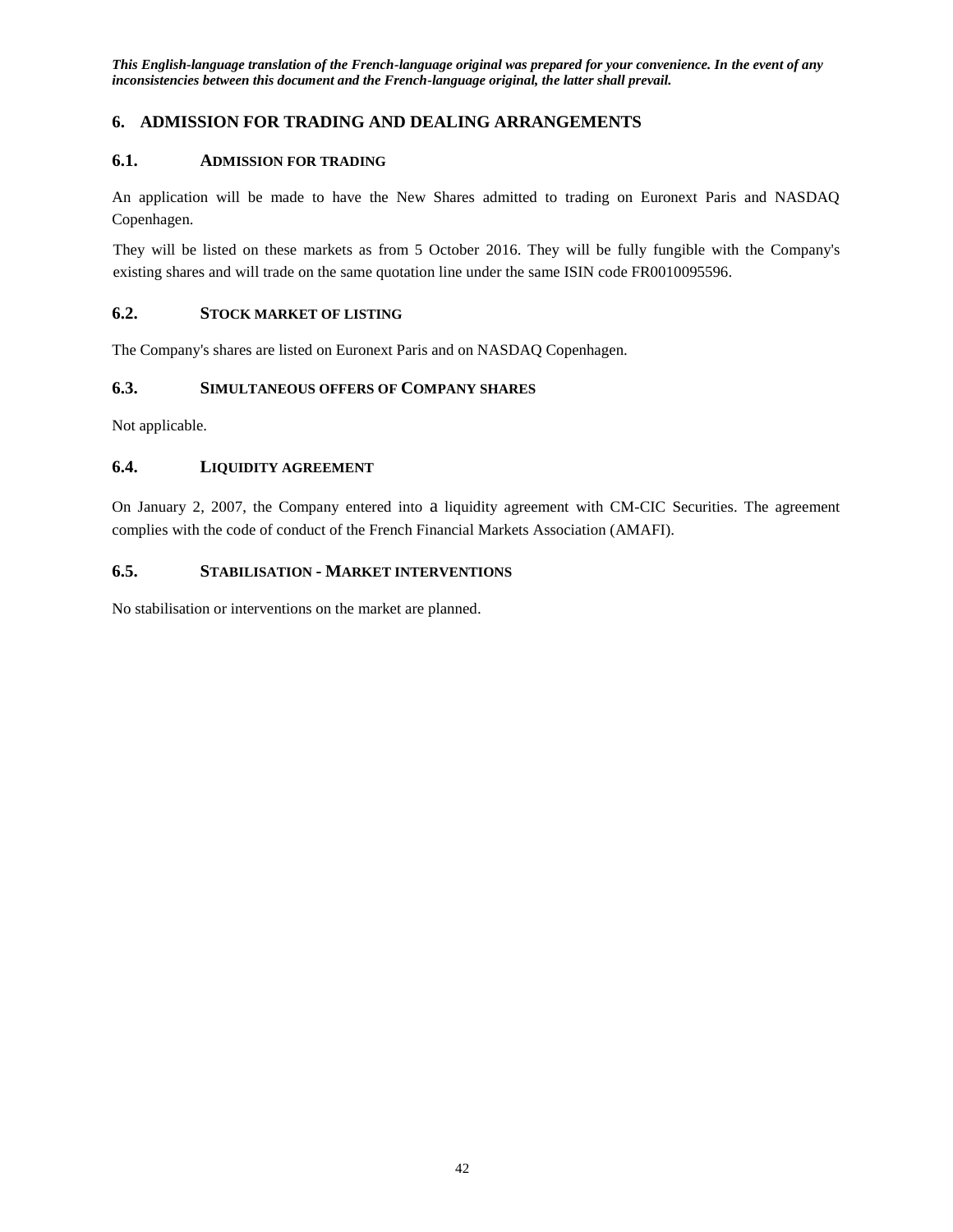## <span id="page-41-0"></span>**6. ADMISSION FOR TRADING AND DEALING ARRANGEMENTS**

#### <span id="page-41-1"></span>**6.1. ADMISSION FOR TRADING**

An application will be made to have the New Shares admitted to trading on Euronext Paris and NASDAQ Copenhagen.

They will be listed on these markets as from 5 October 2016. They will be fully fungible with the Company's existing shares and will trade on the same quotation line under the same ISIN code FR0010095596.

## <span id="page-41-2"></span>**6.2. STOCK MARKET OF LISTING**

The Company's shares are listed on Euronext Paris and on NASDAQ Copenhagen.

## <span id="page-41-3"></span>**6.3. SIMULTANEOUS OFFERS OF COMPANY SHARES**

Not applicable.

### <span id="page-41-4"></span>**6.4. LIQUIDITY AGREEMENT**

On January 2, 2007, the Company entered into a liquidity agreement with CM-CIC Securities. The agreement complies with the code of conduct of the French Financial Markets Association (AMAFI).

#### <span id="page-41-5"></span>**6.5. STABILISATION - MARKET INTERVENTIONS**

No stabilisation or interventions on the market are planned.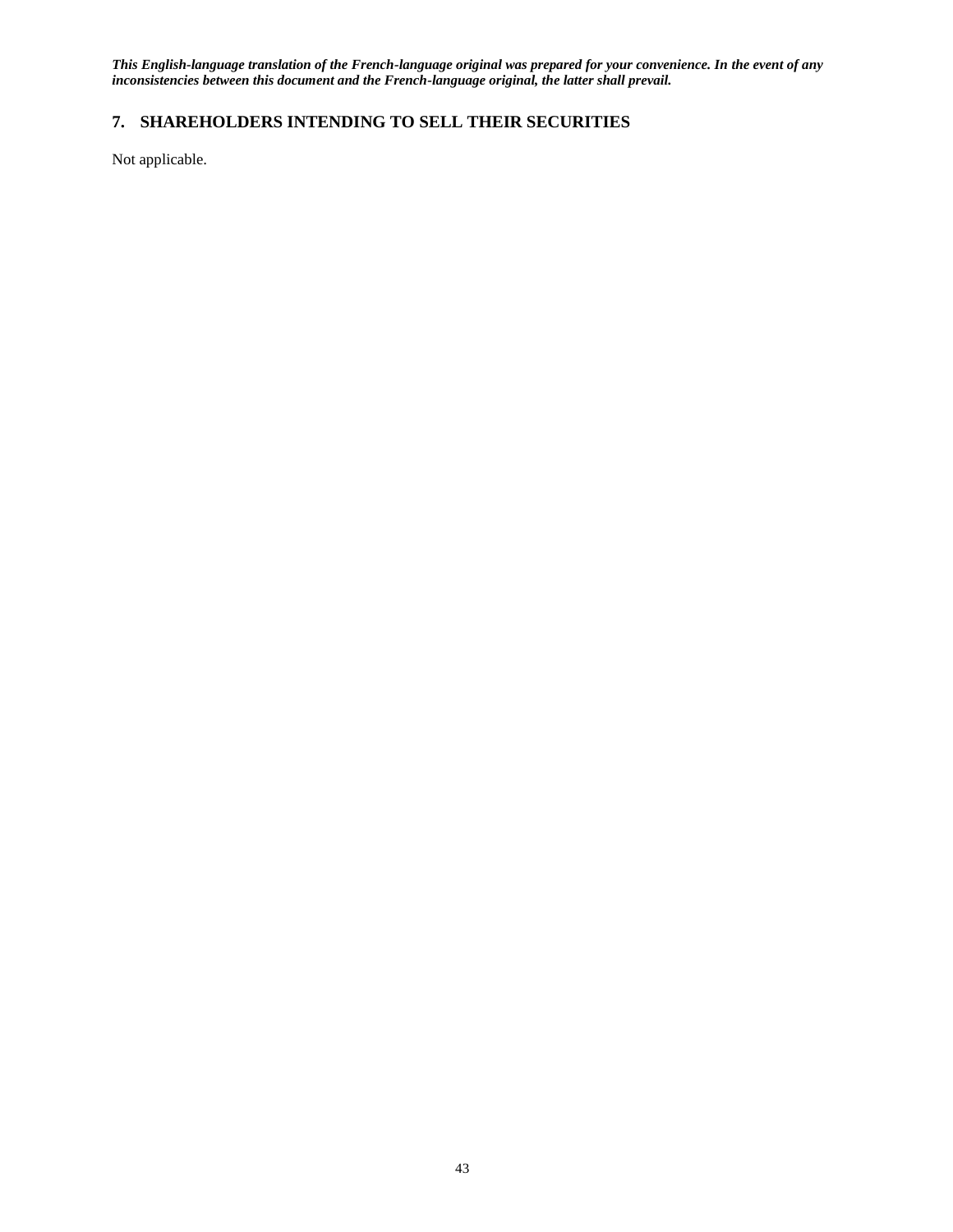## <span id="page-42-0"></span>**7. SHAREHOLDERS INTENDING TO SELL THEIR SECURITIES**

Not applicable.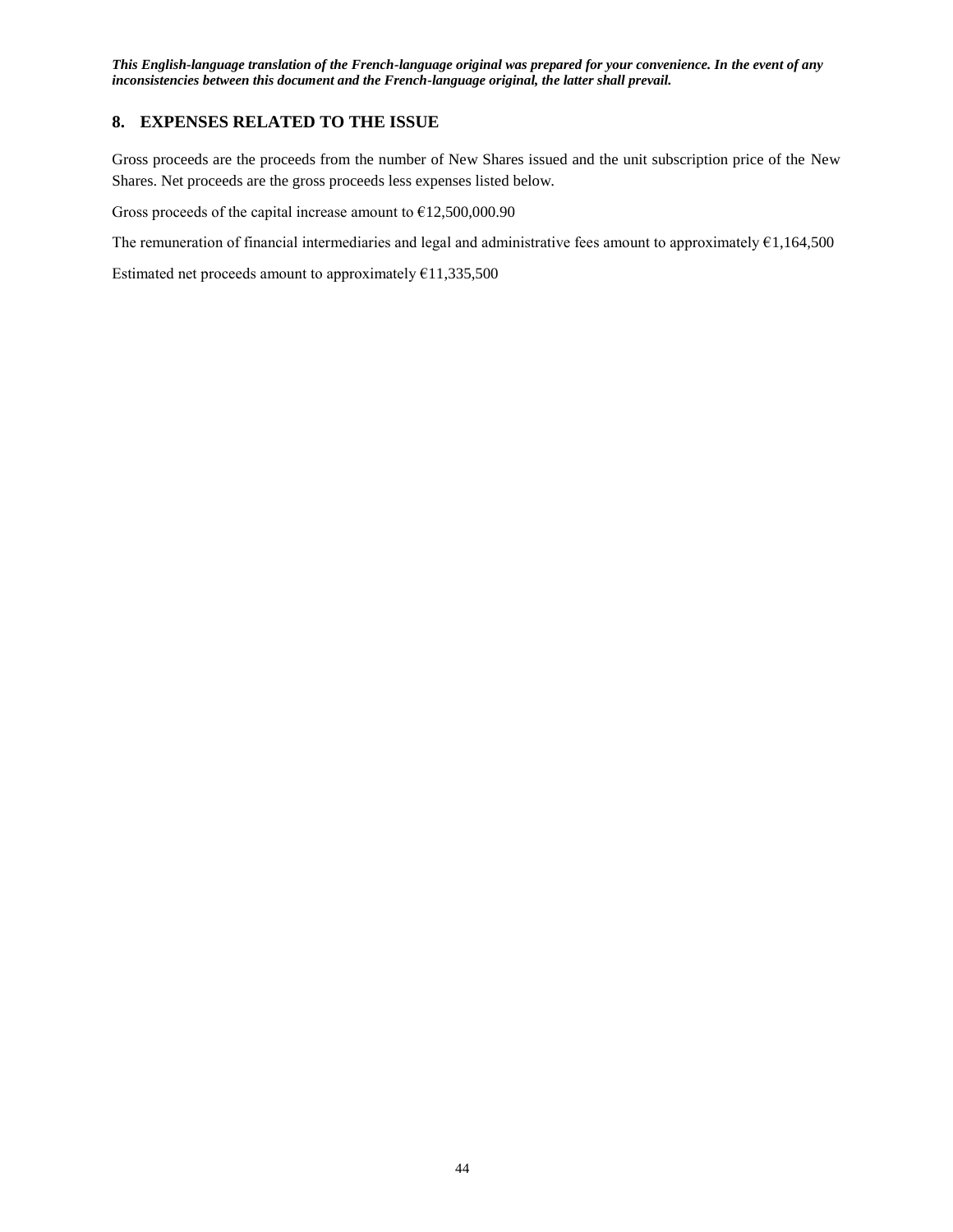## <span id="page-43-0"></span>**8. EXPENSES RELATED TO THE ISSUE**

Gross proceeds are the proceeds from the number of New Shares issued and the unit subscription price of the New Shares. Net proceeds are the gross proceeds less expenses listed below.

Gross proceeds of the capital increase amount to  $£12,500,000.90$ 

The remuneration of financial intermediaries and legal and administrative fees amount to approximately €1,164,500

Estimated net proceeds amount to approximately  $£11,335,500$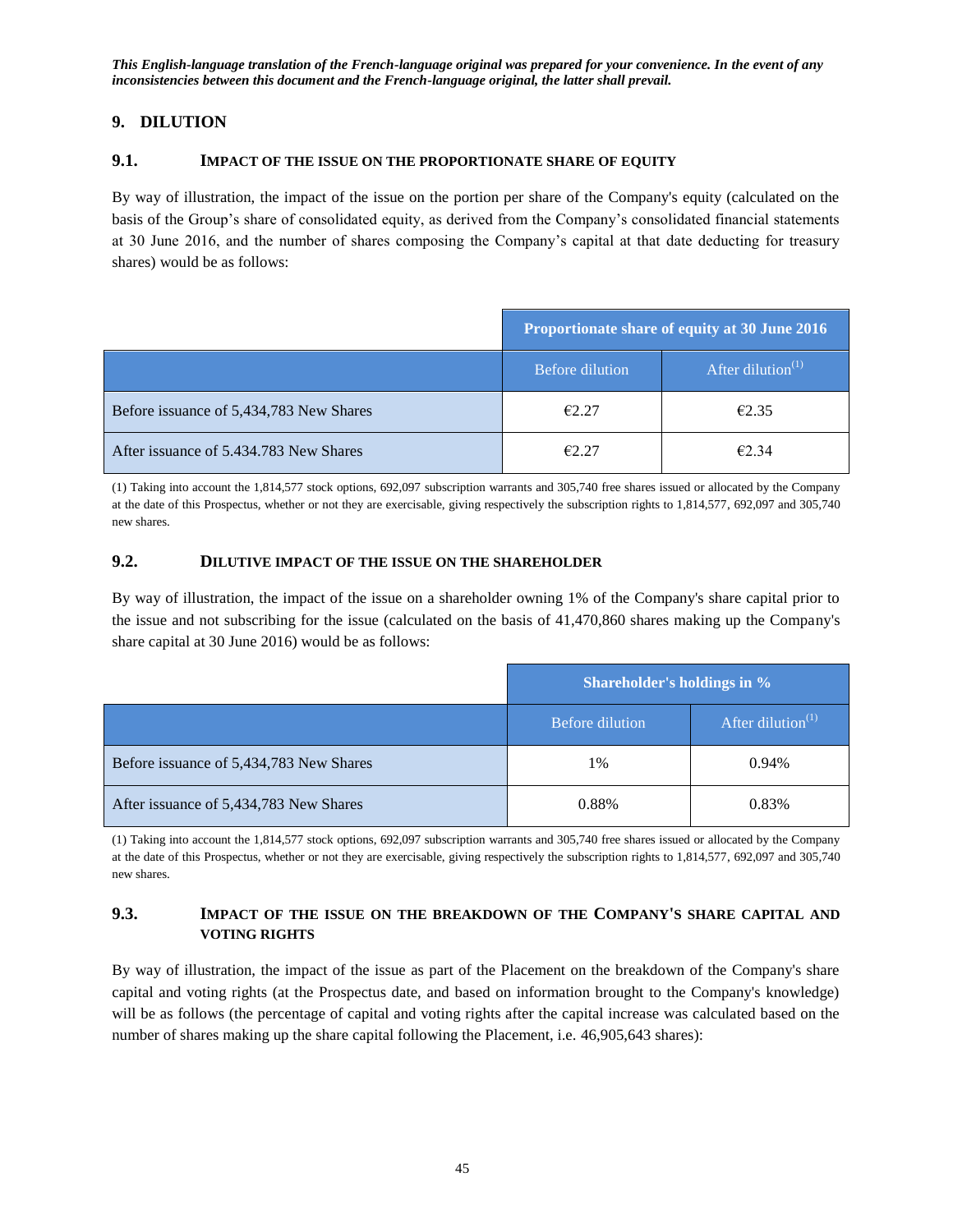## <span id="page-44-0"></span>**9. DILUTION**

#### <span id="page-44-1"></span>**9.1. IMPACT OF THE ISSUE ON THE PROPORTIONATE SHARE OF EQUITY**

By way of illustration, the impact of the issue on the portion per share of the Company's equity (calculated on the basis of the Group's share of consolidated equity, as derived from the Company's consolidated financial statements at 30 June 2016, and the number of shares composing the Company's capital at that date deducting for treasury shares) would be as follows:

|                                         | Proportionate share of equity at 30 June 2016 |                      |  |
|-----------------------------------------|-----------------------------------------------|----------------------|--|
|                                         | Before dilution                               | After dilution $(1)$ |  |
| Before issuance of 5,434,783 New Shares | E2.27                                         | E2.35                |  |
| After issuance of 5.434.783 New Shares  | f2.27                                         | $\epsilon$ 2 34      |  |

(1) Taking into account the 1,814,577 stock options, 692,097 subscription warrants and 305,740 free shares issued or allocated by the Company at the date of this Prospectus, whether or not they are exercisable, giving respectively the subscription rights to 1,814,577, 692,097 and 305,740 new shares.

#### <span id="page-44-2"></span>**9.2. DILUTIVE IMPACT OF THE ISSUE ON THE SHAREHOLDER**

By way of illustration, the impact of the issue on a shareholder owning 1% of the Company's share capital prior to the issue and not subscribing for the issue (calculated on the basis of 41,470,860 shares making up the Company's share capital at 30 June 2016) would be as follows:

|                                         | Shareholder's holdings in % |                         |  |
|-----------------------------------------|-----------------------------|-------------------------|--|
|                                         | <b>Before dilution</b>      | After dilution $^{(1)}$ |  |
| Before issuance of 5,434,783 New Shares | 1%                          | $0.94\%$                |  |
| After issuance of 5,434,783 New Shares  | 0.88%                       | 0.83%                   |  |

(1) Taking into account the 1,814,577 stock options, 692,097 subscription warrants and 305,740 free shares issued or allocated by the Company at the date of this Prospectus, whether or not they are exercisable, giving respectively the subscription rights to 1,814,577, 692,097 and 305,740 new shares.

## <span id="page-44-3"></span>**9.3. IMPACT OF THE ISSUE ON THE BREAKDOWN OF THE COMPANY'S SHARE CAPITAL AND VOTING RIGHTS**

By way of illustration, the impact of the issue as part of the Placement on the breakdown of the Company's share capital and voting rights (at the Prospectus date, and based on information brought to the Company's knowledge) will be as follows (the percentage of capital and voting rights after the capital increase was calculated based on the number of shares making up the share capital following the Placement, i.e. 46,905,643 shares):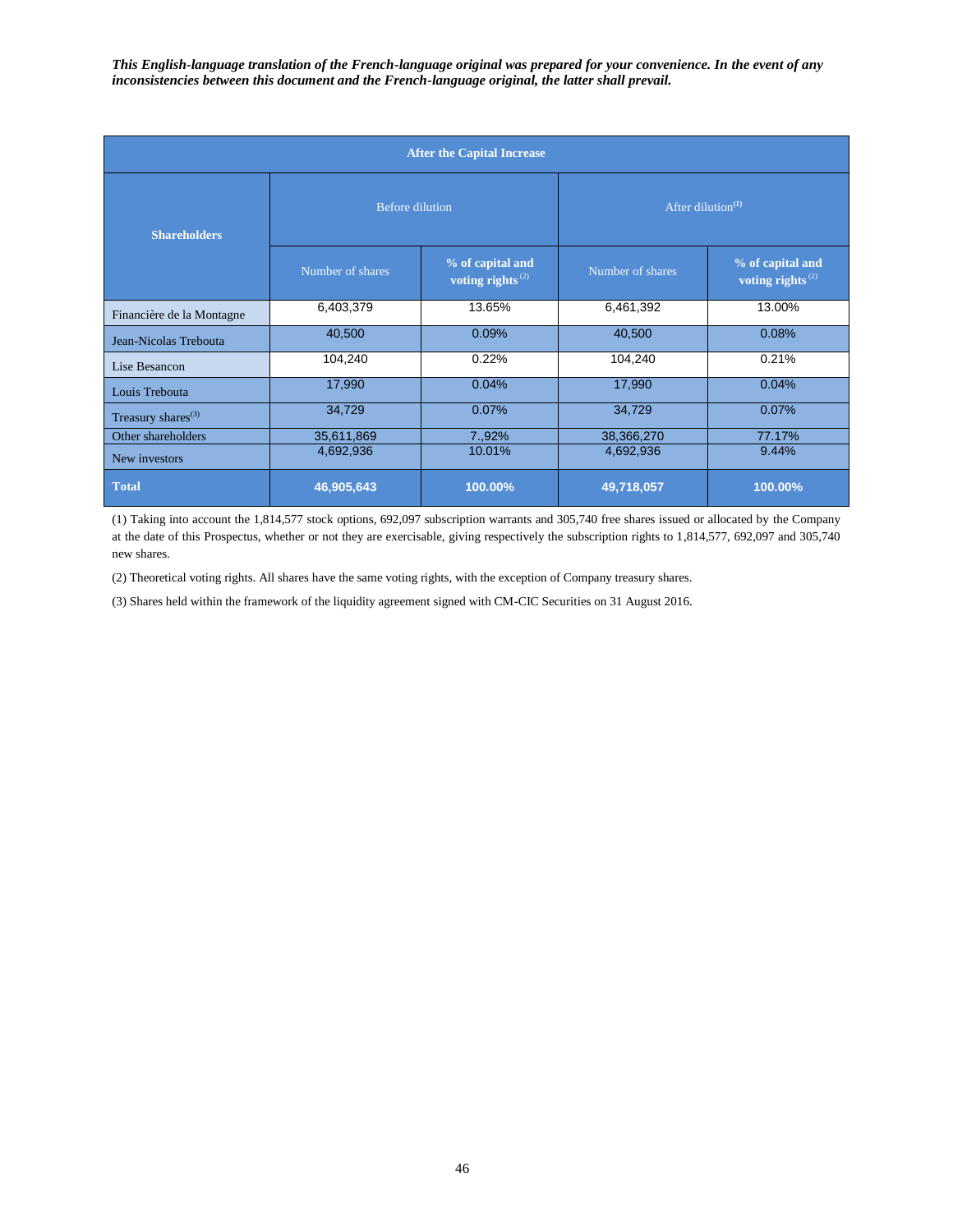| <b>After the Capital Increase</b> |                        |                                                  |                      |                                                  |  |  |  |
|-----------------------------------|------------------------|--------------------------------------------------|----------------------|--------------------------------------------------|--|--|--|
| <b>Shareholders</b>               | <b>Before dilution</b> |                                                  | After dilution $(1)$ |                                                  |  |  |  |
|                                   | Number of shares       | % of capital and<br>voting rights <sup>(2)</sup> | Number of shares     | % of capital and<br>voting rights <sup>(2)</sup> |  |  |  |
| Financière de la Montagne         | 6,403,379              | 13.65%                                           | 6,461,392            | 13.00%                                           |  |  |  |
| Jean-Nicolas Trebouta             | 40,500                 | 0.09%                                            | 40,500               | 0.08%                                            |  |  |  |
| Lise Besancon                     | 104,240                | 0.22%                                            | 104,240              | 0.21%                                            |  |  |  |
| Louis Trebouta                    | 17,990                 | 0.04%                                            | 17,990               | 0.04%                                            |  |  |  |
| Treasury shares <sup>(3)</sup>    | 34,729                 | 0.07%                                            | 34,729               | 0.07%                                            |  |  |  |
| Other shareholders                | 35,611,869             | 7.,92%                                           | 38,366,270           | 77.17%                                           |  |  |  |
| New investors                     | 4,692,936              | 10.01%                                           | 4,692,936            | 9.44%                                            |  |  |  |
| <b>Total</b>                      | 46,905,643             | 100.00%                                          | 49,718,057           | 100.00%                                          |  |  |  |

(1) Taking into account the 1,814,577 stock options, 692,097 subscription warrants and 305,740 free shares issued or allocated by the Company at the date of this Prospectus, whether or not they are exercisable, giving respectively the subscription rights to 1,814,577, 692,097 and 305,740 new shares.

(2) Theoretical voting rights. All shares have the same voting rights, with the exception of Company treasury shares.

(3) Shares held within the framework of the liquidity agreement signed with CM-CIC Securities on 31 August 2016.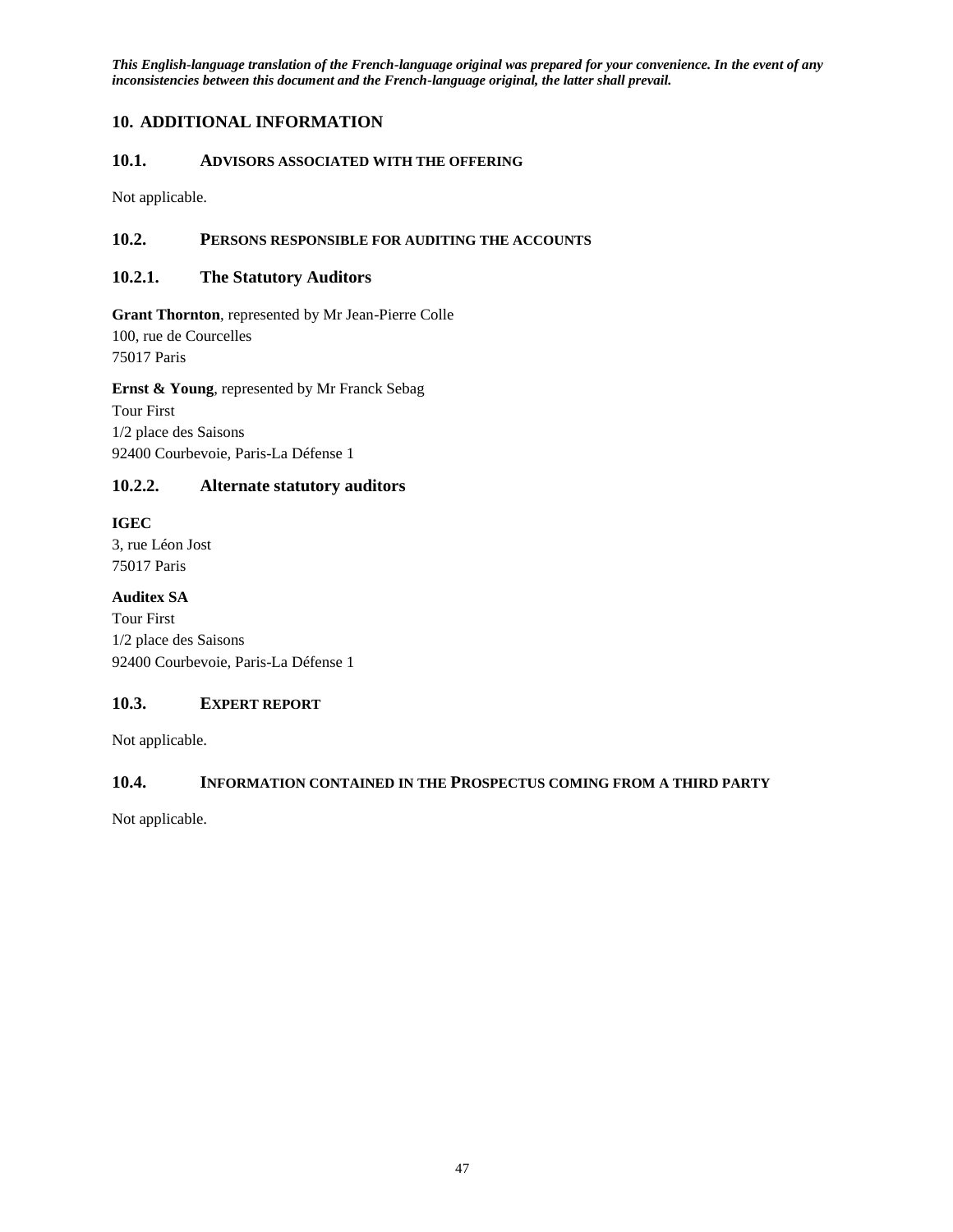## <span id="page-46-0"></span>**10. ADDITIONAL INFORMATION**

## <span id="page-46-1"></span>**10.1. ADVISORS ASSOCIATED WITH THE OFFERING**

Not applicable.

## <span id="page-46-2"></span>**10.2. PERSONS RESPONSIBLE FOR AUDITING THE ACCOUNTS**

## <span id="page-46-3"></span>**10.2.1. The Statutory Auditors**

**Grant Thornton**, represented by Mr Jean-Pierre Colle 100, rue de Courcelles 75017 Paris

**Ernst & Young**, represented by Mr Franck Sebag Tour First 1/2 place des Saisons 92400 Courbevoie, Paris-La Défense 1

## <span id="page-46-4"></span>**10.2.2. Alternate statutory auditors**

## **IGEC**

3, rue Léon Jost 75017 Paris

**Auditex SA**

Tour First 1/2 place des Saisons 92400 Courbevoie, Paris-La Défense 1

## <span id="page-46-5"></span>**10.3. EXPERT REPORT**

Not applicable.

## <span id="page-46-6"></span>**10.4. INFORMATION CONTAINED IN THE PROSPECTUS COMING FROM A THIRD PARTY**

Not applicable.